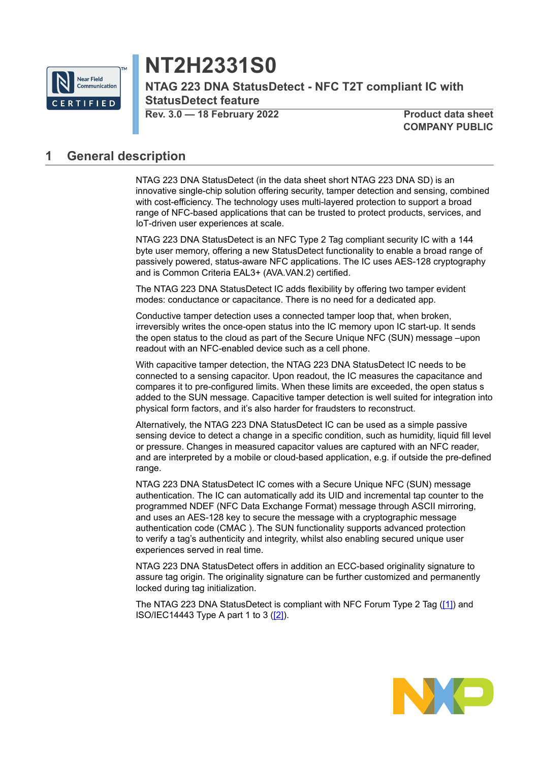

# **NT2H2331S0**

**NTAG 223 DNA StatusDetect - NFC T2T compliant IC with StatusDetect feature**

**Rev. 3.0 — 18 February 2022 Product data sheet**

**COMPANY PUBLIC**

## <span id="page-0-0"></span>**1 General description**

NTAG 223 DNA StatusDetect (in the data sheet short NTAG 223 DNA SD) is an innovative single-chip solution offering security, tamper detection and sensing, combined with cost-efficiency. The technology uses multi-layered protection to support a broad range of NFC-based applications that can be trusted to protect products, services, and IoT-driven user experiences at scale.

NTAG 223 DNA StatusDetect is an NFC Type 2 Tag compliant security IC with a 144 byte user memory, offering a new StatusDetect functionality to enable a broad range of passively powered, status-aware NFC applications. The IC uses AES-128 cryptography and is Common Criteria EAL3+ (AVA.VAN.2) certified.

The NTAG 223 DNA StatusDetect IC adds flexibility by offering two tamper evident modes: conductance or capacitance. There is no need for a dedicated app.

Conductive tamper detection uses a connected tamper loop that, when broken, irreversibly writes the once-open status into the IC memory upon IC start-up. It sends the open status to the cloud as part of the Secure Unique NFC (SUN) message –upon readout with an NFC-enabled device such as a cell phone.

With capacitive tamper detection, the NTAG 223 DNA StatusDetect IC needs to be connected to a sensing capacitor. Upon readout, the IC measures the capacitance and compares it to pre-configured limits. When these limits are exceeded, the open status s added to the SUN message. Capacitive tamper detection is well suited for integration into physical form factors, and it's also harder for fraudsters to reconstruct.

Alternatively, the NTAG 223 DNA StatusDetect IC can be used as a simple passive sensing device to detect a change in a specific condition, such as humidity, liquid fill level or pressure. Changes in measured capacitor values are captured with an NFC reader, and are interpreted by a mobile or cloud-based application, e.g. if outside the pre-defined range.

NTAG 223 DNA StatusDetect IC comes with a Secure Unique NFC (SUN) message authentication. The IC can automatically add its UID and incremental tap counter to the programmed NDEF (NFC Data Exchange Format) message through ASCII mirroring, and uses an AES-128 key to secure the message with a cryptographic message authentication code (CMAC ). The SUN functionality supports advanced protection to verify a tag's authenticity and integrity, whilst also enabling secured unique user experiences served in real time.

NTAG 223 DNA StatusDetect offers in addition an ECC-based originality signature to assure tag origin. The originality signature can be further customized and permanently locked during tag initialization.

The NTAG 223 DNA StatusDetect is compliant with NFC Forum Type 2 Tag [\(\[1\]](#page-60-0)) and ISO/IEC14443 Type A part 1 to 3 [\(\[2\]](#page-60-1)).

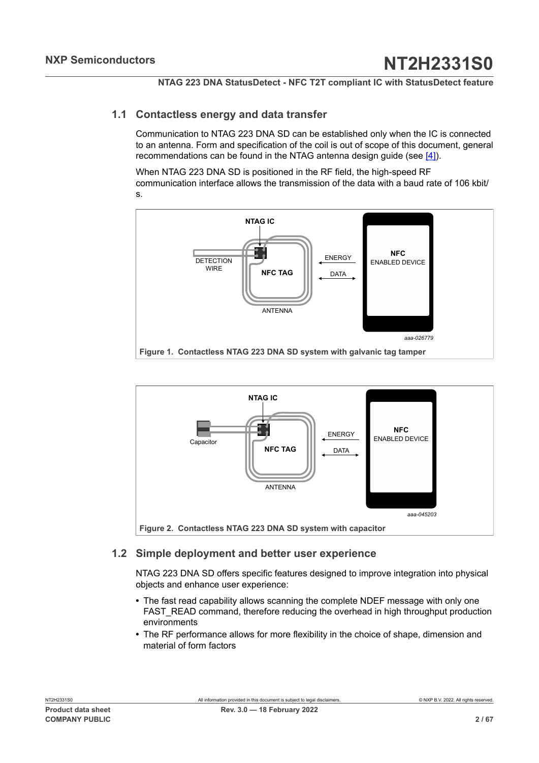### **1.1 Contactless energy and data transfer**

<span id="page-1-2"></span>Communication to NTAG 223 DNA SD can be established only when the IC is connected to an antenna. Form and specification of the coil is out of scope of this document, general recommendations can be found in the NTAG antenna design guide (see [\[4\]](#page-60-2)).

When NTAG 223 DNA SD is positioned in the RF field, the high-speed RF communication interface allows the transmission of the data with a baud rate of 106 kbit/ s.

<span id="page-1-0"></span>

<span id="page-1-1"></span>

## <span id="page-1-3"></span>**1.2 Simple deployment and better user experience**

NTAG 223 DNA SD offers specific features designed to improve integration into physical objects and enhance user experience:

- **•** The fast read capability allows scanning the complete NDEF message with only one FAST\_READ command, therefore reducing the overhead in high throughput production environments
- **•** The RF performance allows for more flexibility in the choice of shape, dimension and material of form factors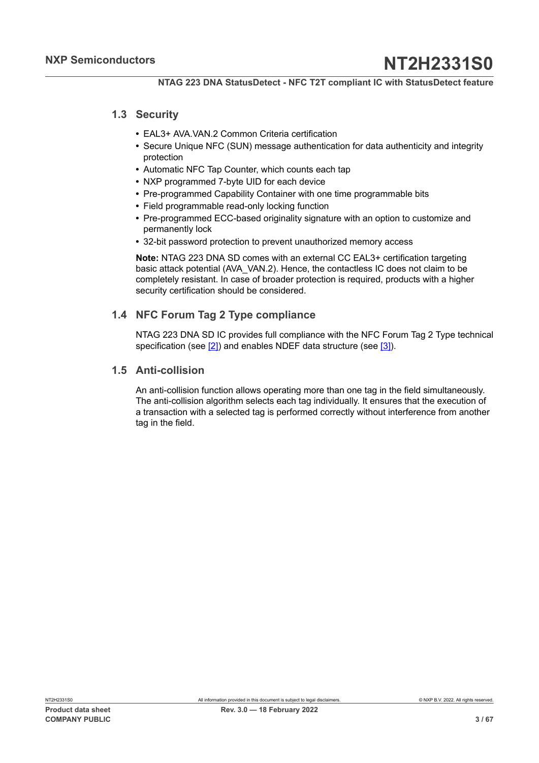### **1.3 Security**

- <span id="page-2-0"></span>**•** EAL3+ AVA.VAN.2 Common Criteria certification
- **•** Secure Unique NFC (SUN) message authentication for data authenticity and integrity protection
- **•** Automatic NFC Tap Counter, which counts each tap
- **•** NXP programmed 7-byte UID for each device
- **•** Pre-programmed Capability Container with one time programmable bits
- **•** Field programmable read-only locking function
- **•** Pre-programmed ECC-based originality signature with an option to customize and permanently lock
- **•** 32-bit password protection to prevent unauthorized memory access

**Note:** NTAG 223 DNA SD comes with an external CC EAL3+ certification targeting basic attack potential (AVA\_VAN.2). Hence, the contactless IC does not claim to be completely resistant. In case of broader protection is required, products with a higher security certification should be considered.

## **1.4 NFC Forum Tag 2 Type compliance**

<span id="page-2-1"></span>NTAG 223 DNA SD IC provides full compliance with the NFC Forum Tag 2 Type technical specification (see [\[2\]](#page-60-1)) and enables NDEF data structure (see [\[3\]\)](#page-60-3).

### <span id="page-2-2"></span>**1.5 Anti-collision**

An anti-collision function allows operating more than one tag in the field simultaneously. The anti-collision algorithm selects each tag individually. It ensures that the execution of a transaction with a selected tag is performed correctly without interference from another tag in the field.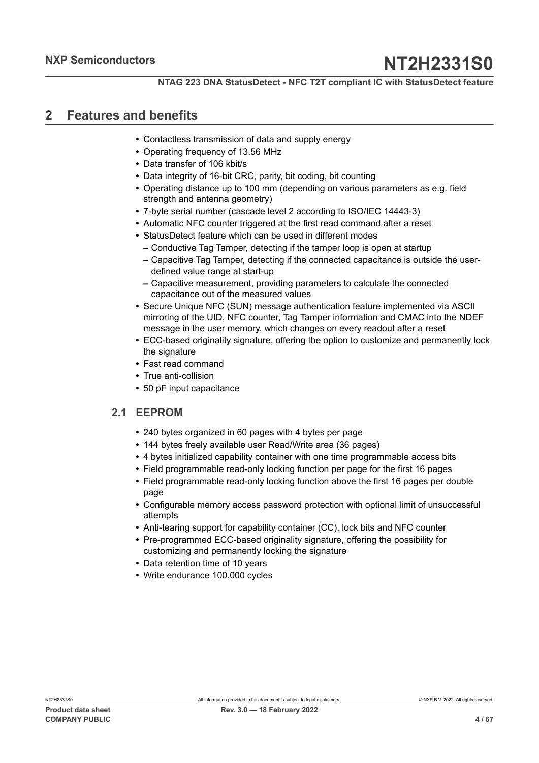## <span id="page-3-0"></span>**2 Features and benefits**

- **•** Contactless transmission of data and supply energy
- **•** Operating frequency of 13.56 MHz
- **•** Data transfer of 106 kbit/s
- **•** Data integrity of 16-bit CRC, parity, bit coding, bit counting
- **•** Operating distance up to 100 mm (depending on various parameters as e.g. field strength and antenna geometry)
- **•** 7-byte serial number (cascade level 2 according to ISO/IEC 14443-3)
- **•** Automatic NFC counter triggered at the first read command after a reset
- **•** StatusDetect feature which can be used in different modes
	- **–** Conductive Tag Tamper, detecting if the tamper loop is open at startup
	- **–** Capacitive Tag Tamper, detecting if the connected capacitance is outside the userdefined value range at start-up
	- **–** Capacitive measurement, providing parameters to calculate the connected capacitance out of the measured values
- **•** Secure Unique NFC (SUN) message authentication feature implemented via ASCII mirroring of the UID, NFC counter, Tag Tamper information and CMAC into the NDEF message in the user memory, which changes on every readout after a reset
- **•** ECC-based originality signature, offering the option to customize and permanently lock the signature
- **•** Fast read command
- **•** True anti-collision
- <span id="page-3-1"></span>**•** 50 pF input capacitance

## **2.1 EEPROM**

- **•** 240 bytes organized in 60 pages with 4 bytes per page
- **•** 144 bytes freely available user Read/Write area (36 pages)
- **•** 4 bytes initialized capability container with one time programmable access bits
- **•** Field programmable read-only locking function per page for the first 16 pages
- **•** Field programmable read-only locking function above the first 16 pages per double page
- **•** Configurable memory access password protection with optional limit of unsuccessful attempts
- **•** Anti-tearing support for capability container (CC), lock bits and NFC counter
- **•** Pre-programmed ECC-based originality signature, offering the possibility for customizing and permanently locking the signature
- **•** Data retention time of 10 years
- **•** Write endurance 100.000 cycles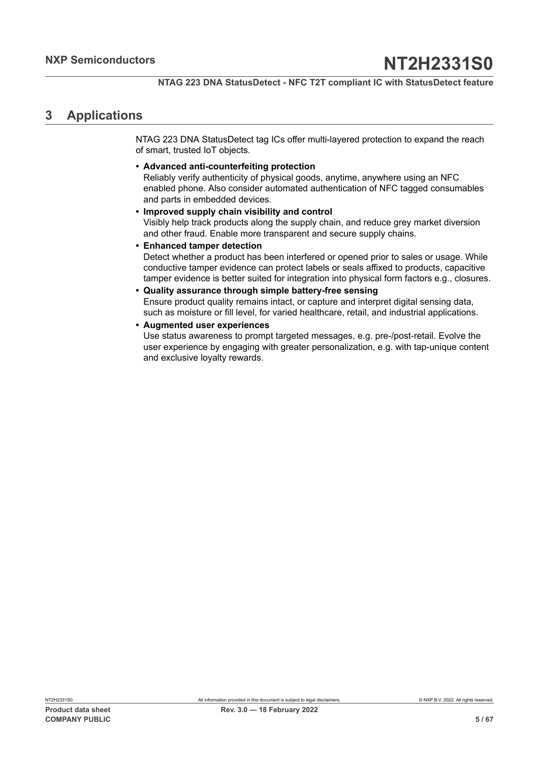## <span id="page-4-0"></span>**3 Applications**

NTAG 223 DNA StatusDetect tag ICs offer multi-layered protection to expand the reach of smart, trusted IoT objects.

**• Advanced anti-counterfeiting protection**

Reliably verify authenticity of physical goods, anytime, anywhere using an NFC enabled phone. Also consider automated authentication of NFC tagged consumables and parts in embedded devices.

- **• Improved supply chain visibility and control** Visibly help track products along the supply chain, and reduce grey market diversion and other fraud. Enable more transparent and secure supply chains.
- **• Enhanced tamper detection** Detect whether a product has been interfered or opened prior to sales or usage. While conductive tamper evidence can protect labels or seals affixed to products, capacitive tamper evidence is better suited for integration into physical form factors e.g., closures.
- **• Quality assurance through simple battery-free sensing** Ensure product quality remains intact, or capture and interpret digital sensing data, such as moisture or fill level, for varied healthcare, retail, and industrial applications.
- **• Augmented user experiences** Use status awareness to prompt targeted messages, e.g. pre-/post-retail. Evolve the user experience by engaging with greater personalization, e.g. with tap-unique content and exclusive loyalty rewards.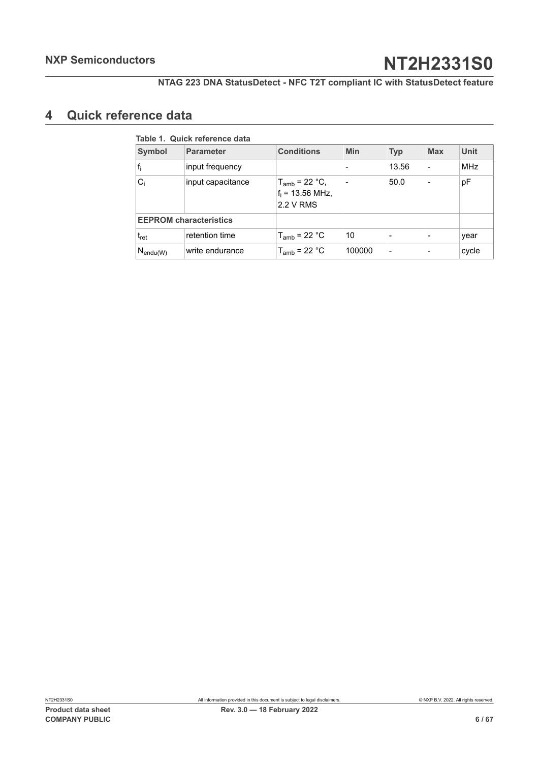## <span id="page-5-1"></span>**4 Quick reference data**

<span id="page-5-0"></span>

| <b>Symbol</b>                 | <b>Parameter</b>  | <b>Conditions</b>                                     | <b>Min</b> | <b>Typ</b> | <b>Max</b> | <b>Unit</b> |
|-------------------------------|-------------------|-------------------------------------------------------|------------|------------|------------|-------------|
| $f_i$                         | input frequency   |                                                       |            | 13.56      |            | <b>MHz</b>  |
| $C_i$                         | input capacitance | $T_{amb}$ = 22 °C,<br>$f_i = 13.56$ MHz,<br>2.2 V RMS |            | 50.0       |            | pF          |
| <b>EEPROM</b> characteristics |                   |                                                       |            |            |            |             |
| $t_{\rm ret}$                 | retention time    | $T_{amb}$ = 22 °C                                     | 10         |            |            | year        |
| $N_{\mathsf{endu}(W)}$        | write endurance   | $T_{amb}$ = 22 °C                                     | 100000     | -          |            | cycle       |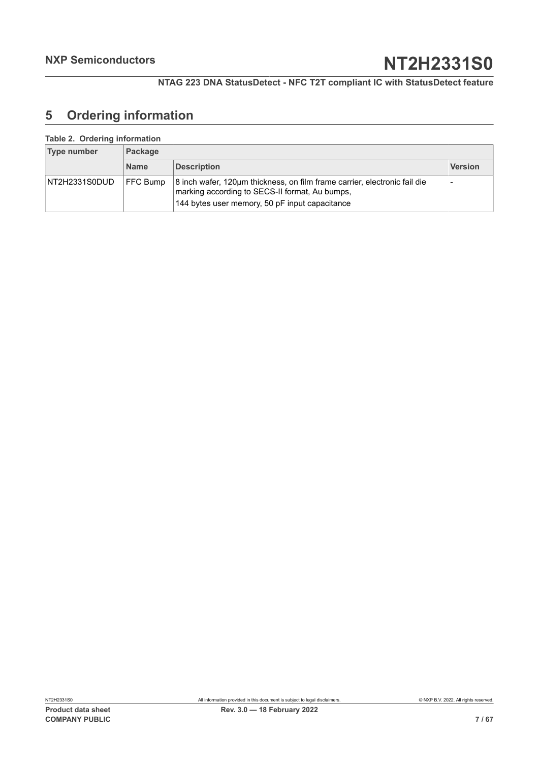## <span id="page-6-0"></span>**5 Ordering information**

#### **Table 2. Ordering information**

<span id="page-6-1"></span>

| Type number   | Package         |                                                                                                                                                                               |                          |  |  |
|---------------|-----------------|-------------------------------------------------------------------------------------------------------------------------------------------------------------------------------|--------------------------|--|--|
|               | <b>Name</b>     | <b>Description</b>                                                                                                                                                            | <b>Version</b>           |  |  |
| NT2H2331S0DUD | <b>FFC Bump</b> | 8 inch wafer, 120um thickness, on film frame carrier, electronic fail die<br>marking according to SECS-II format, Au bumps,<br>144 bytes user memory, 50 pF input capacitance | $\overline{\phantom{a}}$ |  |  |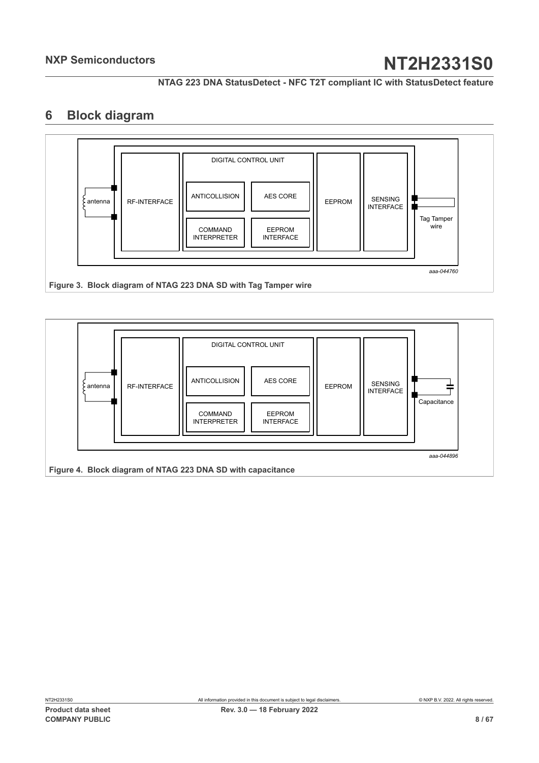**NTAG 223 DNA StatusDetect - NFC T2T compliant IC with StatusDetect feature**

## <span id="page-7-2"></span>**6 Block diagram**

<span id="page-7-0"></span>

<span id="page-7-1"></span>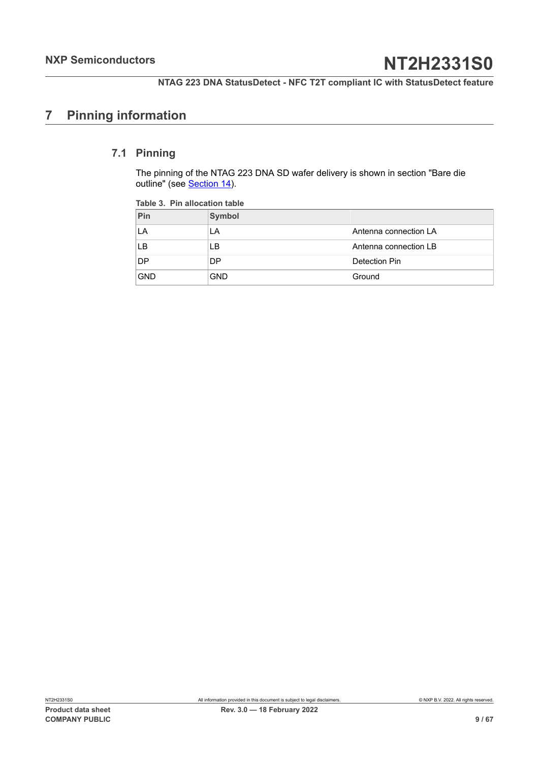## <span id="page-8-1"></span>**7 Pinning information**

## **7.1 Pinning**

<span id="page-8-2"></span>The pinning of the NTAG 223 DNA SD wafer delivery is shown in section "Bare die outline" (see [Section 14](#page-58-0)).

<span id="page-8-0"></span>

| Pin        | Symbol     |                       |
|------------|------------|-----------------------|
| LA         | LA         | Antenna connection LA |
| LB         | LВ         | Antenna connection LB |
| <b>DP</b>  | DP         | Detection Pin         |
| <b>GND</b> | <b>GND</b> | Ground                |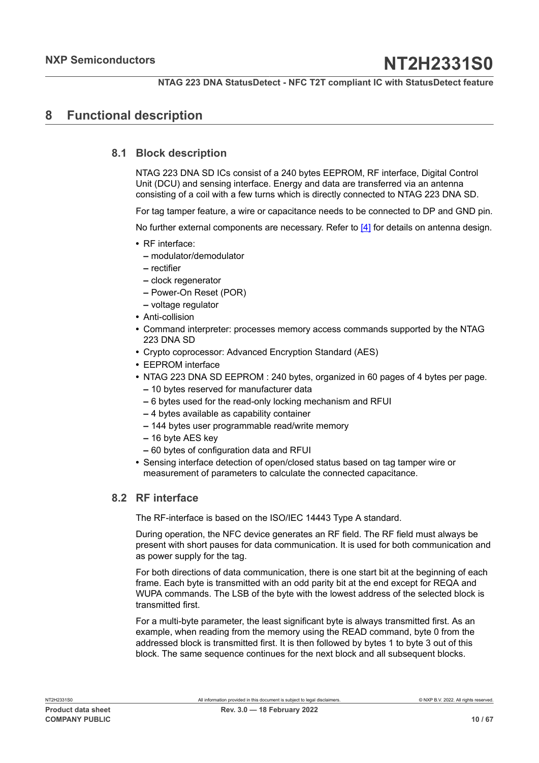## <span id="page-9-0"></span>**8 Functional description**

### **8.1 Block description**

<span id="page-9-1"></span>NTAG 223 DNA SD ICs consist of a 240 bytes EEPROM, RF interface, Digital Control Unit (DCU) and sensing interface. Energy and data are transferred via an antenna consisting of a coil with a few turns which is directly connected to NTAG 223 DNA SD.

For tag tamper feature, a wire or capacitance needs to be connected to DP and GND pin.

No further external components are necessary. Refer to [\[4\]](#page-60-2) for details on antenna design.

- **•** RF interface:
	- **–** modulator/demodulator
	- **–** rectifier
	- **–** clock regenerator
	- **–** Power-On Reset (POR)
	- **–** voltage regulator
- **•** Anti-collision
- **•** Command interpreter: processes memory access commands supported by the NTAG 223 DNA SD
- **•** Crypto coprocessor: Advanced Encryption Standard (AES)
- **•** EEPROM interface
- **•** NTAG 223 DNA SD EEPROM : 240 bytes, organized in 60 pages of 4 bytes per page.
	- **–** 10 bytes reserved for manufacturer data
	- **–** 6 bytes used for the read-only locking mechanism and RFUI
	- **–** 4 bytes available as capability container
	- **–** 144 bytes user programmable read/write memory
	- **–** 16 byte AES key
	- **–** 60 bytes of configuration data and RFUI
- **•** Sensing interface detection of open/closed status based on tag tamper wire or measurement of parameters to calculate the connected capacitance.

## <span id="page-9-2"></span>**8.2 RF interface**

The RF-interface is based on the ISO/IEC 14443 Type A standard.

During operation, the NFC device generates an RF field. The RF field must always be present with short pauses for data communication. It is used for both communication and as power supply for the tag.

For both directions of data communication, there is one start bit at the beginning of each frame. Each byte is transmitted with an odd parity bit at the end except for REQA and WUPA commands. The LSB of the byte with the lowest address of the selected block is transmitted first.

For a multi-byte parameter, the least significant byte is always transmitted first. As an example, when reading from the memory using the READ command, byte 0 from the addressed block is transmitted first. It is then followed by bytes 1 to byte 3 out of this block. The same sequence continues for the next block and all subsequent blocks.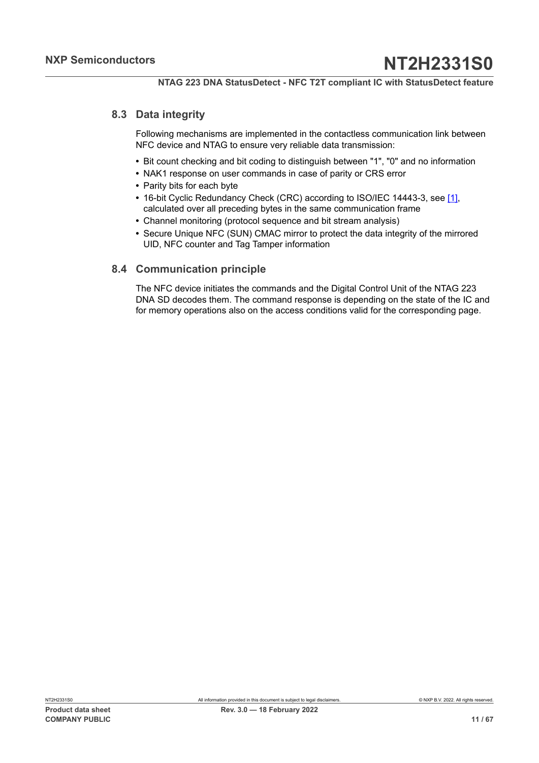## **8.3 Data integrity**

<span id="page-10-0"></span>Following mechanisms are implemented in the contactless communication link between NFC device and NTAG to ensure very reliable data transmission:

- **•** Bit count checking and bit coding to distinguish between "1", "0" and no information
- **•** NAK1 response on user commands in case of parity or CRS error
- **•** Parity bits for each byte
- **•** 16-bit Cyclic Redundancy Check (CRC) according to ISO/IEC 14443-3, see [\[1\],](#page-60-0) calculated over all preceding bytes in the same communication frame
- **•** Channel monitoring (protocol sequence and bit stream analysis)
- **•** Secure Unique NFC (SUN) CMAC mirror to protect the data integrity of the mirrored UID, NFC counter and Tag Tamper information

### <span id="page-10-1"></span>**8.4 Communication principle**

The NFC device initiates the commands and the Digital Control Unit of the NTAG 223 DNA SD decodes them. The command response is depending on the state of the IC and for memory operations also on the access conditions valid for the corresponding page.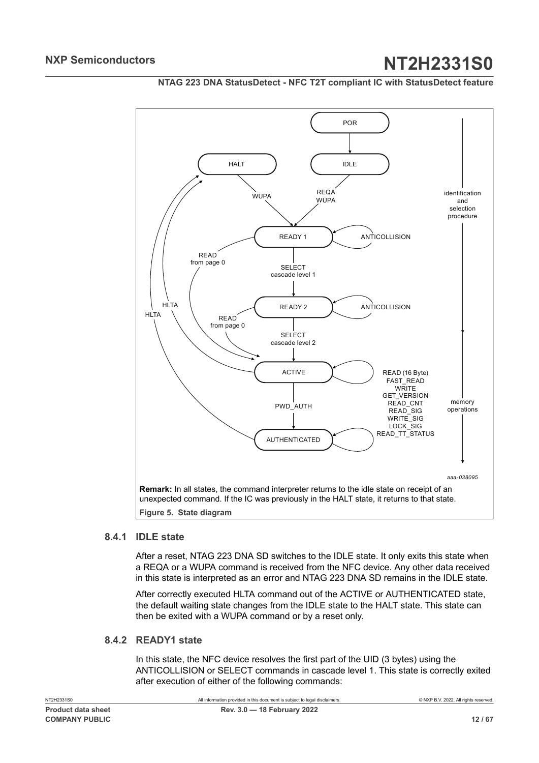<span id="page-11-0"></span>

#### **NTAG 223 DNA StatusDetect - NFC T2T compliant IC with StatusDetect feature**

## **8.4.1 IDLE state**

<span id="page-11-1"></span>After a reset, NTAG 223 DNA SD switches to the IDLE state. It only exits this state when a REQA or a WUPA command is received from the NFC device. Any other data received in this state is interpreted as an error and NTAG 223 DNA SD remains in the IDLE state.

After correctly executed HLTA command out of the ACTIVE or AUTHENTICATED state, the default waiting state changes from the IDLE state to the HALT state. This state can then be exited with a WUPA command or by a reset only.

## **8.4.2 READY1 state**

<span id="page-11-2"></span>In this state, the NFC device resolves the first part of the UID (3 bytes) using the ANTICOLLISION or SELECT commands in cascade level 1. This state is correctly exited after execution of either of the following commands: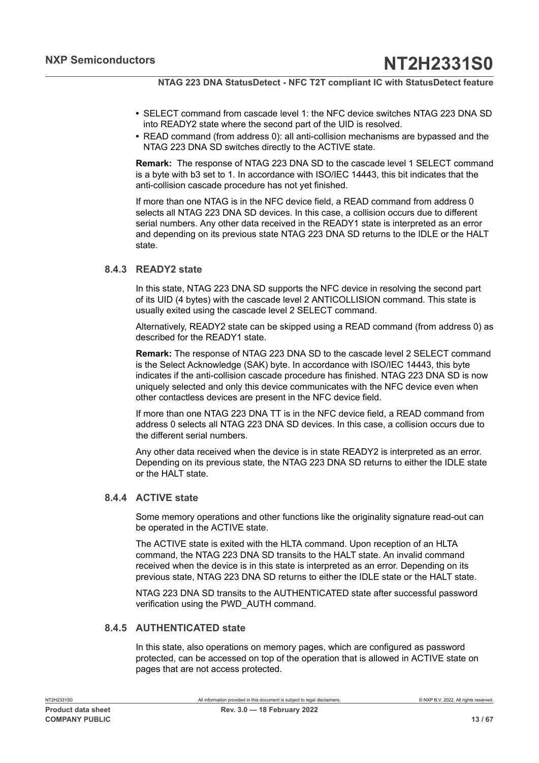- **•** SELECT command from cascade level 1: the NFC device switches NTAG 223 DNA SD into READY2 state where the second part of the UID is resolved.
- **•** READ command (from address 0): all anti-collision mechanisms are bypassed and the NTAG 223 DNA SD switches directly to the ACTIVE state.

**Remark:** The response of NTAG 223 DNA SD to the cascade level 1 SELECT command is a byte with b3 set to 1. In accordance with ISO/IEC 14443, this bit indicates that the anti-collision cascade procedure has not yet finished.

If more than one NTAG is in the NFC device field, a READ command from address 0 selects all NTAG 223 DNA SD devices. In this case, a collision occurs due to different serial numbers. Any other data received in the READY1 state is interpreted as an error and depending on its previous state NTAG 223 DNA SD returns to the IDLE or the HALT state.

#### **8.4.3 READY2 state**

<span id="page-12-0"></span>In this state, NTAG 223 DNA SD supports the NFC device in resolving the second part of its UID (4 bytes) with the cascade level 2 ANTICOLLISION command. This state is usually exited using the cascade level 2 SELECT command.

Alternatively, READY2 state can be skipped using a READ command (from address 0) as described for the READY1 state.

**Remark:** The response of NTAG 223 DNA SD to the cascade level 2 SELECT command is the Select Acknowledge (SAK) byte. In accordance with ISO/IEC 14443, this byte indicates if the anti-collision cascade procedure has finished. NTAG 223 DNA SD is now uniquely selected and only this device communicates with the NFC device even when other contactless devices are present in the NFC device field.

If more than one NTAG 223 DNA TT is in the NFC device field, a READ command from address 0 selects all NTAG 223 DNA SD devices. In this case, a collision occurs due to the different serial numbers.

Any other data received when the device is in state READY2 is interpreted as an error. Depending on its previous state, the NTAG 223 DNA SD returns to either the IDLE state or the HALT state.

#### **8.4.4 ACTIVE state**

<span id="page-12-1"></span>Some memory operations and other functions like the originality signature read-out can be operated in the ACTIVE state.

The ACTIVE state is exited with the HLTA command. Upon reception of an HLTA command, the NTAG 223 DNA SD transits to the HALT state. An invalid command received when the device is in this state is interpreted as an error. Depending on its previous state, NTAG 223 DNA SD returns to either the IDLE state or the HALT state.

NTAG 223 DNA SD transits to the AUTHENTICATED state after successful password verification using the PWD\_AUTH command.

#### **8.4.5 AUTHENTICATED state**

<span id="page-12-2"></span>In this state, also operations on memory pages, which are configured as password protected, can be accessed on top of the operation that is allowed in ACTIVE state on pages that are not access protected.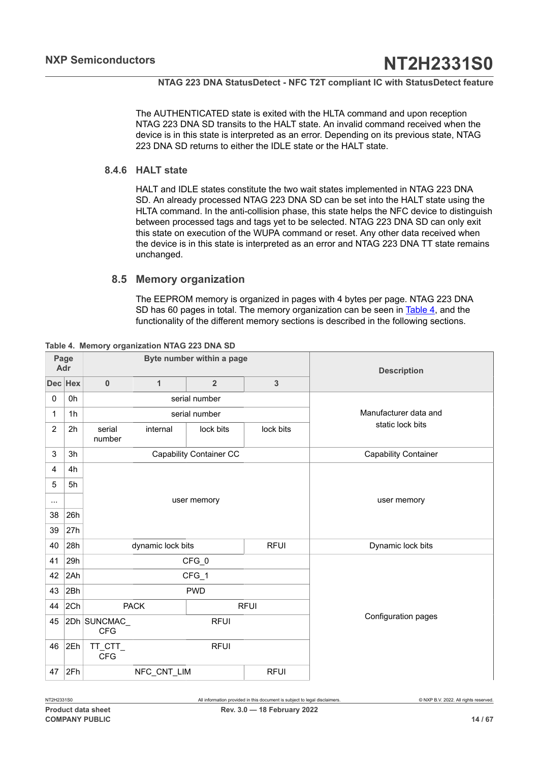The AUTHENTICATED state is exited with the HLTA command and upon reception NTAG 223 DNA SD transits to the HALT state. An invalid command received when the device is in this state is interpreted as an error. Depending on its previous state, NTAG 223 DNA SD returns to either the IDLE state or the HALT state.

### **8.4.6 HALT state**

<span id="page-13-1"></span>HALT and IDLE states constitute the two wait states implemented in NTAG 223 DNA SD. An already processed NTAG 223 DNA SD can be set into the HALT state using the HLTA command. In the anti-collision phase, this state helps the NFC device to distinguish between processed tags and tags yet to be selected. NTAG 223 DNA SD can only exit this state on execution of the WUPA command or reset. Any other data received when the device is in this state is interpreted as an error and NTAG 223 DNA TT state remains unchanged.

### **8.5 Memory organization**

<span id="page-13-2"></span><span id="page-13-0"></span>The EEPROM memory is organized in pages with 4 bytes per page. NTAG 223 DNA SD has 60 pages in total. The memory organization can be seen in [Table](#page-13-0) 4, and the functionality of the different memory sections is described in the following sections.

|             | Page<br>Adr    | Byte number within a page                |                   |                                |                | <b>Description</b>          |
|-------------|----------------|------------------------------------------|-------------------|--------------------------------|----------------|-----------------------------|
|             | Dec Hex        | $\pmb{0}$                                | $\mathbf{1}$      | $\overline{2}$                 | $\overline{3}$ |                             |
| $\mathbf 0$ | 0h             |                                          |                   | serial number                  |                |                             |
| 1           | 1 <sub>h</sub> |                                          |                   | serial number                  |                | Manufacturer data and       |
| 2           | 2 <sub>h</sub> | serial<br>number                         | internal          | lock bits                      | lock bits      | static lock bits            |
| 3           | 3h             |                                          |                   | <b>Capability Container CC</b> |                | <b>Capability Container</b> |
| 4           | 4h             |                                          |                   |                                |                |                             |
| 5           | 5h             |                                          |                   |                                |                |                             |
|             |                |                                          |                   | user memory                    |                | user memory                 |
| 38          | 26h            |                                          |                   |                                |                |                             |
| 39          | 27h            |                                          |                   |                                |                |                             |
| 40          | 28h            |                                          | dynamic lock bits |                                | <b>RFUI</b>    | Dynamic lock bits           |
| 41          | 29h            |                                          |                   | CFG_0                          |                |                             |
| 42          | 2Ah            |                                          |                   | CFG_1                          |                |                             |
| 43          | 2Bh            | <b>PWD</b>                               |                   |                                |                |                             |
| 44          | 2Ch            |                                          | <b>PACK</b>       |                                | <b>RFUI</b>    |                             |
| 45          |                | 2Dh SUNCMAC<br><b>RFUI</b><br><b>CFG</b> |                   |                                |                | Configuration pages         |
| 46          | 2Eh            | TT_CTT_<br><b>CFG</b>                    |                   | <b>RFUI</b>                    |                |                             |
| 47          | 2Fh            |                                          | NFC_CNT_LIM       |                                | <b>RFUI</b>    |                             |

**Table 4. Memory organization NTAG 223 DNA SD**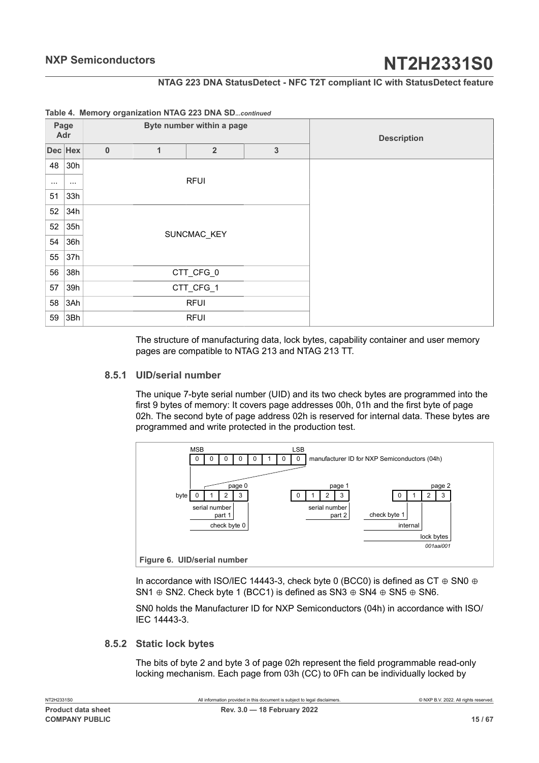### **NTAG 223 DNA StatusDetect - NFC T2T compliant IC with StatusDetect feature**

| Page<br>Adr |          | Byte number within a page |              |                |              | <b>Description</b> |
|-------------|----------|---------------------------|--------------|----------------|--------------|--------------------|
| Dec Hex     |          | $\pmb{0}$                 | $\mathbf{1}$ | $\overline{2}$ | $\mathbf{3}$ |                    |
| 48          | 30h      |                           |              |                |              |                    |
| $\cdots$    | $\cdots$ |                           |              | <b>RFUI</b>    |              |                    |
| 51          | 33h      |                           |              |                |              |                    |
| 52          | 34h      |                           |              |                |              |                    |
| 52          | 35h      |                           |              | SUNCMAC_KEY    |              |                    |
| 54          | 36h      |                           |              |                |              |                    |
| 55          | 37h      |                           |              |                |              |                    |
| 56          | 38h      |                           |              | CTT_CFG_0      |              |                    |
| 57          | 39h      |                           |              | CTT_CFG_1      |              |                    |
| 58          | 3Ah      |                           |              | <b>RFUI</b>    |              |                    |
| 59          | 3Bh      |                           |              | <b>RFUI</b>    |              |                    |

#### **Table 4. Memory organization NTAG 223 DNA SD***...continued*

The structure of manufacturing data, lock bytes, capability container and user memory pages are compatible to NTAG 213 and NTAG 213 TT.

#### **8.5.1 UID/serial number**

<span id="page-14-0"></span>The unique 7-byte serial number (UID) and its two check bytes are programmed into the first 9 bytes of memory: It covers page addresses 00h, 01h and the first byte of page 02h. The second byte of page address 02h is reserved for internal data. These bytes are programmed and write protected in the production test.

<span id="page-14-1"></span>

In accordance with ISO/IEC 14443-3, check byte 0 (BCC0) is defined as CT  $\oplus$  SN0  $\oplus$ SN1  $\oplus$  SN2. Check byte 1 (BCC1) is defined as SN3  $\oplus$  SN4  $\oplus$  SN5  $\oplus$  SN6.

SN0 holds the Manufacturer ID for NXP Semiconductors (04h) in accordance with ISO/ IEC 14443-3.

#### **8.5.2 Static lock bytes**

<span id="page-14-2"></span>The bits of byte 2 and byte 3 of page 02h represent the field programmable read-only locking mechanism. Each page from 03h (CC) to 0Fh can be individually locked by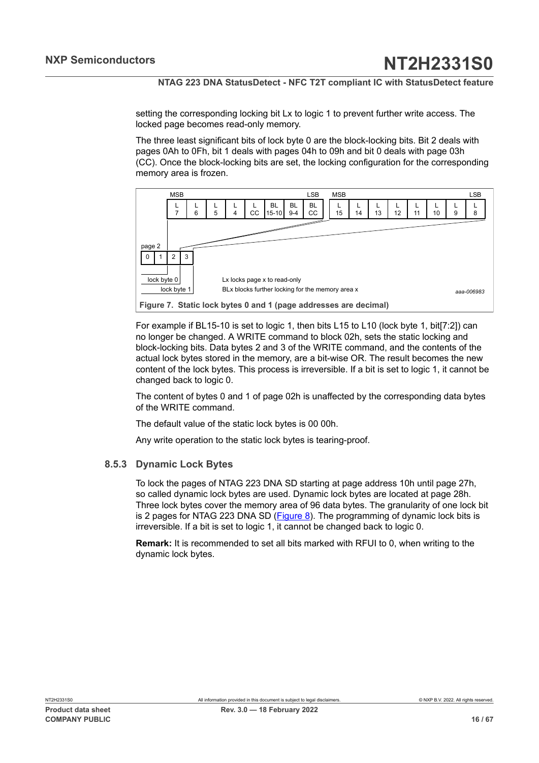setting the corresponding locking bit Lx to logic 1 to prevent further write access. The locked page becomes read-only memory.

The three least significant bits of lock byte 0 are the block-locking bits. Bit 2 deals with pages 0Ah to 0Fh, bit 1 deals with pages 04h to 09h and bit 0 deals with page 03h (CC). Once the block-locking bits are set, the locking configuration for the corresponding memory area is frozen.

<span id="page-15-0"></span>



For example if BL15-10 is set to logic 1, then bits L15 to L10 (lock byte 1, bit[7:2]) can no longer be changed. A WRITE command to block 02h, sets the static locking and block-locking bits. Data bytes 2 and 3 of the WRITE command, and the contents of the actual lock bytes stored in the memory, are a bit-wise OR. The result becomes the new content of the lock bytes. This process is irreversible. If a bit is set to logic 1, it cannot be changed back to logic 0.

The content of bytes 0 and 1 of page 02h is unaffected by the corresponding data bytes of the WRITE command.

The default value of the static lock bytes is 00 00h.

<span id="page-15-1"></span>Any write operation to the static lock bytes is tearing-proof.

## **8.5.3 Dynamic Lock Bytes**

To lock the pages of NTAG 223 DNA SD starting at page address 10h until page 27h, so called dynamic lock bytes are used. Dynamic lock bytes are located at page 28h. Three lock bytes cover the memory area of 96 data bytes. The granularity of one lock bit is 2 pages for NTAG 223 DNA SD ([Figure 8](#page-16-0)). The programming of dynamic lock bits is irreversible. If a bit is set to logic 1, it cannot be changed back to logic 0.

**Remark:** It is recommended to set all bits marked with RFUI to 0, when writing to the dynamic lock bytes.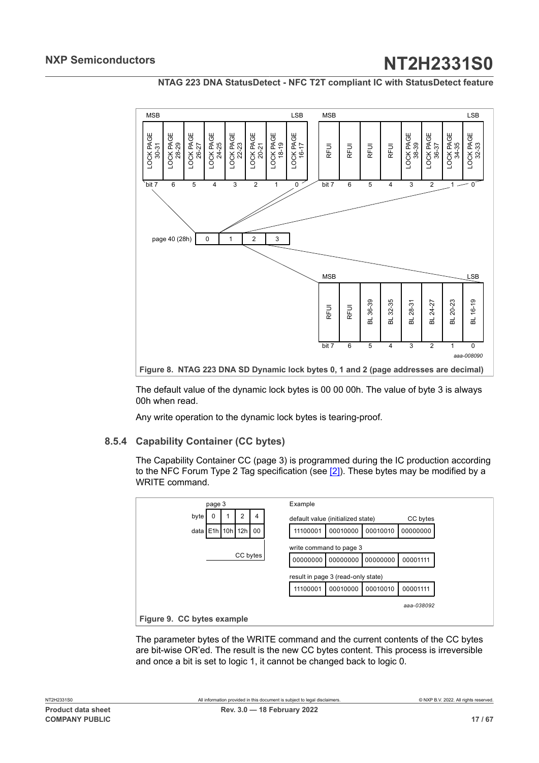**NTAG 223 DNA StatusDetect - NFC T2T compliant IC with StatusDetect feature**

<span id="page-16-0"></span>

The default value of the dynamic lock bytes is 00 00 00h. The value of byte 3 is always 00h when read.

<span id="page-16-2"></span>Any write operation to the dynamic lock bytes is tearing-proof.

#### **8.5.4 Capability Container (CC bytes)**

The Capability Container CC (page 3) is programmed during the IC production according to the NFC Forum Type 2 Tag specification (see [\[2\]](#page-60-1)). These bytes may be modified by a WRITE command.

<span id="page-16-1"></span>

The parameter bytes of the WRITE command and the current contents of the CC bytes are bit-wise OR'ed. The result is the new CC bytes content. This process is irreversible and once a bit is set to logic 1, it cannot be changed back to logic 0.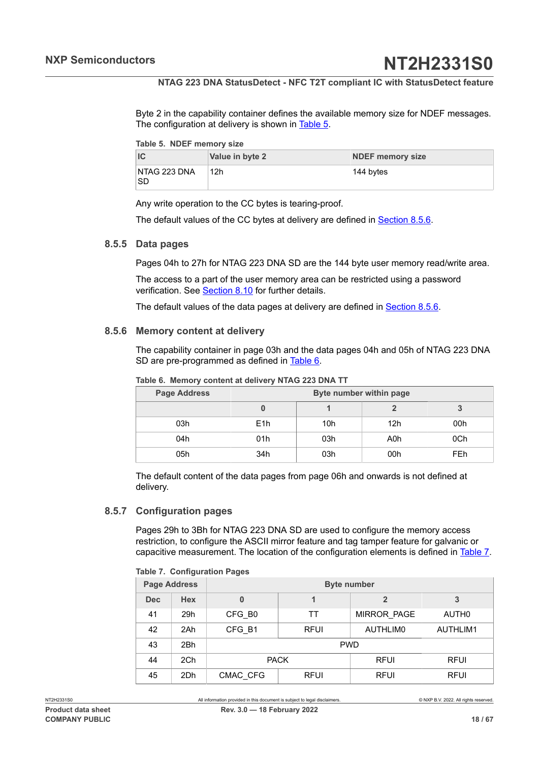Byte 2 in the capability container defines the available memory size for NDEF messages. The configuration at delivery is shown in [Table](#page-17-0) 5.

<span id="page-17-0"></span>

|  |  | Table 5. NDEF memory size |  |
|--|--|---------------------------|--|
|--|--|---------------------------|--|

|                     | Value in byte 2 | <b>NDEF memory size</b> |
|---------------------|-----------------|-------------------------|
| NTAG 223 DNA<br>'SD | 12h             | 144 bytes               |

Any write operation to the CC bytes is tearing-proof.

<span id="page-17-5"></span>The default values of the CC bytes at delivery are defined in [Section 8.5.6](#page-17-1).

#### **8.5.5 Data pages**

Pages 04h to 27h for NTAG 223 DNA SD are the 144 byte user memory read/write area.

The access to a part of the user memory area can be restricted using a password verification. See [Section 8.10](#page-31-0) for further details.

<span id="page-17-1"></span>The default values of the data pages at delivery are defined in [Section 8.5.6](#page-17-1).

#### **8.5.6 Memory content at delivery**

The capability container in page 03h and the data pages 04h and 05h of NTAG 223 DNA SD are pre-programmed as defined in [Table](#page-17-2) 6.

| <b>Page Address</b> | Byte number within page |                 |                 |            |  |  |
|---------------------|-------------------------|-----------------|-----------------|------------|--|--|
|                     |                         |                 |                 |            |  |  |
| 03h                 | E <sub>1</sub> h        | 10 <sub>h</sub> | 12 <sub>h</sub> | 00h        |  |  |
| 04h                 | 01h                     | 03h             | A0h             | 0Ch        |  |  |
| 05h                 | 34h                     | 03h             | 00h             | <b>FEh</b> |  |  |

<span id="page-17-2"></span>**Table 6. Memory content at delivery NTAG 223 DNA TT**

The default content of the data pages from page 06h and onwards is not defined at delivery.

#### **8.5.7 Configuration pages**

<span id="page-17-4"></span>Pages 29h to 3Bh for NTAG 223 DNA SD are used to configure the memory access restriction, to configure the ASCII mirror feature and tag tamper feature for galvanic or capacitive measurement. The location of the configuration elements is defined in [Table](#page-17-3) 7.

#### <span id="page-17-3"></span>**Table 7. Configuration Pages**

| <b>Page Address</b> |            | <b>Byte number</b> |             |                    |                   |  |
|---------------------|------------|--------------------|-------------|--------------------|-------------------|--|
| <b>Dec</b>          | <b>Hex</b> | 0                  |             |                    | 3                 |  |
| 41                  | 29h        | CFG B0             | TT          | <b>MIRROR PAGE</b> | AUTH <sub>0</sub> |  |
| 42                  | 2Ah        | CFG B1             | <b>RFUI</b> | AUTHLIM0           | AUTHLIM1          |  |
| 43                  | 2Bh        | <b>PWD</b>         |             |                    |                   |  |
| 44                  | 2Ch        | <b>PACK</b>        |             | <b>RFUI</b>        | <b>RFUI</b>       |  |
| 45                  | 2Dh        | CMAC CFG           | <b>RFUI</b> |                    | <b>RFUI</b>       |  |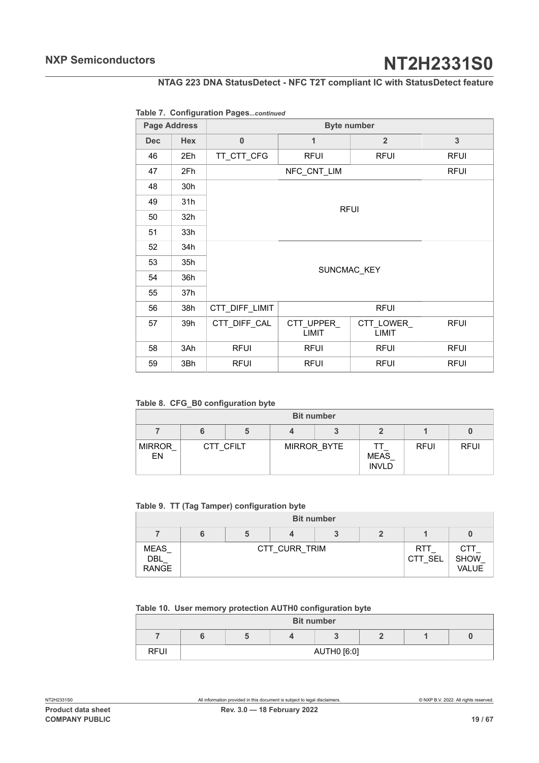### **NTAG 223 DNA StatusDetect - NFC T2T compliant IC with StatusDetect feature**

#### **Table 7. Configuration Pages***...continued*

| <b>Page Address</b> |                 | <b>Byte number</b> |                     |                     |             |  |  |
|---------------------|-----------------|--------------------|---------------------|---------------------|-------------|--|--|
| <b>Dec</b>          | <b>Hex</b>      | $\bf{0}$           | 1                   | $\overline{2}$      | 3           |  |  |
| 46                  | 2Eh             | TT_CTT_CFG         | <b>RFUI</b>         | <b>RFUI</b>         | <b>RFUI</b> |  |  |
| 47                  | 2Fh             |                    | NFC_CNT_LIM         |                     | <b>RFUI</b> |  |  |
| 48                  | 30h             |                    |                     |                     |             |  |  |
| 49                  | 31h             |                    |                     |                     |             |  |  |
| 50                  | 32 <sub>h</sub> | <b>RFUI</b>        |                     |                     |             |  |  |
| 51                  | 33h             |                    |                     |                     |             |  |  |
| 52                  | 34h             |                    |                     |                     |             |  |  |
| 53                  | 35h             |                    | SUNCMAC KEY         |                     |             |  |  |
| 54                  | 36h             |                    |                     |                     |             |  |  |
| 55                  | 37h             |                    |                     |                     |             |  |  |
| 56                  | 38h             | CTT_DIFF_LIMIT     |                     | <b>RFUI</b>         |             |  |  |
| 57                  | 39h             | CTT_DIFF_CAL       | CTT_UPPER_<br>LIMIT | CTT_LOWER_<br>LIMIT | <b>RFUI</b> |  |  |
| 58                  | 3Ah             | <b>RFUI</b>        | <b>RFUI</b>         | <b>RFUI</b>         | <b>RFUI</b> |  |  |
| 59                  | 3Bh             | <b>RFUI</b>        | <b>RFUI</b>         | <b>RFUI</b>         | <b>RFUI</b> |  |  |

<span id="page-18-0"></span>**Table 8. CFG\_B0 configuration byte**

| <b>Bit number</b>   |  |           |  |             |                      |             |             |  |
|---------------------|--|-----------|--|-------------|----------------------|-------------|-------------|--|
|                     |  |           |  |             |                      |             |             |  |
| <b>MIRROR</b><br>EN |  | CTT CFILT |  | MIRROR BYTE | MEAS<br><b>INVLD</b> | <b>RFUI</b> | <b>RFUI</b> |  |

<span id="page-18-1"></span>**Table 9. TT (Tag Tamper) configuration byte**

|                                    | <b>Bit number</b> |  |               |  |  |                       |                                    |
|------------------------------------|-------------------|--|---------------|--|--|-----------------------|------------------------------------|
|                                    |                   |  |               |  |  |                       |                                    |
| <b>MEAS</b><br>DBL<br><b>RANGE</b> |                   |  | CTT CURR TRIM |  |  | <b>RTT</b><br>CTT SEL | CTT<br><b>SHOW</b><br><b>VALUE</b> |

#### <span id="page-18-2"></span>**Table 10. User memory protection AUTH0 configuration byte**

|             |  | <b>Bit number</b> |  |  |
|-------------|--|-------------------|--|--|
|             |  |                   |  |  |
| <b>RFUI</b> |  | AUTH0 [6:0]       |  |  |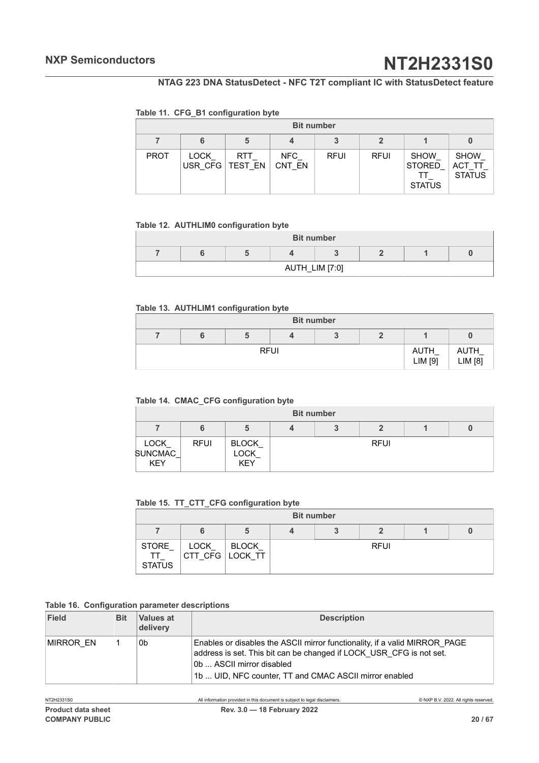### **NTAG 223 DNA StatusDetect - NFC T2T compliant IC with StatusDetect feature**

#### <span id="page-19-0"></span>**Table 11. CFG\_B1 configuration byte**

|             |                        |                |               | <b>Bit number</b> |             |                                               |                                        |
|-------------|------------------------|----------------|---------------|-------------------|-------------|-----------------------------------------------|----------------------------------------|
|             | 6                      | 5              | 4             |                   |             |                                               |                                        |
| <b>PROT</b> | <b>LOCK</b><br>USR CFG | RTT<br>TEST EN | NFC<br>CNT EN | <b>RFUI</b>       | <b>RFUI</b> | <b>SHOW</b><br><b>STORED</b><br><b>STATUS</b> | <b>SHOW</b><br>ACT TT<br><b>STATUS</b> |

#### <span id="page-19-1"></span>**Table 12. AUTHLIM0 configuration byte**

| <b>Bit number</b> |  |                |  |  |  |  |
|-------------------|--|----------------|--|--|--|--|
|                   |  |                |  |  |  |  |
|                   |  | AUTH_LIM [7:0] |  |  |  |  |

#### <span id="page-19-2"></span>**Table 13. AUTHLIM1 configuration byte**

| <b>Bit number</b> |             |  |  |  |                 |                 |
|-------------------|-------------|--|--|--|-----------------|-----------------|
|                   |             |  |  |  |                 |                 |
|                   | <b>RFUI</b> |  |  |  | AUTH<br>LIM [9] | AUTH<br>LIM [8] |

#### <span id="page-19-3"></span>**Table 14. CMAC\_CFG configuration byte**

|                                       | <b>Bit number</b> |                                    |  |  |             |  |  |  |
|---------------------------------------|-------------------|------------------------------------|--|--|-------------|--|--|--|
|                                       |                   | 5                                  |  |  |             |  |  |  |
| LOCK_<br><b>SUNCMAC</b><br><b>KEY</b> | <b>RFUI</b>       | <b>BLOCK</b><br>LOCK<br><b>KEY</b> |  |  | <b>RFUI</b> |  |  |  |

#### <span id="page-19-4"></span>**Table 15. TT\_CTT\_CFG configuration byte**

<span id="page-19-5"></span>

|                              |      |                          | <b>Bit number</b> |             |  |
|------------------------------|------|--------------------------|-------------------|-------------|--|
|                              | 6    | э                        |                   |             |  |
| STORE<br>TT<br><b>STATUS</b> | LOCK | BLOCK<br>CTT CFG LOCK TT |                   | <b>RFUI</b> |  |

#### **Table 16. Configuration parameter descriptions**

| Field     | <b>Bit</b> | Values at<br>delivery | <b>Description</b>                                                                                                                                                                                                                       |
|-----------|------------|-----------------------|------------------------------------------------------------------------------------------------------------------------------------------------------------------------------------------------------------------------------------------|
| MIRROR EN |            | 0b                    | Enables or disables the ASCII mirror functionality, if a valid MIRROR PAGE<br>address is set. This bit can be changed if LOCK USR CFG is not set.<br>0b  ASCII mirror disabled<br>1b  UID, NFC counter, TT and CMAC ASCII mirror enabled |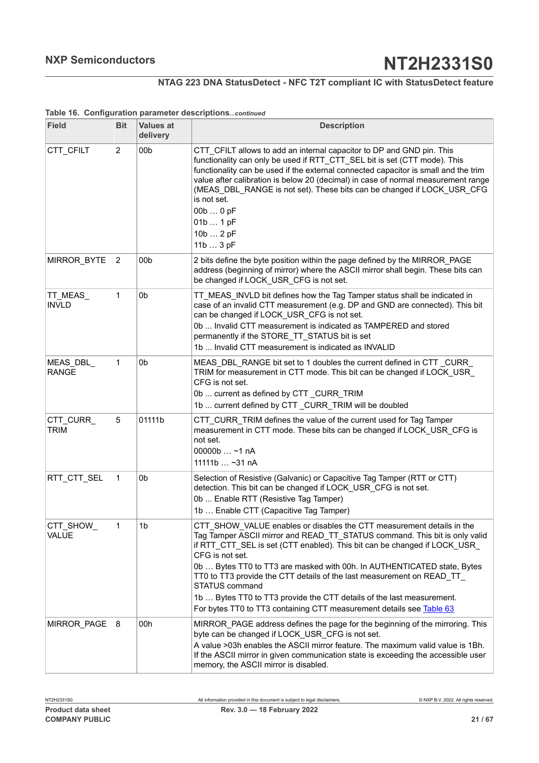#### **NTAG 223 DNA StatusDetect - NFC T2T compliant IC with StatusDetect feature**

| <b>Field</b>              | <b>Bit</b>     | <b>Values at</b><br>delivery | <b>Description</b>                                                                                                                                                                                                                                                                                                                                                                                                                                                                                                                                                                 |
|---------------------------|----------------|------------------------------|------------------------------------------------------------------------------------------------------------------------------------------------------------------------------------------------------------------------------------------------------------------------------------------------------------------------------------------------------------------------------------------------------------------------------------------------------------------------------------------------------------------------------------------------------------------------------------|
| CTT_CFILT                 | 2              | 00 <sub>b</sub>              | CTT CFILT allows to add an internal capacitor to DP and GND pin. This<br>functionality can only be used if RTT CTT SEL bit is set (CTT mode). This<br>functionality can be used if the external connected capacitor is small and the trim<br>value after calibration is below 20 (decimal) in case of normal measurement range<br>(MEAS_DBL_RANGE is not set). These bits can be changed if LOCK_USR_CFG<br>is not set.<br>00b  0 pF<br>01b  1 pF<br>10b  2 pF<br>11b  3 pF                                                                                                        |
| MIRROR_BYTE               | $\overline{2}$ | 00 <sub>b</sub>              | 2 bits define the byte position within the page defined by the MIRROR_PAGE<br>address (beginning of mirror) where the ASCII mirror shall begin. These bits can<br>be changed if LOCK_USR_CFG is not set.                                                                                                                                                                                                                                                                                                                                                                           |
| TT_MEAS_<br><b>INVLD</b>  | 1              | 0 <sub>b</sub>               | TT_MEAS_INVLD bit defines how the Tag Tamper status shall be indicated in<br>case of an invalid CTT measurement (e.g. DP and GND are connected). This bit<br>can be changed if LOCK USR CFG is not set.<br>0b  Invalid CTT measurement is indicated as TAMPERED and stored<br>permanently if the STORE_TT_STATUS bit is set<br>1b  Invalid CTT measurement is indicated as INVALID                                                                                                                                                                                                 |
| MEAS_DBL_<br><b>RANGE</b> | 1              | 0 <sub>b</sub>               | MEAS DBL RANGE bit set to 1 doubles the current defined in CTT CURR<br>TRIM for measurement in CTT mode. This bit can be changed if LOCK_USR_<br>CFG is not set.<br>0b  current as defined by CTT_CURR_TRIM<br>1b  current defined by CTT _CURR_TRIM will be doubled                                                                                                                                                                                                                                                                                                               |
| CTT_CURR_<br><b>TRIM</b>  | 5              | 01111b                       | CTT CURR TRIM defines the value of the current used for Tag Tamper<br>measurement in CTT mode. These bits can be changed if LOCK_USR_CFG is<br>not set.<br>00000b  ~1 nA<br>11111b $-31$ nA                                                                                                                                                                                                                                                                                                                                                                                        |
| RTT_CTT_SEL               | 1              | 0 <sub>b</sub>               | Selection of Resistive (Galvanic) or Capacitive Tag Tamper (RTT or CTT)<br>detection. This bit can be changed if LOCK_USR_CFG is not set.<br>0b  Enable RTT (Resistive Tag Tamper)<br>1b  Enable CTT (Capacitive Tag Tamper)                                                                                                                                                                                                                                                                                                                                                       |
| CTT_SHOW_<br>VALUE        |                | 1b                           | CTT_SHOW_VALUE enables or disables the CTT measurement details in the<br>Tag Tamper ASCII mirror and READ TT STATUS command. This bit is only valid<br>if RTT_CTT_SEL is set (CTT enabled). This bit can be changed if LOCK_USR_<br>CFG is not set.<br>0b  Bytes TT0 to TT3 are masked with 00h. In AUTHENTICATED state, Bytes<br>TT0 to TT3 provide the CTT details of the last measurement on READ_TT_<br><b>STATUS command</b><br>1b  Bytes TT0 to TT3 provide the CTT details of the last measurement.<br>For bytes TT0 to TT3 containing CTT measurement details see Table 63 |
| MIRROR PAGE               | 8              | 00h                          | MIRROR_PAGE address defines the page for the beginning of the mirroring. This<br>byte can be changed if LOCK_USR_CFG is not set.<br>A value >03h enables the ASCII mirror feature. The maximum valid value is 1Bh.<br>If the ASCII mirror in given communication state is exceeding the accessible user<br>memory, the ASCII mirror is disabled.                                                                                                                                                                                                                                   |

#### **Table 16. Configuration parameter descriptions***...continued*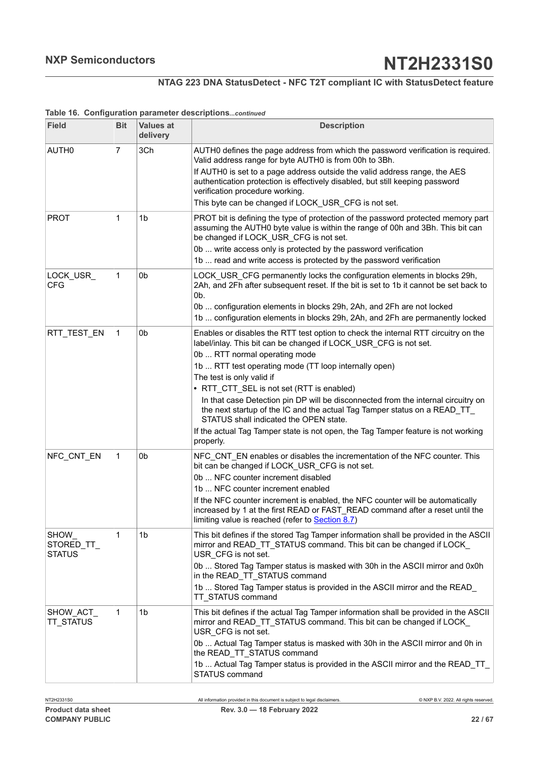## **NTAG 223 DNA StatusDetect - NFC T2T compliant IC with StatusDetect feature**

| <b>Field</b>                         | <b>Bit</b>     | <b>Values at</b><br>delivery | <b>Description</b>                                                                                                                                                                                                                                                                                                                                                                                                                                                                                                                                                                                                                       |
|--------------------------------------|----------------|------------------------------|------------------------------------------------------------------------------------------------------------------------------------------------------------------------------------------------------------------------------------------------------------------------------------------------------------------------------------------------------------------------------------------------------------------------------------------------------------------------------------------------------------------------------------------------------------------------------------------------------------------------------------------|
| AUTH <sub>0</sub>                    | $\overline{7}$ | 3Ch                          | AUTH0 defines the page address from which the password verification is required.<br>Valid address range for byte AUTH0 is from 00h to 3Bh.<br>If AUTH0 is set to a page address outside the valid address range, the AES<br>authentication protection is effectively disabled, but still keeping password<br>verification procedure working.<br>This byte can be changed if LOCK USR CFG is not set.                                                                                                                                                                                                                                     |
| <b>PROT</b>                          | 1              | 1 <sub>b</sub>               | PROT bit is defining the type of protection of the password protected memory part<br>assuming the AUTH0 byte value is within the range of 00h and 3Bh. This bit can<br>be changed if LOCK_USR_CFG is not set.<br>0b  write access only is protected by the password verification<br>1b  read and write access is protected by the password verification                                                                                                                                                                                                                                                                                  |
| LOCK_USR_<br><b>CFG</b>              | 1              | 0 <sub>b</sub>               | LOCK_USR_CFG permanently locks the configuration elements in blocks 29h,<br>2Ah, and 2Fh after subsequent reset. If the bit is set to 1b it cannot be set back to<br>0b.<br>0b  configuration elements in blocks 29h, 2Ah, and 2Fh are not locked<br>1b  configuration elements in blocks 29h, 2Ah, and 2Fh are permanently locked                                                                                                                                                                                                                                                                                                       |
| RTT_TEST_EN                          | 1              | 0b                           | Enables or disables the RTT test option to check the internal RTT circuitry on the<br>label/inlay. This bit can be changed if LOCK_USR_CFG is not set.<br>0b  RTT normal operating mode<br>1b  RTT test operating mode (TT loop internally open)<br>The test is only valid if<br>• RTT_CTT_SEL is not set (RTT is enabled)<br>In that case Detection pin DP will be disconnected from the internal circuitry on<br>the next startup of the IC and the actual Tag Tamper status on a READ_TT_<br>STATUS shall indicated the OPEN state.<br>If the actual Tag Tamper state is not open, the Tag Tamper feature is not working<br>properly. |
| NFC_CNT_EN                           | 1              | 0 <sub>b</sub>               | NFC CNT EN enables or disables the incrementation of the NFC counter. This<br>bit can be changed if LOCK_USR_CFG is not set.<br>0b  NFC counter increment disabled<br>1b  NFC counter increment enabled<br>If the NFC counter increment is enabled, the NFC counter will be automatically<br>increased by 1 at the first READ or FAST_READ command after a reset until the<br>limiting value is reached (refer to <b>Section 8.7)</b>                                                                                                                                                                                                    |
| SHOW_<br>STORED_TT_<br><b>STATUS</b> | 1              | 1 <sub>b</sub>               | This bit defines if the stored Tag Tamper information shall be provided in the ASCII<br>mirror and READ TT STATUS command. This bit can be changed if LOCK<br>USR_CFG is not set.<br>0b  Stored Tag Tamper status is masked with 30h in the ASCII mirror and 0x0h<br>in the READ_TT_STATUS command<br>1b  Stored Tag Tamper status is provided in the ASCII mirror and the READ<br>TT_STATUS command                                                                                                                                                                                                                                     |
| SHOW ACT<br><b>TT STATUS</b>         | 1              | 1 <sub>b</sub>               | This bit defines if the actual Tag Tamper information shall be provided in the ASCII<br>mirror and READ_TT_STATUS command. This bit can be changed if LOCK_<br>USR CFG is not set.<br>0b  Actual Tag Tamper status is masked with 30h in the ASCII mirror and 0h in<br>the READ_TT_STATUS command<br>1b  Actual Tag Tamper status is provided in the ASCII mirror and the READ_TT_<br>STATUS command                                                                                                                                                                                                                                     |

#### **Table 16. Configuration parameter descriptions***...continued*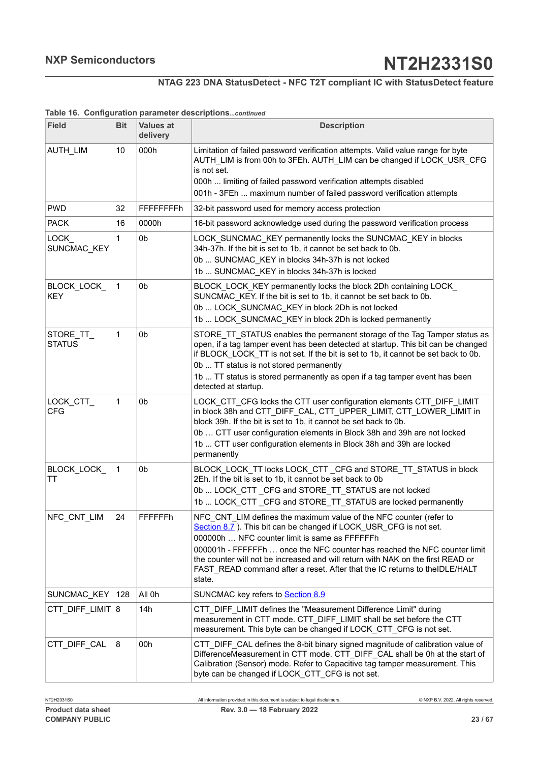## **NTAG 223 DNA StatusDetect - NFC T2T compliant IC with StatusDetect feature**

| <b>Field</b>               | <b>Bit</b> | <b>Values at</b><br>delivery | <b>Description</b>                                                                                                                                                                                                                                                                                                                                                                                                                               |
|----------------------------|------------|------------------------------|--------------------------------------------------------------------------------------------------------------------------------------------------------------------------------------------------------------------------------------------------------------------------------------------------------------------------------------------------------------------------------------------------------------------------------------------------|
| AUTH_LIM                   | 10         | 000h                         | Limitation of failed password verification attempts. Valid value range for byte<br>AUTH_LIM is from 00h to 3FEh. AUTH_LIM can be changed if LOCK_USR_CFG<br>is not set.<br>000h  limiting of failed password verification attempts disabled<br>001h - 3FEh  maximum number of failed password verification attempts                                                                                                                              |
| <b>PWD</b>                 | 32         | <b>FFFFFFFFh</b>             | 32-bit password used for memory access protection                                                                                                                                                                                                                                                                                                                                                                                                |
| <b>PACK</b>                | 16         | 0000h                        | 16-bit password acknowledge used during the password verification process                                                                                                                                                                                                                                                                                                                                                                        |
| LOCK<br>SUNCMAC KEY        | 1          | 0 <sub>b</sub>               | LOCK_SUNCMAC_KEY permanently locks the SUNCMAC_KEY in blocks<br>34h-37h. If the bit is set to 1b, it cannot be set back to 0b.<br>0b  SUNCMAC_KEY in blocks 34h-37h is not locked<br>1b  SUNCMAC_KEY in blocks 34h-37h is locked                                                                                                                                                                                                                 |
| BLOCK_LOCK_<br><b>KEY</b>  | 1          | 0 <sub>b</sub>               | BLOCK LOCK KEY permanently locks the block 2Dh containing LOCK<br>SUNCMAC_KEY. If the bit is set to 1b, it cannot be set back to 0b.<br>0b  LOCK SUNCMAC KEY in block 2Dh is not locked<br>1b  LOCK SUNCMAC KEY in block 2Dh is locked permanently                                                                                                                                                                                               |
| STORE_TT_<br><b>STATUS</b> | 1          | 0 <sub>b</sub>               | STORE TT STATUS enables the permanent storage of the Tag Tamper status as<br>open, if a tag tamper event has been detected at startup. This bit can be changed<br>if BLOCK_LOCK_TT is not set. If the bit is set to 1b, it cannot be set back to 0b.<br>0b  TT status is not stored permanently<br>1b  TT status is stored permanently as open if a tag tamper event has been<br>detected at startup.                                            |
| LOCK_CTT_<br><b>CFG</b>    | 1          | 0b                           | LOCK CTT CFG locks the CTT user configuration elements CTT DIFF LIMIT<br>in block 38h and CTT_DIFF_CAL, CTT_UPPER_LIMIT, CTT_LOWER_LIMIT in<br>block 39h. If the bit is set to 1b, it cannot be set back to 0b.<br>0b  CTT user configuration elements in Block 38h and 39h are not locked<br>1b  CTT user configuration elements in Block 38h and 39h are locked<br>permanently                                                                 |
| <b>BLOCK LOCK</b><br>TT    | 1          | 0 <sub>b</sub>               | BLOCK_LOCK_TT locks LOCK_CTT _CFG and STORE_TT_STATUS in block<br>2Eh. If the bit is set to 1b, it cannot be set back to 0b<br>0b  LOCK CTT CFG and STORE TT STATUS are not locked<br>1b  LOCK_CTT _CFG and STORE_TT_STATUS are locked permanently                                                                                                                                                                                               |
| NFC CNT LIM                | 24         | FFFFFFh                      | NFC CNT LIM defines the maximum value of the NFC counter (refer to<br>Section 8.7). This bit can be changed if LOCK_USR_CFG is not set.<br>000000h  NFC counter limit is same as FFFFFFh<br>000001h - FFFFFFh  once the NFC counter has reached the NFC counter limit<br>the counter will not be increased and will return with NAK on the first READ or<br>FAST_READ command after a reset. After that the IC returns to theIDLE/HALT<br>state. |
| SUNCMAC_KEY                | 128        | All 0h                       | SUNCMAC key refers to Section 8.9                                                                                                                                                                                                                                                                                                                                                                                                                |
| CTT_DIFF_LIMIT 8           |            | 14h                          | CTT_DIFF_LIMIT defines the "Measurement Difference Limit" during<br>measurement in CTT mode. CTT DIFF LIMIT shall be set before the CTT<br>measurement. This byte can be changed if LOCK CTT CFG is not set.                                                                                                                                                                                                                                     |
| CTT_DIFF_CAL               | 8          | 00h                          | CTT_DIFF_CAL defines the 8-bit binary signed magnitude of calibration value of<br>DifferenceMeasurement in CTT mode. CTT_DIFF_CAL shall be 0h at the start of<br>Calibration (Sensor) mode. Refer to Capacitive tag tamper measurement. This<br>byte can be changed if LOCK_CTT_CFG is not set.                                                                                                                                                  |

#### **Table 16. Configuration parameter descriptions***...continued*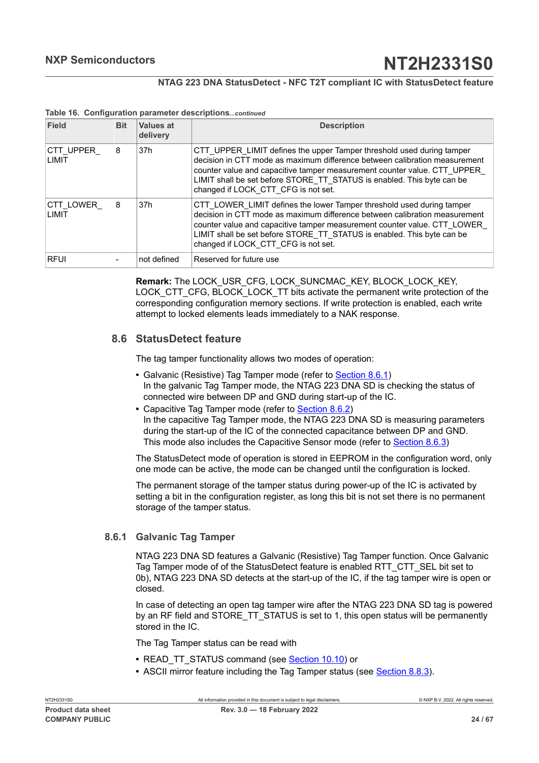#### **NTAG 223 DNA StatusDetect - NFC T2T compliant IC with StatusDetect feature**

| Field               | <b>Bit</b> | Values at<br>delivery | <b>Description</b>                                                                                                                                                                                                                                                                                                                               |
|---------------------|------------|-----------------------|--------------------------------------------------------------------------------------------------------------------------------------------------------------------------------------------------------------------------------------------------------------------------------------------------------------------------------------------------|
| ICTT UPPER<br>LIMIT | 8          | 37 <sub>h</sub>       | CTT UPPER LIMIT defines the upper Tamper threshold used during tamper<br>decision in CTT mode as maximum difference between calibration measurement<br>counter value and capacitive tamper measurement counter value. CTT UPPER<br>LIMIT shall be set before STORE TT STATUS is enabled. This byte can be<br>changed if LOCK CTT CFG is not set. |
| CTT LOWER<br>LIMIT  | 8          | 37h                   | CTT LOWER LIMIT defines the lower Tamper threshold used during tamper<br>decision in CTT mode as maximum difference between calibration measurement<br>counter value and capacitive tamper measurement counter value. CTT LOWER<br>LIMIT shall be set before STORE TT STATUS is enabled. This byte can be<br>changed if LOCK CTT CFG is not set. |
| <b>RFUI</b>         |            | not defined           | Reserved for future use                                                                                                                                                                                                                                                                                                                          |

#### **Table 16. Configuration parameter descriptions***...continued*

**Remark:** The LOCK\_USR\_CFG, LOCK\_SUNCMAC\_KEY, BLOCK\_LOCK\_KEY, LOCK\_CTT\_CFG, BLOCK\_LOCK\_TT bits activate the permanent write protection of the corresponding configuration memory sections. If write protection is enabled, each write attempt to locked elements leads immediately to a NAK response.

## **8.6 StatusDetect feature**

<span id="page-23-1"></span>The tag tamper functionality allows two modes of operation:

- **•** Galvanic (Resistive) Tag Tamper mode (refer to [Section 8.6.1\)](#page-23-0) In the galvanic Tag Tamper mode, the NTAG 223 DNA SD is checking the status of connected wire between DP and GND during start-up of the IC.
- **•** Capacitive Tag Tamper mode (refer to [Section 8.6.2\)](#page-24-0) In the capacitive Tag Tamper mode, the NTAG 223 DNA SD is measuring parameters during the start-up of the IC of the connected capacitance between DP and GND. This mode also includes the Capacitive Sensor mode (refer to [Section 8.6.3\)](#page-26-1)

The StatusDetect mode of operation is stored in EEPROM in the configuration word, only one mode can be active, the mode can be changed until the configuration is locked.

The permanent storage of the tamper status during power-up of the IC is activated by setting a bit in the configuration register, as long this bit is not set there is no permanent storage of the tamper status.

#### **8.6.1 Galvanic Tag Tamper**

<span id="page-23-0"></span>NTAG 223 DNA SD features a Galvanic (Resistive) Tag Tamper function. Once Galvanic Tag Tamper mode of of the StatusDetect feature is enabled RTT\_CTT\_SEL bit set to 0b), NTAG 223 DNA SD detects at the start-up of the IC, if the tag tamper wire is open or closed.

In case of detecting an open tag tamper wire after the NTAG 223 DNA SD tag is powered by an RF field and STORE TT\_STATUS is set to 1, this open status will be permanently stored in the IC.

The Tag Tamper status can be read with

- READ\_TT\_STATUS command (see [Section 10.10](#page-48-0)) or
- **•** ASCII mirror feature including the Tag Tamper status (see [Section 8.8.3\)](#page-28-0).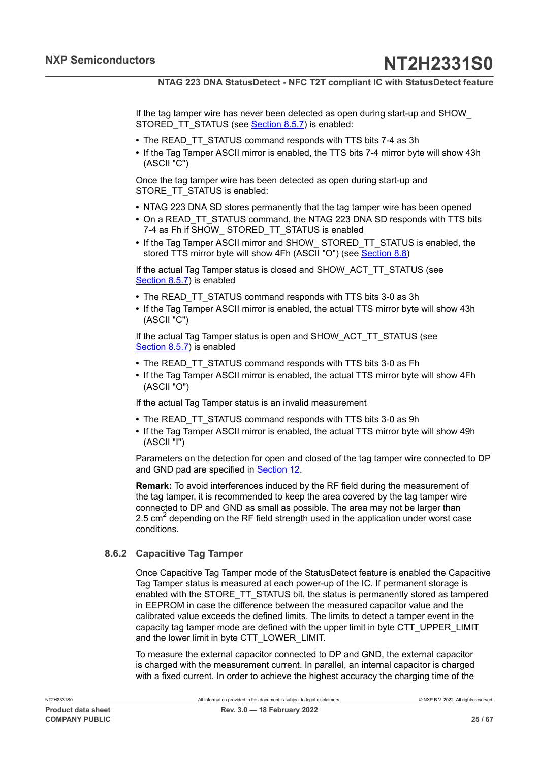If the tag tamper wire has never been detected as open during start-up and SHOW\_ STORED TT STATUS (see [Section 8.5.7](#page-17-4)) is enabled:

- **•** The READ\_TT\_STATUS command responds with TTS bits 7-4 as 3h
- **•** If the Tag Tamper ASCII mirror is enabled, the TTS bits 7-4 mirror byte will show 43h (ASCII "C")

Once the tag tamper wire has been detected as open during start-up and STORE\_TT\_STATUS is enabled:

- **•** NTAG 223 DNA SD stores permanently that the tag tamper wire has been opened
- On a READ TT\_STATUS command, the NTAG 223 DNA SD responds with TTS bits 7-4 as Fh if SHOW\_ STORED\_TT\_STATUS is enabled
- **•** If the Tag Tamper ASCII mirror and SHOW\_ STORED\_TT\_STATUS is enabled, the stored TTS mirror byte will show 4Fh (ASCII "O") (see [Section 8.8](#page-27-0))

If the actual Tag Tamper status is closed and SHOW\_ACT\_TT\_STATUS (see [Section 8.5.7](#page-17-4)) is enabled

- **•** The READ\_TT\_STATUS command responds with TTS bits 3-0 as 3h
- **•** If the Tag Tamper ASCII mirror is enabled, the actual TTS mirror byte will show 43h (ASCII "C")

If the actual Tag Tamper status is open and SHOW\_ACT\_TT\_STATUS (see [Section 8.5.7](#page-17-4)) is enabled

- **•** The READ\_TT\_STATUS command responds with TTS bits 3-0 as Fh
- **•** If the Tag Tamper ASCII mirror is enabled, the actual TTS mirror byte will show 4Fh (ASCII "O")

If the actual Tag Tamper status is an invalid measurement

- **•** The READ\_TT\_STATUS command responds with TTS bits 3-0 as 9h
- **•** If the Tag Tamper ASCII mirror is enabled, the actual TTS mirror byte will show 49h (ASCII "I")

Parameters on the detection for open and closed of the tag tamper wire connected to DP and GND pad are specified in **[Section 12](#page-53-0).** 

**Remark:** To avoid interferences induced by the RF field during the measurement of the tag tamper, it is recommended to keep the area covered by the tag tamper wire connected to DP and GND as small as possible. The area may not be larger than 2.5 cm<sup>2</sup> depending on the RF field strength used in the application under worst case conditions.

#### **8.6.2 Capacitive Tag Tamper**

<span id="page-24-0"></span>Once Capacitive Tag Tamper mode of the StatusDetect feature is enabled the Capacitive Tag Tamper status is measured at each power-up of the IC. If permanent storage is enabled with the STORE\_TT\_STATUS bit, the status is permanently stored as tampered in EEPROM in case the difference between the measured capacitor value and the calibrated value exceeds the defined limits. The limits to detect a tamper event in the capacity tag tamper mode are defined with the upper limit in byte CTT\_UPPER\_LIMIT and the lower limit in byte CTT\_LOWER\_LIMIT.

To measure the external capacitor connected to DP and GND, the external capacitor is charged with the measurement current. In parallel, an internal capacitor is charged with a fixed current. In order to achieve the highest accuracy the charging time of the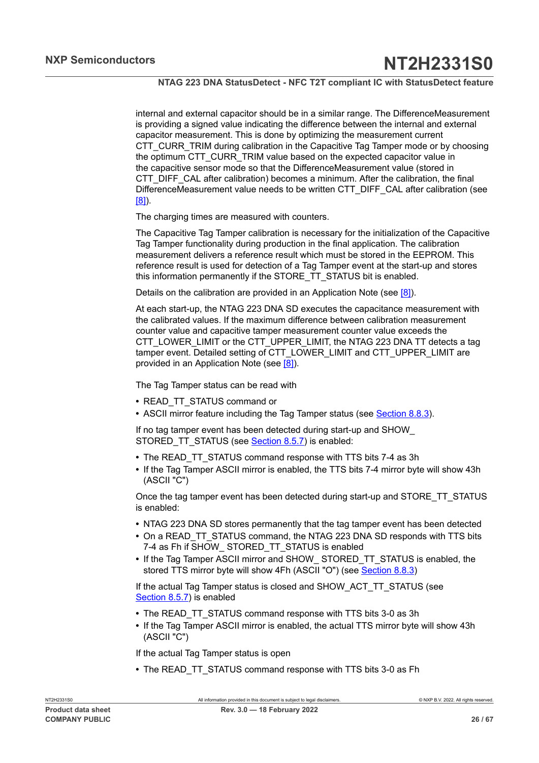internal and external capacitor should be in a similar range. The DifferenceMeasurement is providing a signed value indicating the difference between the internal and external capacitor measurement. This is done by optimizing the measurement current CTT\_CURR\_TRIM during calibration in the Capacitive Tag Tamper mode or by choosing the optimum CTT\_CURR\_TRIM value based on the expected capacitor value in the capacitive sensor mode so that the DifferenceMeasurement value (stored in CTT\_DIFF\_CAL after calibration) becomes a minimum. After the calibration, the final DifferenceMeasurement value needs to be written CTT\_DIFF\_CAL after calibration (see [\[8\]](#page-60-4)).

The charging times are measured with counters.

The Capacitive Tag Tamper calibration is necessary for the initialization of the Capacitive Tag Tamper functionality during production in the final application. The calibration measurement delivers a reference result which must be stored in the EEPROM. This reference result is used for detection of a Tag Tamper event at the start-up and stores this information permanently if the STORE\_TT\_STATUS bit is enabled.

Details on the calibration are provided in an Application Note (see [\[8\]\)](#page-60-4).

At each start-up, the NTAG 223 DNA SD executes the capacitance measurement with the calibrated values. If the maximum difference between calibration measurement counter value and capacitive tamper measurement counter value exceeds the CTT\_LOWER\_LIMIT or the CTT\_UPPER\_LIMIT, the NTAG 223 DNA TT detects a tag tamper event. Detailed setting of CTT\_LOWER\_LIMIT and CTT\_UPPER\_LIMIT are provided in an Application Note (see [\[8\]](#page-60-4)).

The Tag Tamper status can be read with

- **•** READ\_TT\_STATUS command or
- **•** ASCII mirror feature including the Tag Tamper status (see [Section 8.8.3\)](#page-28-0).

If no tag tamper event has been detected during start-up and SHOW\_ STORED\_TT\_STATUS (see **[Section 8.5.7](#page-17-4)**) is enabled:

- **•** The READ\_TT\_STATUS command response with TTS bits 7-4 as 3h
- **•** If the Tag Tamper ASCII mirror is enabled, the TTS bits 7-4 mirror byte will show 43h (ASCII "C")

Once the tag tamper event has been detected during start-up and STORE\_TT\_STATUS is enabled:

- **•** NTAG 223 DNA SD stores permanently that the tag tamper event has been detected
- **•** On a READ\_TT\_STATUS command, the NTAG 223 DNA SD responds with TTS bits 7-4 as Fh if SHOW STORED TT STATUS is enabled
- **•** If the Tag Tamper ASCII mirror and SHOW\_ STORED\_TT\_STATUS is enabled, the stored TTS mirror byte will show 4Fh (ASCII "O") (see [Section 8.8.3\)](#page-28-0)

If the actual Tag Tamper status is closed and SHOW\_ACT\_TT\_STATUS (see [Section 8.5.7](#page-17-4)) is enabled

- **•** The READ\_TT\_STATUS command response with TTS bits 3-0 as 3h
- **•** If the Tag Tamper ASCII mirror is enabled, the actual TTS mirror byte will show 43h (ASCII "C")

If the actual Tag Tamper status is open

**•** The READ\_TT\_STATUS command response with TTS bits 3-0 as Fh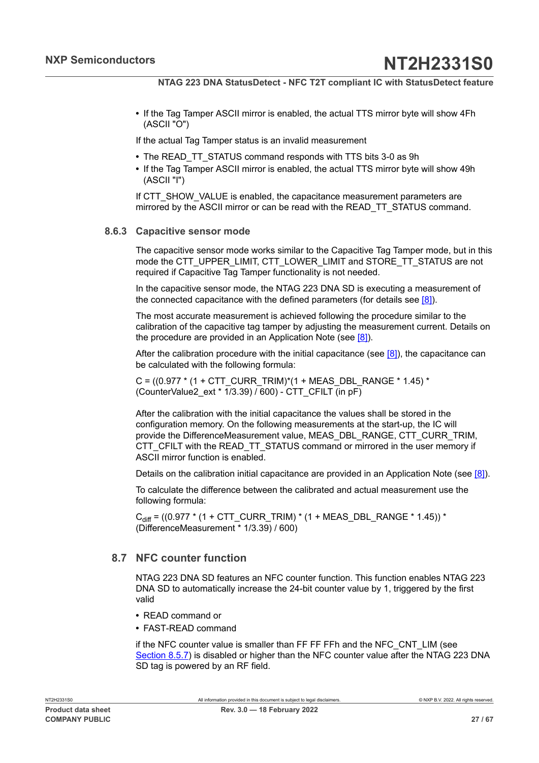**•** If the Tag Tamper ASCII mirror is enabled, the actual TTS mirror byte will show 4Fh (ASCII "O")

If the actual Tag Tamper status is an invalid measurement

- **•** The READ\_TT\_STATUS command responds with TTS bits 3-0 as 9h
- **•** If the Tag Tamper ASCII mirror is enabled, the actual TTS mirror byte will show 49h (ASCII "I")

If CTT\_SHOW\_VALUE is enabled, the capacitance measurement parameters are mirrored by the ASCII mirror or can be read with the READ\_TT\_STATUS command.

#### **8.6.3 Capacitive sensor mode**

<span id="page-26-1"></span>The capacitive sensor mode works similar to the Capacitive Tag Tamper mode, but in this mode the CTT\_UPPER\_LIMIT, CTT\_LOWER\_LIMIT and STORE\_TT\_STATUS are not required if Capacitive Tag Tamper functionality is not needed.

In the capacitive sensor mode, the NTAG 223 DNA SD is executing a measurement of the connected capacitance with the defined parameters (for details see [\[8\]](#page-60-4)).

The most accurate measurement is achieved following the procedure similar to the calibration of the capacitive tag tamper by adjusting the measurement current. Details on the procedure are provided in an Application Note (see [\[8\]](#page-60-4)).

After the calibration procedure with the initial capacitance (see  $[8]$ ), the capacitance can be calculated with the following formula:

C =  $((0.977 * (1 + CTT-CURR TRIM)*(1 + MEAS DBL RANGE * 1.45) *$ (CounterValue2\_ext \* 1/3.39) / 600) - CTT\_CFILT (in pF)

After the calibration with the initial capacitance the values shall be stored in the configuration memory. On the following measurements at the start-up, the IC will provide the DifferenceMeasurement value, MEAS\_DBL\_RANGE, CTT\_CURR\_TRIM, CTT\_CFILT with the READ\_TT\_STATUS command or mirrored in the user memory if ASCII mirror function is enabled.

Details on the calibration initial capacitance are provided in an Application Note (see [\[8\]\)](#page-60-4).

To calculate the difference between the calibrated and actual measurement use the following formula:

C<sub>diff</sub> = ((0.977 \* (1 + CTT\_CURR\_TRIM) \* (1 + MEAS\_DBL\_RANGE \* 1.45)) \* (DifferenceMeasurement \* 1/3.39) / 600)

## <span id="page-26-0"></span>**8.7 NFC counter function**

NTAG 223 DNA SD features an NFC counter function. This function enables NTAG 223 DNA SD to automatically increase the 24-bit counter value by 1, triggered by the first valid

- **•** READ command or
- **•** FAST-READ command

if the NFC counter value is smaller than FF FF FFh and the NFC\_CNT\_LIM (see [Section 8.5.7](#page-17-4)) is disabled or higher than the NFC counter value after the NTAG 223 DNA SD tag is powered by an RF field.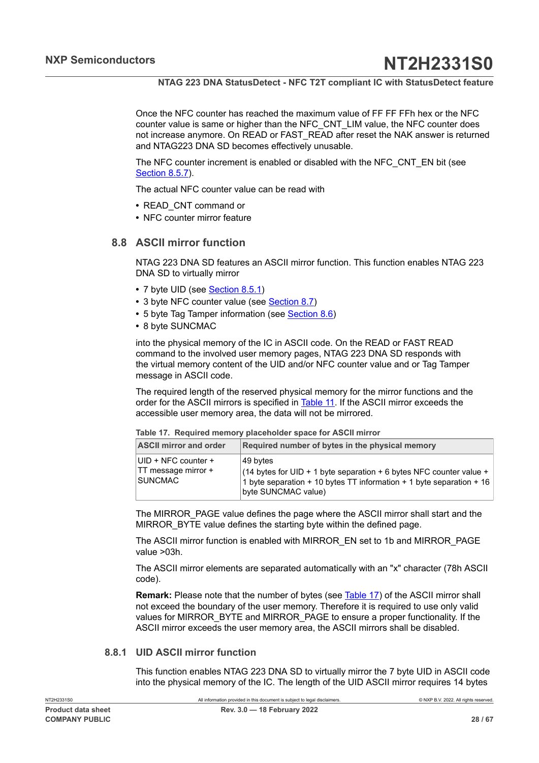Once the NFC counter has reached the maximum value of FF FF FFh hex or the NFC counter value is same or higher than the NFC\_CNT\_LIM value, the NFC counter does not increase anymore. On READ or FAST\_READ after reset the NAK answer is returned and NTAG223 DNA SD becomes effectively unusable.

The NFC counter increment is enabled or disabled with the NFC\_CNT\_EN bit (see [Section 8.5.7](#page-17-4)).

The actual NFC counter value can be read with

- **•** READ\_CNT command or
- <span id="page-27-0"></span>**•** NFC counter mirror feature

#### **8.8 ASCII mirror function**

NTAG 223 DNA SD features an ASCII mirror function. This function enables NTAG 223 DNA SD to virtually mirror

- **•** 7 byte UID (see [Section 8.5.1](#page-14-0))
- 3 byte NFC counter value (see **[Section 8.7\)](#page-26-0)**
- **•** 5 byte Tag Tamper information (see [Section 8.6\)](#page-23-1)
- **•** 8 byte SUNCMAC

into the physical memory of the IC in ASCII code. On the READ or FAST READ command to the involved user memory pages, NTAG 223 DNA SD responds with the virtual memory content of the UID and/or NFC counter value and or Tag Tamper message in ASCII code.

The required length of the reserved physical memory for the mirror functions and the order for the ASCII mirrors is specified in [Table](#page-27-1) 11. If the ASCII mirror exceeds the accessible user memory area, the data will not be mirrored.

<span id="page-27-2"></span><span id="page-27-1"></span>

|  |  |  | Table 17. Required memory placeholder space for ASCII mirror |  |  |  |  |
|--|--|--|--------------------------------------------------------------|--|--|--|--|
|--|--|--|--------------------------------------------------------------|--|--|--|--|

| <b>ASCII mirror and order</b>                         | Required number of bytes in the physical memory                                                                                                                                |
|-------------------------------------------------------|--------------------------------------------------------------------------------------------------------------------------------------------------------------------------------|
| UID + NFC counter +<br>TT message mirror +<br>SUNCMAC | 49 bytes<br>(14 bytes for UID + 1 byte separation + 6 bytes NFC counter value +<br>1 byte separation + 10 bytes TT information + 1 byte separation + 16<br>byte SUNCMAC value) |

The MIRROR\_PAGE value defines the page where the ASCII mirror shall start and the MIRROR BYTE value defines the starting byte within the defined page.

The ASCII mirror function is enabled with MIRROR\_EN set to 1b and MIRROR\_PAGE value >03h.

The ASCII mirror elements are separated automatically with an "x" character (78h ASCII code).

**Remark:** Please note that the number of bytes (see [Table](#page-27-2) 17) of the ASCII mirror shall not exceed the boundary of the user memory. Therefore it is required to use only valid values for MIRROR\_BYTE and MIRROR\_PAGE to ensure a proper functionality. If the ASCII mirror exceeds the user memory area, the ASCII mirrors shall be disabled.

#### **8.8.1 UID ASCII mirror function**

<span id="page-27-3"></span>This function enables NTAG 223 DNA SD to virtually mirror the 7 byte UID in ASCII code into the physical memory of the IC. The length of the UID ASCII mirror requires 14 bytes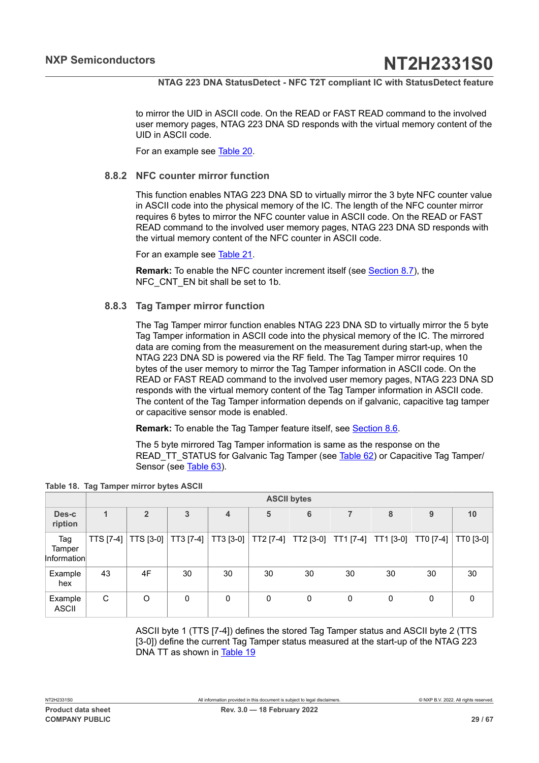to mirror the UID in ASCII code. On the READ or FAST READ command to the involved user memory pages, NTAG 223 DNA SD responds with the virtual memory content of the UID in ASCII code.

<span id="page-28-2"></span>For an example see [Table](#page-29-1) 20.

#### **8.8.2 NFC counter mirror function**

This function enables NTAG 223 DNA SD to virtually mirror the 3 byte NFC counter value in ASCII code into the physical memory of the IC. The length of the NFC counter mirror requires 6 bytes to mirror the NFC counter value in ASCII code. On the READ or FAST READ command to the involved user memory pages, NTAG 223 DNA SD responds with the virtual memory content of the NFC counter in ASCII code.

For an example see [Table](#page-30-0) 21.

**Remark:** To enable the NFC counter increment itself (see [Section 8.7](#page-26-0)), the NFC CNT EN bit shall be set to 1b.

#### **8.8.3 Tag Tamper mirror function**

<span id="page-28-0"></span>The Tag Tamper mirror function enables NTAG 223 DNA SD to virtually mirror the 5 byte Tag Tamper information in ASCII code into the physical memory of the IC. The mirrored data are coming from the measurement on the measurement during start-up, when the NTAG 223 DNA SD is powered via the RF field. The Tag Tamper mirror requires 10 bytes of the user memory to mirror the Tag Tamper information in ASCII code. On the READ or FAST READ command to the involved user memory pages, NTAG 223 DNA SD responds with the virtual memory content of the Tag Tamper information in ASCII code. The content of the Tag Tamper information depends on if galvanic, capacitive tag tamper or capacitive sensor mode is enabled.

**Remark:** To enable the Tag Tamper feature itself, see [Section 8.6](#page-23-1).

<span id="page-28-1"></span>The 5 byte mirrored Tag Tamper information is same as the response on the READ TT\_STATUS for Galvanic Tag Tamper (see [Table](#page-49-0) 62) or Capacitive Tag Tamper/ Sensor (see [Table](#page-50-0) 63).

|                              |              | <b>ASCII bytes</b> |           |           |           |                 |           |           |           |           |
|------------------------------|--------------|--------------------|-----------|-----------|-----------|-----------------|-----------|-----------|-----------|-----------|
| Des-c<br>ription             | $\mathbf{1}$ | $\overline{2}$     | 3         | 4         | 5         | $6\phantom{1}6$ |           | 8         | 9         | 10        |
| Tag<br>Tamper<br>Information | TTS [7-4]    | TTS [3-0]          | TT3 [7-4] | TT3 [3-0] | TT2 [7-4] | TT2 [3-0]       | TT1 [7-4] | TT1 [3-0] | TT0 [7-4] | TT0 [3-0] |
| Example<br>hex               | 43           | 4F                 | 30        | 30        | 30        | 30              | 30        | 30        | 30        | 30        |
| Example<br><b>ASCII</b>      | C            | O                  | 0         | 0         | 0         | 0               | 0         | 0         | 0         | $\Omega$  |

| Table 18. Tag Tamper mirror bytes ASCII |  |  |  |  |  |
|-----------------------------------------|--|--|--|--|--|
|-----------------------------------------|--|--|--|--|--|

ASCII byte 1 (TTS [7-4]) defines the stored Tag Tamper status and ASCII byte 2 (TTS [3-0]) define the current Tag Tamper status measured at the start-up of the NTAG 223 DNA TT as shown in [Table](#page-29-2) 19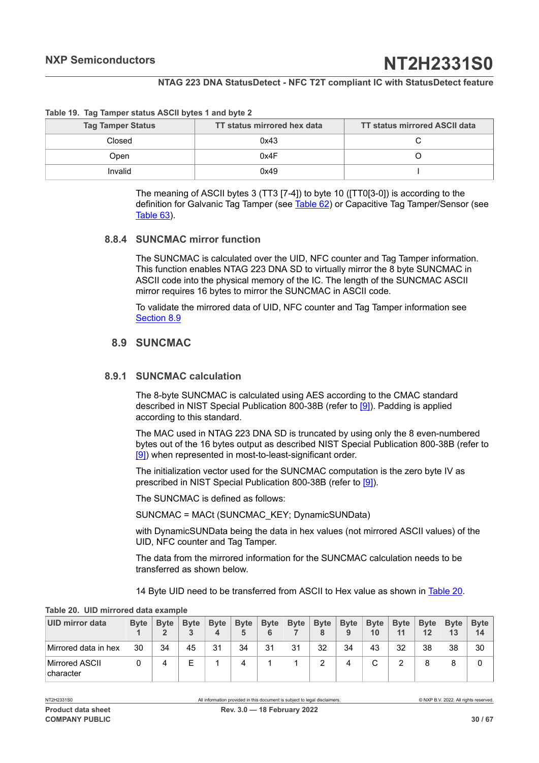#### **Table 19. Tag Tamper status ASCII bytes 1 and byte 2**

| <b>Tag Tamper Status</b> | TT status mirrored hex data | <b>TT status mirrored ASCII data</b> |
|--------------------------|-----------------------------|--------------------------------------|
| Closed                   | 0x43                        |                                      |
| Open                     | 0x4F                        |                                      |
| Invalid                  | 0x49                        |                                      |

<span id="page-29-2"></span>The meaning of ASCII bytes 3 (TT3 [7-4]) to byte 10 ([TT0[3-0]) is according to the definition for Galvanic Tag Tamper (see [Table](#page-49-0) 62) or Capacitive Tag Tamper/Sensor (see [Table](#page-50-0) 63).

#### **8.8.4 SUNCMAC mirror function**

<span id="page-29-3"></span>The SUNCMAC is calculated over the UID, NFC counter and Tag Tamper information. This function enables NTAG 223 DNA SD to virtually mirror the 8 byte SUNCMAC in ASCII code into the physical memory of the IC. The length of the SUNCMAC ASCII mirror requires 16 bytes to mirror the SUNCMAC in ASCII code.

To validate the mirrored data of UID, NFC counter and Tag Tamper information see [Section 8.9](#page-29-0)

## <span id="page-29-0"></span>**8.9 SUNCMAC**

#### **8.9.1 SUNCMAC calculation**

<span id="page-29-4"></span>The 8-byte SUNCMAC is calculated using AES according to the CMAC standard described in NIST Special Publication 800-38B (refer to [\[9\]\)](#page-60-5). Padding is applied according to this standard.

The MAC used in NTAG 223 DNA SD is truncated by using only the 8 even-numbered bytes out of the 16 bytes output as described NIST Special Publication 800-38B (refer to [\[9\]](#page-60-5)) when represented in most-to-least-significant order.

The initialization vector used for the SUNCMAC computation is the zero byte IV as prescribed in NIST Special Publication 800-38B (refer to [\[9\]](#page-60-5)).

The SUNCMAC is defined as follows:

SUNCMAC = MACt (SUNCMAC\_KEY; DynamicSUNData)

with DynamicSUNData being the data in hex values (not mirrored ASCII values) of the UID, NFC counter and Tag Tamper.

The data from the mirrored information for the SUNCMAC calculation needs to be transferred as shown below.

<span id="page-29-1"></span>14 Byte UID need to be transferred from ASCII to Hex value as shown in [Table](#page-29-1) 20.

| UID mirror data             | <b>Byte</b> | <b>Byte</b> | <b>Byte</b> | <b>Byte</b><br>4 | <b>Byte</b> | <b>Byte</b> | <b>Byte</b> | <b>Byte</b><br>8 | <b>Byte</b><br>9 | <b>Byte</b><br>10 | <b>Byte</b><br>11 | <b>B</b> vte<br>12 | <b>Byte</b><br>13 | <b>Byte</b><br>14 |
|-----------------------------|-------------|-------------|-------------|------------------|-------------|-------------|-------------|------------------|------------------|-------------------|-------------------|--------------------|-------------------|-------------------|
| Mirrored data in hex        | 30          | 34          | 45          | 31               | 34          | 31          | 31          | 32               | 34               | 43                | 32                | 38                 | 38                | 30                |
| Mirrored ASCII<br>character |             | 4           |             |                  |             |             |             | っ                | 4                |                   |                   | 8                  | 8                 | 0                 |

**Table 20. UID mirrored data example**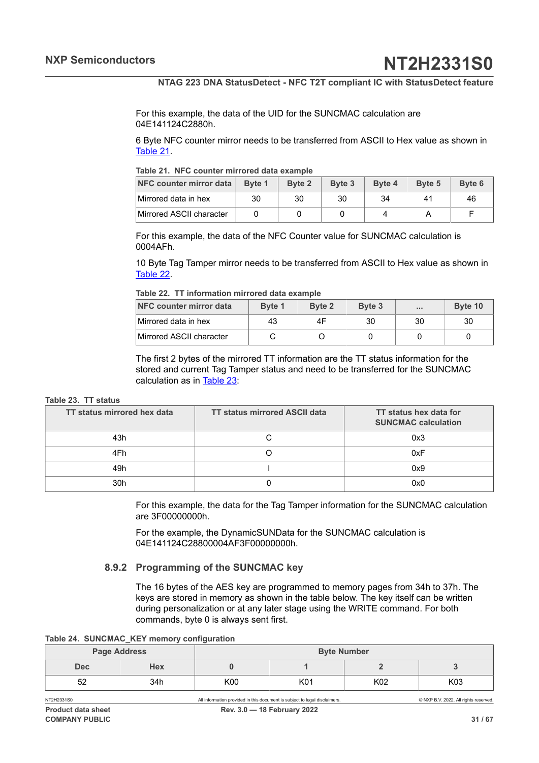For this example, the data of the UID for the SUNCMAC calculation are 04E141124C2880h.

6 Byte NFC counter mirror needs to be transferred from ASCII to Hex value as shown in [Table](#page-30-0) 21.

<span id="page-30-0"></span>**Table 21. NFC counter mirrored data example**

| NFC counter mirror data  | Byte 1 | Byte 2 | Byte 3 | Byte 4 | Byte 5 | Byte 6 |
|--------------------------|--------|--------|--------|--------|--------|--------|
| Mirrored data in hex     | 30     | 30     | 30     | 34     |        | 46     |
| Mirrored ASCII character |        |        |        |        |        |        |

For this example, the data of the NFC Counter value for SUNCMAC calculation is 0004AFh.

10 Byte Tag Tamper mirror needs to be transferred from ASCII to Hex value as shown in [Table](#page-30-1) 22.

<span id="page-30-1"></span>

|  |  | Table 22. TT information mirrored data example |  |  |  |
|--|--|------------------------------------------------|--|--|--|
|--|--|------------------------------------------------|--|--|--|

| NFC counter mirror data  | Byte 1 | Byte 2 | Byte 3 | 1.11 | Byte 10 |
|--------------------------|--------|--------|--------|------|---------|
| Mirrored data in hex     | 43     |        | 30     | 30   | 30      |
| Mirrored ASCII character |        |        |        |      |         |

<span id="page-30-2"></span>The first 2 bytes of the mirrored TT information are the TT status information for the stored and current Tag Tamper status and need to be transferred for the SUNCMAC calculation as in [Table](#page-30-2) 23:

#### **Table 23. TT status**

| TT status mirrored hex data | <b>TT status mirrored ASCII data</b> | TT status hex data for<br><b>SUNCMAC calculation</b> |
|-----------------------------|--------------------------------------|------------------------------------------------------|
| 43h                         |                                      | 0x3                                                  |
| 4Fh                         |                                      | 0xF                                                  |
| 49h                         |                                      | 0x9                                                  |
| 30h                         |                                      | 0x0                                                  |

For this example, the data for the Tag Tamper information for the SUNCMAC calculation are 3F00000000h.

For the example, the DynamicSUNData for the SUNCMAC calculation is 04E141124C28800004AF3F00000000h.

#### **8.9.2 Programming of the SUNCMAC key**

<span id="page-30-4"></span><span id="page-30-3"></span>The 16 bytes of the AES key are programmed to memory pages from 34h to 37h. The keys are stored in memory as shown in the table below. The key itself can be written during personalization or at any later stage using the WRITE command. For both commands, byte 0 is always sent first.

|  |  |  |  | Table 24. SUNCMAC_KEY memory configuration |
|--|--|--|--|--------------------------------------------|
|--|--|--|--|--------------------------------------------|

|            | <b>Page Address</b> |     | <b>Byte Number</b> |     |     |  |
|------------|---------------------|-----|--------------------|-----|-----|--|
| <b>Dec</b> | Hex                 |     |                    |     |     |  |
| 52         | 34h                 | K00 | K01                | K02 | K03 |  |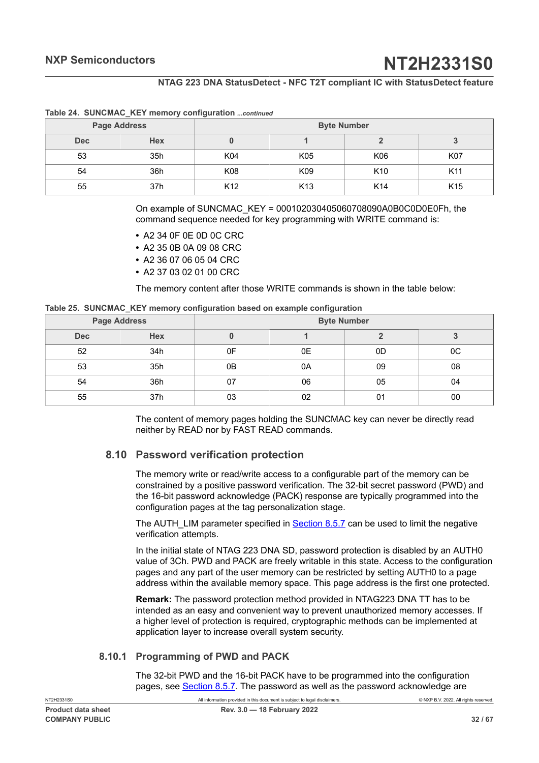|                          | <b>Page Address</b> | <b>Byte Number</b> |                 |                 |                 |  |  |  |
|--------------------------|---------------------|--------------------|-----------------|-----------------|-----------------|--|--|--|
| <b>Hex</b><br><b>Dec</b> |                     |                    |                 |                 |                 |  |  |  |
| 53                       | 35h                 | K04                | K05             | K06             | <b>K07</b>      |  |  |  |
| 54                       | 36h                 | K08                | K09             | K <sub>10</sub> | K <sub>11</sub> |  |  |  |
| 55                       | 37h                 | K <sub>12</sub>    | K <sub>13</sub> | K <sub>14</sub> | K <sub>15</sub> |  |  |  |

#### **Table 24. SUNCMAC\_KEY memory configuration** *...continued*

On example of SUNCMAC\_KEY = 000102030405060708090A0B0C0D0E0Fh, the command sequence needed for key programming with WRITE command is:

- **•** A2 34 0F 0E 0D 0C CRC
- **•** A2 35 0B 0A 09 08 CRC
- **•** A2 36 07 06 05 04 CRC
- **•** A2 37 03 02 01 00 CRC

<span id="page-31-1"></span>The memory content after those WRITE commands is shown in the table below:

|  |  |  | Table 25. SUNCMAC_KEY memory configuration based on example configuration |  |
|--|--|--|---------------------------------------------------------------------------|--|
|  |  |  |                                                                           |  |

|            | <b>Page Address</b> | <b>Byte Number</b> |    |    |         |  |  |  |
|------------|---------------------|--------------------|----|----|---------|--|--|--|
| <b>Dec</b> | <b>Hex</b>          |                    |    |    |         |  |  |  |
| 52         | 34h                 | 0F                 | 0E | 0D | $_{0C}$ |  |  |  |
| 53         | 35h                 | 0B                 | 0A | 09 | 08      |  |  |  |
| 54         | 36h                 | 07                 | 06 | 05 | 04      |  |  |  |
| 55         | 37h                 | 03                 | 02 | 01 | 00      |  |  |  |

The content of memory pages holding the SUNCMAC key can never be directly read neither by READ nor by FAST READ commands.

#### **8.10 Password verification protection**

<span id="page-31-0"></span>The memory write or read/write access to a configurable part of the memory can be constrained by a positive password verification. The 32-bit secret password (PWD) and the 16-bit password acknowledge (PACK) response are typically programmed into the configuration pages at the tag personalization stage.

The AUTH\_LIM parameter specified in [Section 8.5.7](#page-17-4) can be used to limit the negative verification attempts.

In the initial state of NTAG 223 DNA SD, password protection is disabled by an AUTH0 value of 3Ch. PWD and PACK are freely writable in this state. Access to the configuration pages and any part of the user memory can be restricted by setting AUTH0 to a page address within the available memory space. This page address is the first one protected.

**Remark:** The password protection method provided in NTAG223 DNA TT has to be intended as an easy and convenient way to prevent unauthorized memory accesses. If a higher level of protection is required, cryptographic methods can be implemented at application layer to increase overall system security.

#### **8.10.1 Programming of PWD and PACK**

<span id="page-31-2"></span>The 32-bit PWD and the 16-bit PACK have to be programmed into the configuration pages, see [Section 8.5.7.](#page-17-4) The password as well as the password acknowledge are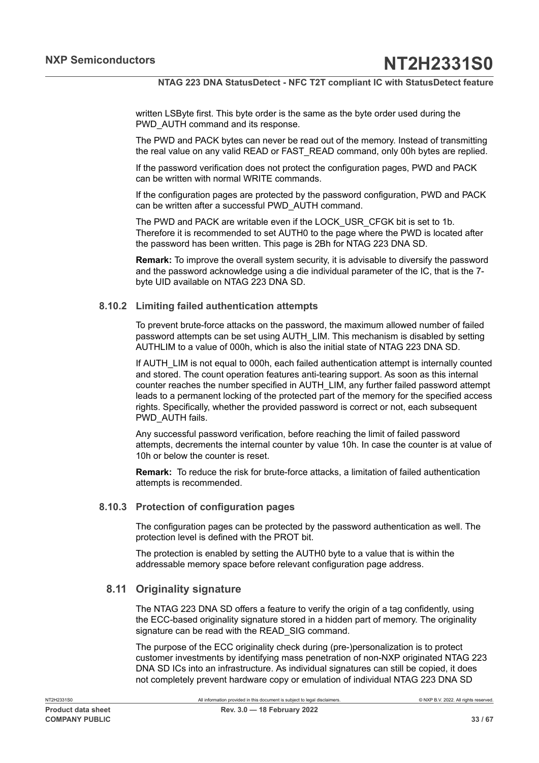written LSByte first. This byte order is the same as the byte order used during the PWD AUTH command and its response.

The PWD and PACK bytes can never be read out of the memory. Instead of transmitting the real value on any valid READ or FAST\_READ command, only 00h bytes are replied.

If the password verification does not protect the configuration pages, PWD and PACK can be written with normal WRITE commands.

If the configuration pages are protected by the password configuration, PWD and PACK can be written after a successful PWD\_AUTH command.

The PWD and PACK are writable even if the LOCK\_USR\_CFGK bit is set to 1b. Therefore it is recommended to set AUTH0 to the page where the PWD is located after the password has been written. This page is 2Bh for NTAG 223 DNA SD.

**Remark:** To improve the overall system security, it is advisable to diversify the password and the password acknowledge using a die individual parameter of the IC, that is the 7 byte UID available on NTAG 223 DNA SD.

#### **8.10.2 Limiting failed authentication attempts**

<span id="page-32-0"></span>To prevent brute-force attacks on the password, the maximum allowed number of failed password attempts can be set using AUTH\_LIM. This mechanism is disabled by setting AUTHLIM to a value of 000h, which is also the initial state of NTAG 223 DNA SD.

If AUTH\_LIM is not equal to 000h, each failed authentication attempt is internally counted and stored. The count operation features anti-tearing support. As soon as this internal counter reaches the number specified in AUTH\_LIM, any further failed password attempt leads to a permanent locking of the protected part of the memory for the specified access rights. Specifically, whether the provided password is correct or not, each subsequent PWD\_AUTH fails.

Any successful password verification, before reaching the limit of failed password attempts, decrements the internal counter by value 10h. In case the counter is at value of 10h or below the counter is reset.

**Remark:** To reduce the risk for brute-force attacks, a limitation of failed authentication attempts is recommended.

#### **8.10.3 Protection of configuration pages**

<span id="page-32-1"></span>The configuration pages can be protected by the password authentication as well. The protection level is defined with the PROT bit.

The protection is enabled by setting the AUTH0 byte to a value that is within the addressable memory space before relevant configuration page address.

### **8.11 Originality signature**

<span id="page-32-2"></span>The NTAG 223 DNA SD offers a feature to verify the origin of a tag confidently, using the ECC-based originality signature stored in a hidden part of memory. The originality signature can be read with the READ SIG command.

The purpose of the ECC originality check during (pre-)personalization is to protect customer investments by identifying mass penetration of non-NXP originated NTAG 223 DNA SD ICs into an infrastructure. As individual signatures can still be copied, it does not completely prevent hardware copy or emulation of individual NTAG 223 DNA SD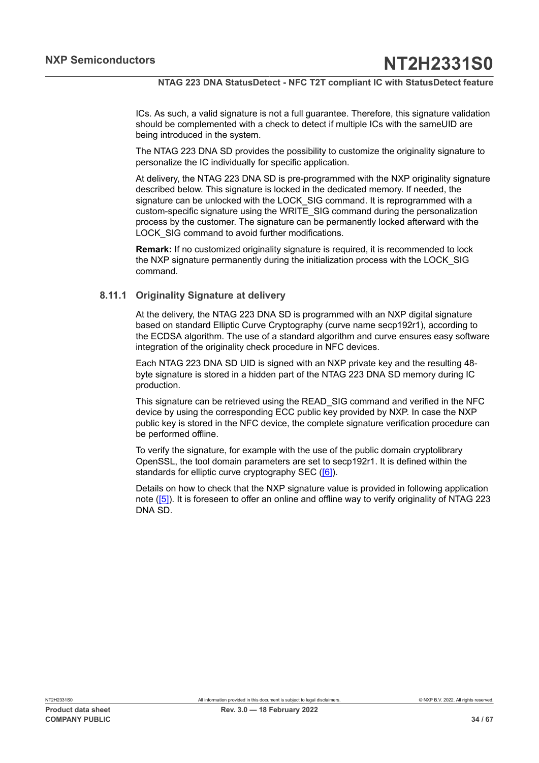ICs. As such, a valid signature is not a full guarantee. Therefore, this signature validation should be complemented with a check to detect if multiple ICs with the sameUID are being introduced in the system.

The NTAG 223 DNA SD provides the possibility to customize the originality signature to personalize the IC individually for specific application.

At delivery, the NTAG 223 DNA SD is pre-programmed with the NXP originality signature described below. This signature is locked in the dedicated memory. If needed, the signature can be unlocked with the LOCK\_SIG command. It is reprogrammed with a custom-specific signature using the WRITE\_SIG command during the personalization process by the customer. The signature can be permanently locked afterward with the LOCK SIG command to avoid further modifications.

**Remark:** If no customized originality signature is required, it is recommended to lock the NXP signature permanently during the initialization process with the LOCK\_SIG command.

#### **8.11.1 Originality Signature at delivery**

<span id="page-33-0"></span>At the delivery, the NTAG 223 DNA SD is programmed with an NXP digital signature based on standard Elliptic Curve Cryptography (curve name secp192r1), according to the ECDSA algorithm. The use of a standard algorithm and curve ensures easy software integration of the originality check procedure in NFC devices.

Each NTAG 223 DNA SD UID is signed with an NXP private key and the resulting 48 byte signature is stored in a hidden part of the NTAG 223 DNA SD memory during IC production.

This signature can be retrieved using the READ\_SIG command and verified in the NFC device by using the corresponding ECC public key provided by NXP. In case the NXP public key is stored in the NFC device, the complete signature verification procedure can be performed offline.

To verify the signature, for example with the use of the public domain cryptolibrary OpenSSL, the tool domain parameters are set to secp192r1. It is defined within the standards for elliptic curve cryptography SEC [\(\[6\]](#page-60-6)).

Details on how to check that the NXP signature value is provided in following application note ([\[5\]\)](#page-60-7). It is foreseen to offer an online and offline way to verify originality of NTAG 223 DNA SD.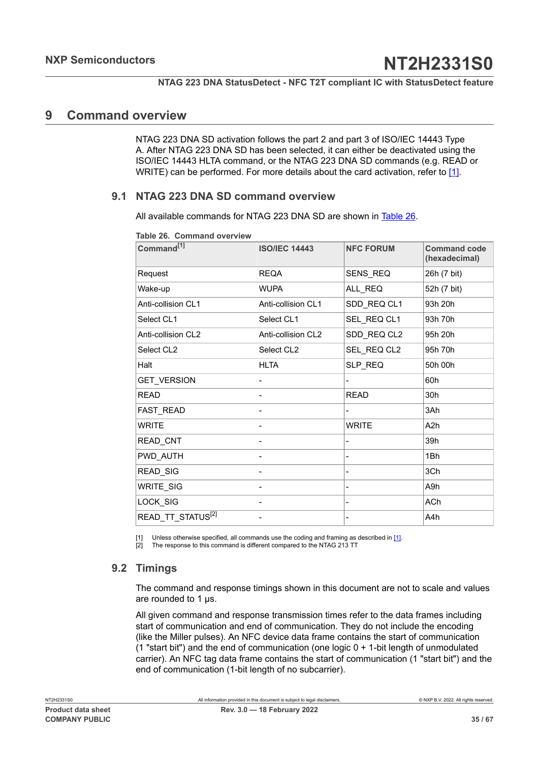## <span id="page-34-4"></span>**9 Command overview**

<span id="page-34-2"></span><span id="page-34-1"></span>NTAG 223 DNA SD activation follows the part 2 and part 3 of ISO/IEC 14443 Type A. After NTAG 223 DNA SD has been selected, it can either be deactivated using the ISO/IEC 14443 HLTA command, or the NTAG 223 DNA SD commands (e.g. READ or WRITE) can be performed. For more details about the card activation, refer to [\[1\]](#page-60-0).

## **9.1 NTAG 223 DNA SD command overview**

<span id="page-34-5"></span>All available commands for NTAG 223 DNA SD are shown in [Table](#page-34-0) 26.

| Command <sup>[1]</sup>        | <b>ISO/IEC 14443</b> | <b>NFC FORUM</b>             | <b>Command code</b><br>(hexadecimal) |
|-------------------------------|----------------------|------------------------------|--------------------------------------|
| Request                       | <b>REQA</b>          | SENS_REQ                     | 26h (7 bit)                          |
| Wake-up                       | <b>WUPA</b>          | ALL REQ                      | 52h (7 bit)                          |
| Anti-collision CL1            | Anti-collision CL1   | SDD_REQ CL1                  | 93h 20h                              |
| Select CL1                    | Select CL1           | SEL_REQ CL1                  | 93h 70h                              |
| Anti-collision CL2            | Anti-collision CL2   | SDD_REQ CL2                  | 95h 20h                              |
| Select CL2                    | Select CL2           | SEL REQ CL2                  | 95h 70h                              |
| Halt                          | <b>HLTA</b>          | SLP_REQ                      | 50h 00h                              |
| GET_VERSION                   |                      |                              | 60h                                  |
| <b>READ</b>                   |                      | <b>READ</b>                  | 30h                                  |
| FAST READ                     |                      |                              | 3Ah                                  |
| <b>WRITE</b>                  |                      | <b>WRITE</b>                 | A <sub>2</sub> h                     |
| READ_CNT                      |                      |                              | 39h                                  |
| PWD AUTH                      |                      | $\overline{\phantom{0}}$     | 1Bh                                  |
| <b>READ SIG</b>               |                      | $\qquad \qquad \blacksquare$ | 3Ch                                  |
| <b>WRITE SIG</b>              |                      | -                            | A <sub>9</sub> h                     |
| LOCK_SIG                      |                      | Ξ.                           | <b>ACh</b>                           |
| READ_TT_STATUS <sup>[2]</sup> |                      | -                            | A4h                                  |

<span id="page-34-0"></span>**Table 26. Command overview**

[1] Unless otherwise specified, all commands use the coding and framing as described in  $[1]$ .

<span id="page-34-3"></span>[2] The response to this command is different compared to the NTAG 213 TT

## **9.2 Timings**

The command and response timings shown in this document are not to scale and values are rounded to 1 μs.

All given command and response transmission times refer to the data frames including start of communication and end of communication. They do not include the encoding (like the Miller pulses). An NFC device data frame contains the start of communication  $(1$  "start bit") and the end of communication (one logic  $0 + 1$ -bit length of unmodulated carrier). An NFC tag data frame contains the start of communication (1 "start bit") and the end of communication (1-bit length of no subcarrier).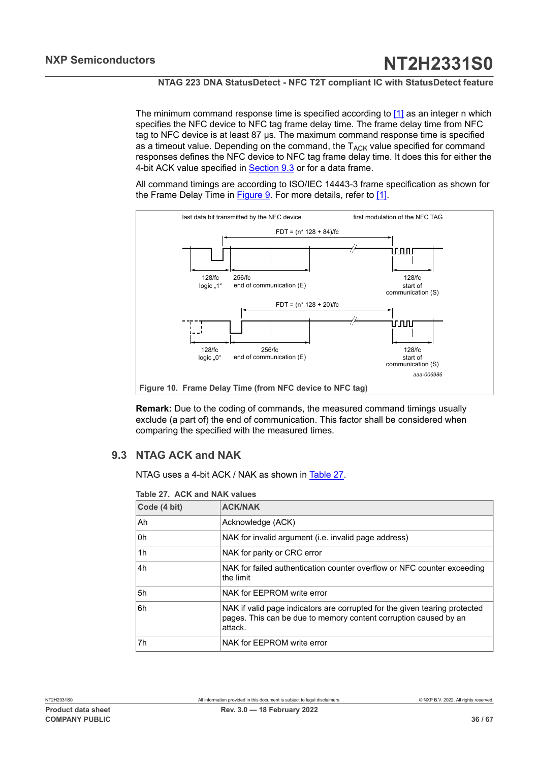The minimum command response time is specified according to  $[1]$  as an integer n which specifies the NFC device to NFC tag frame delay time. The frame delay time from NFC tag to NFC device is at least 87 μs. The maximum command response time is specified as a timeout value. Depending on the command, the  $T_{ACK}$  value specified for command responses defines the NFC device to NFC tag frame delay time. It does this for either the 4-bit ACK value specified in [Section 9.3](#page-35-0) or for a data frame.

All command timings are according to ISO/IEC 14443-3 frame specification as shown for the Frame Delay Time in [Figure 9](#page-35-1). For more details, refer to [\[1\]](#page-60-0).

<span id="page-35-3"></span>

<span id="page-35-1"></span>**Remark:** Due to the coding of commands, the measured command timings usually exclude (a part of) the end of communication. This factor shall be considered when comparing the specified with the measured times.

## **9.3 NTAG ACK and NAK**

<span id="page-35-0"></span>NTAG uses a 4-bit ACK / NAK as shown in [Table](#page-35-2) 27.

<span id="page-35-2"></span>

| Table 27. ACK and NAK values |
|------------------------------|
|------------------------------|

| Code (4 bit) | <b>ACK/NAK</b>                                                                                                                                            |  |  |  |  |  |  |  |
|--------------|-----------------------------------------------------------------------------------------------------------------------------------------------------------|--|--|--|--|--|--|--|
| Ah           | Acknowledge (ACK)                                                                                                                                         |  |  |  |  |  |  |  |
| 0h           | NAK for invalid argument (i.e. invalid page address)                                                                                                      |  |  |  |  |  |  |  |
| 1h           | NAK for parity or CRC error                                                                                                                               |  |  |  |  |  |  |  |
| 4h           | NAK for failed authentication counter overflow or NFC counter exceeding<br>the limit                                                                      |  |  |  |  |  |  |  |
| 5h           | NAK for EEPROM write error                                                                                                                                |  |  |  |  |  |  |  |
| 6h           | NAK if valid page indicators are corrupted for the given tearing protected<br>pages. This can be due to memory content corruption caused by an<br>attack. |  |  |  |  |  |  |  |
| 7h           | NAK for EEPROM write error                                                                                                                                |  |  |  |  |  |  |  |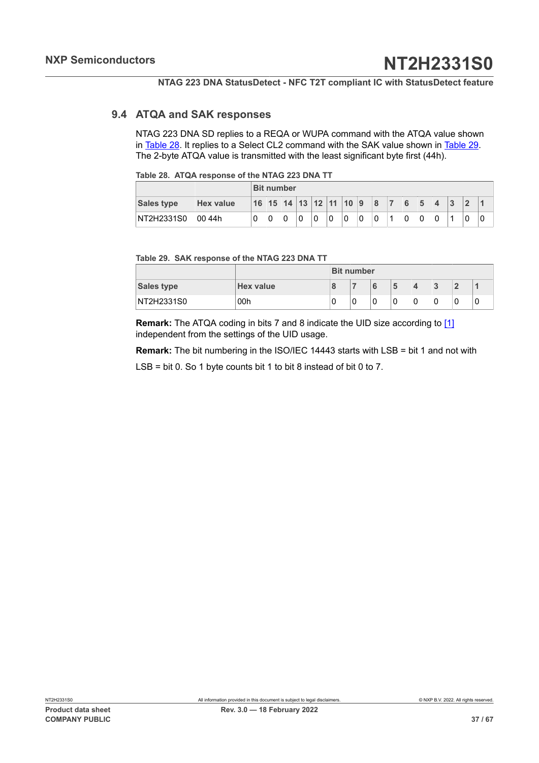#### **9.4 ATQA and SAK responses**

<span id="page-36-2"></span>NTAG 223 DNA SD replies to a REQA or WUPA command with the ATQA value shown in [Table](#page-36-0) 28. It replies to a Select CL2 command with the SAK value shown in [Table](#page-36-1) 29. The 2-byte ATQA value is transmitted with the least significant byte first (44h).

<span id="page-36-0"></span>

| Table 28. ATQA response of the NTAG 223 DNA TT |  |  |  |  |  |  |  |
|------------------------------------------------|--|--|--|--|--|--|--|
|------------------------------------------------|--|--|--|--|--|--|--|

|                   | <b>Bit number</b> |  |                                      |  |   |  |   |   |   |   |   |   |   |   |  |
|-------------------|-------------------|--|--------------------------------------|--|---|--|---|---|---|---|---|---|---|---|--|
| <b>Sales type</b> | <b>Hex value</b>  |  | 16   15   14   13   12   11   10   9 |  |   |  |   |   |   | 8 |   | 6 |   | 3 |  |
| NT2H2331S0        | 00 44h            |  |                                      |  | 0 |  | 0 | 0 | 0 |   | 4 | 0 | 0 | и |  |

#### <span id="page-36-1"></span>**Table 29. SAK response of the NTAG 223 DNA TT**

|                   |                  | <b>Bit number</b> |   |   |   |   |
|-------------------|------------------|-------------------|---|---|---|---|
| <b>Sales type</b> | <b>Hex value</b> |                   | 5 | 4 | 3 |   |
| NT2H2331S0        | 00h              | 0                 | 0 | 0 | 0 | u |

**Remark:** The ATQA coding in bits 7 and 8 indicate the UID size according to [\[1\]](#page-60-0) independent from the settings of the UID usage.

**Remark:** The bit numbering in the ISO/IEC 14443 starts with LSB = bit 1 and not with

LSB = bit 0. So 1 byte counts bit 1 to bit 8 instead of bit 0 to 7.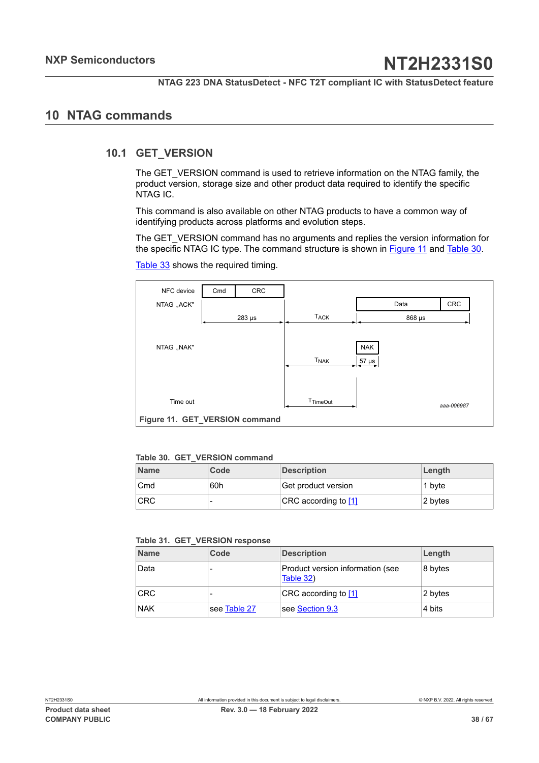## <span id="page-37-4"></span>**10 NTAG commands**

### **10.1 GET\_VERSION**

<span id="page-37-2"></span>The GET\_VERSION command is used to retrieve information on the NTAG family, the product version, storage size and other product data required to identify the specific NTAG IC.

This command is also available on other NTAG products to have a common way of identifying products across platforms and evolution steps.

The GET\_VERSION command has no arguments and replies the version information for the specific NTAG IC type. The command structure is shown in [Figure](#page-37-0) 11 and [Table](#page-37-1) 30.

<span id="page-37-0"></span>

| NFC device                     | Cmd | CRC         |                  |            |            |  |
|--------------------------------|-----|-------------|------------------|------------|------------|--|
| NTAG "ACK"                     |     |             |                  | Data       | CRC        |  |
|                                |     | $283 \mu s$ | <b>TACK</b>      |            | 868 µs     |  |
|                                |     |             |                  |            |            |  |
| NTAG ,, NAK"                   |     |             |                  | <b>NAK</b> |            |  |
|                                |     |             | <b>TNAK</b>      | $57 \mu s$ |            |  |
|                                |     |             |                  |            |            |  |
|                                |     |             |                  |            |            |  |
| Time out                       |     |             | <b>T</b> TimeOut |            | aaa-006987 |  |
| Figure 11. GET_VERSION command |     |             |                  |            |            |  |

[Table](#page-38-0) 33 shows the required timing.

#### <span id="page-37-1"></span>**Table 30. GET\_VERSION command**

| <b>Name</b> | Code | <b>Description</b>   | Length   |
|-------------|------|----------------------|----------|
| Cmd         | 60h  | Get product version  | ' 1 b∨te |
| <b>CRC</b>  |      | CRC according to [1] | 2 bytes  |

#### <span id="page-37-3"></span>**Table 31. GET\_VERSION response**

| <b>Name</b> | Code         | <b>Description</b>                            | Length  |
|-------------|--------------|-----------------------------------------------|---------|
| Data        |              | Product version information (see<br>Table 32) | 8 bytes |
| <b>CRC</b>  |              | CRC according to [1]                          | 2 bytes |
| <b>NAK</b>  | see Table 27 | see Section 9.3                               | 4 bits  |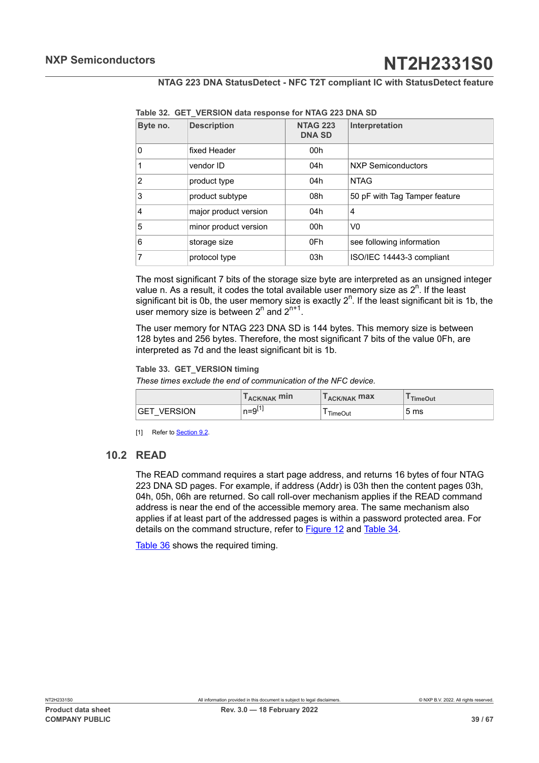| Byte no. | <b>Description</b>    | <b>NTAG 223</b><br><b>DNA SD</b> | Interpretation                |
|----------|-----------------------|----------------------------------|-------------------------------|
| 0        | fixed Header          | 00h                              |                               |
| 1        | vendor ID             | 04h                              | <b>NXP Semiconductors</b>     |
| 2        | product type          | 04h                              | <b>NTAG</b>                   |
| 3        | product subtype       | 08h                              | 50 pF with Tag Tamper feature |
| 4        | major product version | 04h                              | 4                             |
| 5        | minor product version | 00h                              | V0                            |
| 6        | storage size          | 0Fh                              | see following information     |
| 7        | protocol type         | 03h                              | ISO/IEC 14443-3 compliant     |

<span id="page-38-1"></span>**Table 32. GET\_VERSION data response for NTAG 223 DNA SD**

The most significant 7 bits of the storage size byte are interpreted as an unsigned integer value n. As a result, it codes the total available user memory size as  $2^n$ . If the least significant bit is 0b, the user memory size is exactly  $2<sup>n</sup>$ . If the least significant bit is 1b, the user memory size is between  $2^n$  and  $2^{n+1}$ .

The user memory for NTAG 223 DNA SD is 144 bytes. This memory size is between 128 bytes and 256 bytes. Therefore, the most significant 7 bits of the value 0Fh, are interpreted as 7d and the least significant bit is 1b.

#### <span id="page-38-0"></span>**Table 33. GET\_VERSION timing**

*These times exclude the end of communication of the NFC device.*

|                       | T <sub>ACK/NAK</sub> min | T <sub>ACK/NAK</sub> max | TimeOut |
|-----------------------|--------------------------|--------------------------|---------|
| <b>VERSION</b><br>GET | $n = 9^{[1]}$            | TimeOut                  | 5 ms    |

<span id="page-38-2"></span>[1] Refer to **[Section 9.2.](#page-34-3)** 

### **10.2 READ**

The READ command requires a start page address, and returns 16 bytes of four NTAG 223 DNA SD pages. For example, if address (Addr) is 03h then the content pages 03h, 04h, 05h, 06h are returned. So call roll-over mechanism applies if the READ command address is near the end of the accessible memory area. The same mechanism also applies if at least part of the addressed pages is within a password protected area. For details on the command structure, refer to [Figure 12](#page-39-0) and [Table](#page-39-1) 34.

[Table](#page-39-2) 36 shows the required timing.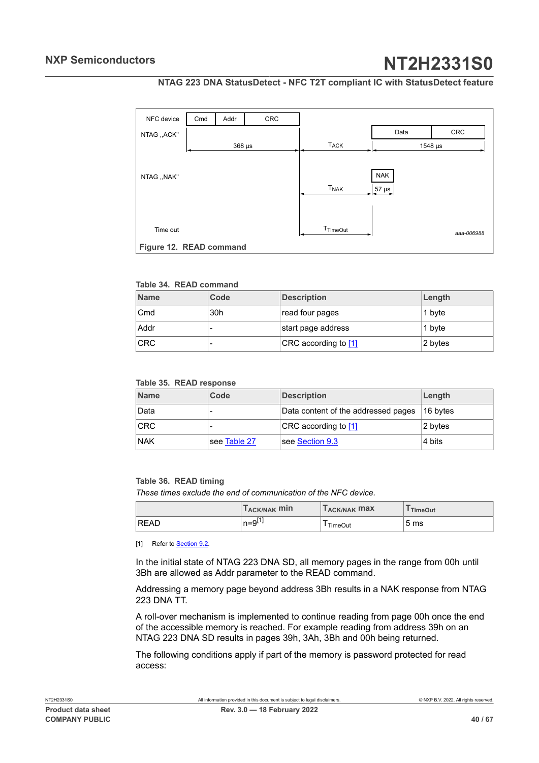#### **NTAG 223 DNA StatusDetect - NFC T2T compliant IC with StatusDetect feature**

<span id="page-39-3"></span><span id="page-39-0"></span>

#### <span id="page-39-1"></span>**Table 34. READ command**

| <b>Name</b> | Code | <b>Description</b>   | Length  |
|-------------|------|----------------------|---------|
| Cmd         | 30h  | read four pages      | 1 byte  |
| Addr        |      | start page address   | 1 byte  |
| <b>CRC</b>  |      | CRC according to [1] | 2 bytes |

#### <span id="page-39-4"></span>**Table 35. READ response**

| <b>Name</b> | Code         | <b>Description</b>                  | Length    |
|-------------|--------------|-------------------------------------|-----------|
| Data        | -            | Data content of the addressed pages | ⊺16 b∨tes |
| <b>CRC</b>  |              | CRC according to [1]                | 2 bytes   |
| <b>NAK</b>  | see Table 27 | see Section 9.3                     | 4 bits    |

#### <span id="page-39-2"></span>**Table 36. READ timing**

*These times exclude the end of communication of the NFC device.*

|      | T <sub>ACK/NAK</sub> min | T <sub>ACK/NAK</sub> max | <sup>I</sup> TimeOut |
|------|--------------------------|--------------------------|----------------------|
| READ | n=9 <sup>∟.</sup>        | <b>TimeOut</b>           | 5 <sub>ms</sub>      |

[1] Refer to **[Section 9.2.](#page-34-3)** 

In the initial state of NTAG 223 DNA SD, all memory pages in the range from 00h until 3Bh are allowed as Addr parameter to the READ command.

Addressing a memory page beyond address 3Bh results in a NAK response from NTAG 223 DNA TT.

A roll-over mechanism is implemented to continue reading from page 00h once the end of the accessible memory is reached. For example reading from address 39h on an NTAG 223 DNA SD results in pages 39h, 3Ah, 3Bh and 00h being returned.

The following conditions apply if part of the memory is password protected for read access: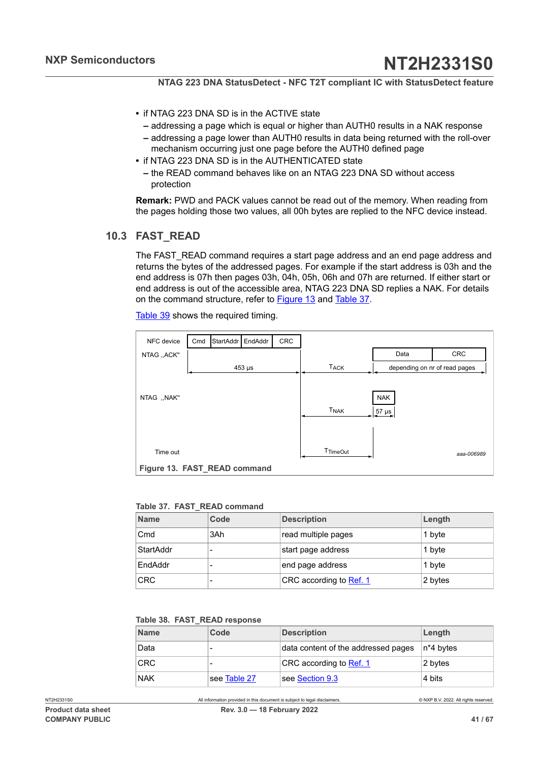- **•** if NTAG 223 DNA SD is in the ACTIVE state
	- **–** addressing a page which is equal or higher than AUTH0 results in a NAK response
	- **–** addressing a page lower than AUTH0 results in data being returned with the roll-over mechanism occurring just one page before the AUTH0 defined page
- **•** if NTAG 223 DNA SD is in the AUTHENTICATED state
	- **–** the READ command behaves like on an NTAG 223 DNA SD without access protection

**Remark:** PWD and PACK values cannot be read out of the memory. When reading from the pages holding those two values, all 00h bytes are replied to the NFC device instead.

## **10.3 FAST\_READ**

<span id="page-40-3"></span>The FAST\_READ command requires a start page address and an end page address and returns the bytes of the addressed pages. For example if the start address is 03h and the end address is 07h then pages 03h, 04h, 05h, 06h and 07h are returned. If either start or end address is out of the accessible area, NTAG 223 DNA SD replies a NAK. For details on the command structure, refer to **Figure 13** and [Table](#page-40-1) 37.

<span id="page-40-0"></span>CRC CRC NFC device Cmd StartAddr NTAG ,,ACK'' Data 453 µs  $\begin{array}{c|c|c|c} & TACK & \end{array}$  depending on nr of read pages NTAG ,,NAK'' NAK Time out TimeOut TimeOut TNAK TACK 57 µs EndAddr *aaa-006989* **Figure 13. FAST\_READ command**

[Table](#page-41-0) 39 shows the required timing.

#### <span id="page-40-1"></span>**Table 37. FAST\_READ command**

| <b>Name</b> | Code | <b>Description</b>      | Length  |
|-------------|------|-------------------------|---------|
| Cmd         | 3Ah  | read multiple pages     | 1 byte  |
| StartAddr   |      | start page address      | 1 byte  |
| EndAddr     |      | end page address        | 1 byte  |
| <b>CRC</b>  |      | CRC according to Ref. 1 | 2 bytes |

#### <span id="page-40-2"></span>**Table 38. FAST\_READ response**

| <b>Name</b> | Code         | <b>Description</b>                  | Length    |
|-------------|--------------|-------------------------------------|-----------|
| Data        |              | data content of the addressed pages | n*4 bytes |
| <b>CRC</b>  |              | CRC according to Ref. 1             | 2 bytes   |
| NAK         | see Table 27 | $\sf l$ see Section 9.3             | 4 bits    |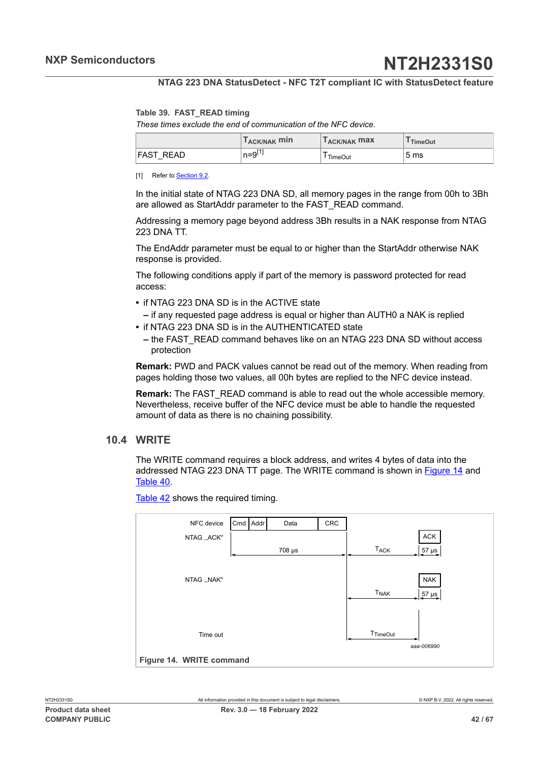#### <span id="page-41-0"></span>**Table 39. FAST\_READ timing**

*These times exclude the end of communication of the NFC device.*

|              | Г <sub>АСК/NАК</sub> min | T <sub>ACK/NAK</sub> max | TimeOut         |
|--------------|--------------------------|--------------------------|-----------------|
| FAST<br>READ | $n=9$ <sup>L'</sup>      | TimeOut                  | 5 <sub>ms</sub> |

[1] Refer to **[Section 9.2.](#page-34-3)** 

In the initial state of NTAG 223 DNA SD, all memory pages in the range from 00h to 3Bh are allowed as StartAddr parameter to the FAST\_READ command.

Addressing a memory page beyond address 3Bh results in a NAK response from NTAG 223 DNA TT.

The EndAddr parameter must be equal to or higher than the StartAddr otherwise NAK response is provided.

The following conditions apply if part of the memory is password protected for read access:

- **•** if NTAG 223 DNA SD is in the ACTIVE state
- **–** if any requested page address is equal or higher than AUTH0 a NAK is replied
- **•** if NTAG 223 DNA SD is in the AUTHENTICATED state
	- **–** the FAST\_READ command behaves like on an NTAG 223 DNA SD without access protection

**Remark:** PWD and PACK values cannot be read out of the memory. When reading from pages holding those two values, all 00h bytes are replied to the NFC device instead.

**Remark:** The FAST\_READ command is able to read out the whole accessible memory. Nevertheless, receive buffer of the NFC device must be able to handle the requested amount of data as there is no chaining possibility.

#### **10.4 WRITE**

<span id="page-41-2"></span>The WRITE command requires a block address, and writes 4 bytes of data into the addressed NTAG 223 DNA TT page. The WRITE command is shown in **[Figure 14](#page-41-1)** and [Table](#page-42-0) 40.

[Table](#page-42-1) 42 shows the required timing.

<span id="page-41-1"></span>

| NFC device               | Cmd Addr |  | Data   | CRC |                                      |  |  |
|--------------------------|----------|--|--------|-----|--------------------------------------|--|--|
| NTAG ,, ACK"             |          |  |        |     | ACK                                  |  |  |
|                          |          |  | 708 µs |     | <b>TACK</b><br>$57 \mu s$            |  |  |
|                          |          |  |        |     |                                      |  |  |
| NTAG ,, NAK"             |          |  |        |     | <b>NAK</b>                           |  |  |
|                          |          |  |        |     | <b>T<sub>NAK</sub></b><br>$57 \mu s$ |  |  |
|                          |          |  |        |     |                                      |  |  |
|                          |          |  |        |     |                                      |  |  |
| Time out                 |          |  |        |     | T <sub>TimeOut</sub><br>aaa-006990   |  |  |
|                          |          |  |        |     |                                      |  |  |
| Figure 14. WRITE command |          |  |        |     |                                      |  |  |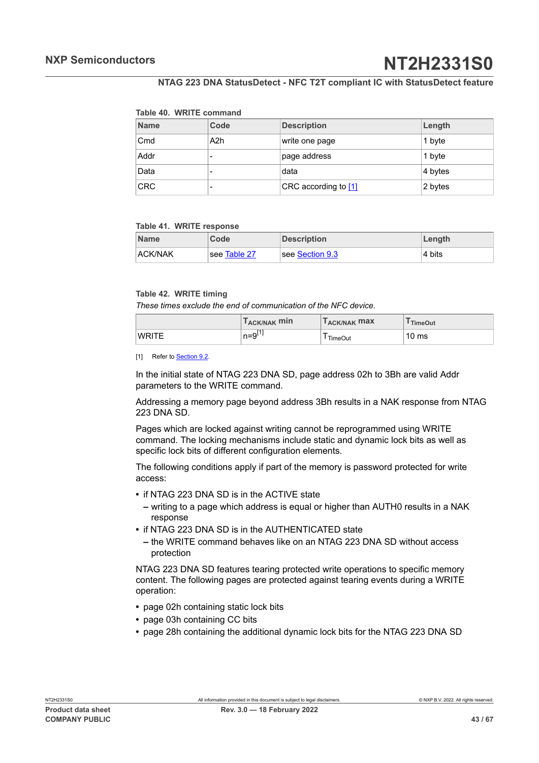#### <span id="page-42-0"></span>**Table 40. WRITE command**

| <b>Name</b> | Code | <b>Description</b>     | Length  |
|-------------|------|------------------------|---------|
| Cmd         | A2h  | write one page         | 1 byte  |
| Addr        |      | page address           | 1 byte  |
| Data        |      | data                   | 4 bytes |
| <b>CRC</b>  |      | CRC according to $[1]$ | 2 bytes |

#### <span id="page-42-2"></span>**Table 41. WRITE response**

| <b>Name</b>    | Code         | <b>Description</b>            | ∣Length |
|----------------|--------------|-------------------------------|---------|
| <b>ACK/NAK</b> | see Table 27 | $\sf l$ see Section 9.3 $\sf$ | ⊧4 bits |

#### <span id="page-42-1"></span>**Table 42. WRITE timing**

*These times exclude the end of communication of the NFC device.*

|              | T <sub>ACK/NAK</sub> min | <b>LACK/NAK MAX</b> | <sup>I</sup> TimeOut |
|--------------|--------------------------|---------------------|----------------------|
| <b>WRITE</b> | $n = 9^{[1]}$            | TimeOut             | 10 <sub>ms</sub>     |

[1] Refer to [Section 9.2.](#page-34-3)

In the initial state of NTAG 223 DNA SD, page address 02h to 3Bh are valid Addr parameters to the WRITE command.

Addressing a memory page beyond address 3Bh results in a NAK response from NTAG 223 DNA SD.

Pages which are locked against writing cannot be reprogrammed using WRITE command. The locking mechanisms include static and dynamic lock bits as well as specific lock bits of different configuration elements.

The following conditions apply if part of the memory is password protected for write access:

- **•** if NTAG 223 DNA SD is in the ACTIVE state
	- **–** writing to a page which address is equal or higher than AUTH0 results in a NAK response
- **•** if NTAG 223 DNA SD is in the AUTHENTICATED state
	- **–** the WRITE command behaves like on an NTAG 223 DNA SD without access protection

NTAG 223 DNA SD features tearing protected write operations to specific memory content. The following pages are protected against tearing events during a WRITE operation:

- **•** page 02h containing static lock bits
- **•** page 03h containing CC bits
- **•** page 28h containing the additional dynamic lock bits for the NTAG 223 DNA SD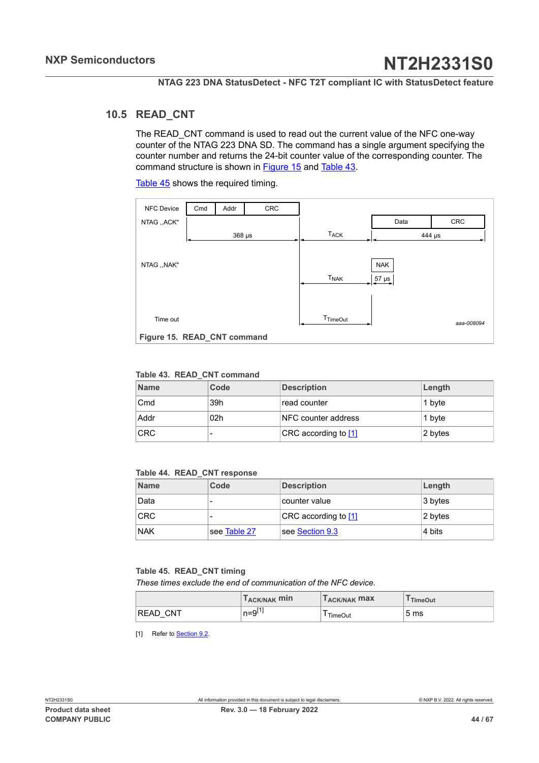### **10.5 READ\_CNT**

<span id="page-43-5"></span><span id="page-43-3"></span>The READ CNT command is used to read out the current value of the NFC one-way counter of the NTAG 223 DNA SD. The command has a single argument specifying the counter number and returns the 24-bit counter value of the corresponding counter. The command structure is shown in [Figure 15](#page-43-0) and [Table](#page-43-1) 43.

[Table](#page-43-2) 45 shows the required timing.

<span id="page-43-0"></span>

| <b>NFC Device</b>           | Cmd | Addr     | CRC |                        |            |            |
|-----------------------------|-----|----------|-----|------------------------|------------|------------|
| NTAG ,, ACK"                |     |          |     |                        | Data       | CRC        |
|                             |     | $368$ µs |     | <b>TACK</b>            |            | 444 µs     |
|                             |     |          |     |                        |            |            |
| NTAG ,, NAK"                |     |          |     |                        | <b>NAK</b> |            |
|                             |     |          |     | <b>T<sub>NAK</sub></b> | $57 \mu s$ |            |
|                             |     |          |     |                        |            |            |
|                             |     |          |     |                        |            |            |
| Time out                    |     |          |     | T <sub>TimeOut</sub>   |            | aaa-008094 |
| Figure 15. READ_CNT command |     |          |     |                        |            |            |

#### <span id="page-43-1"></span>**Table 43. READ\_CNT command**

| <b>Name</b> | Code            | <b>Description</b>     | Length  |
|-------------|-----------------|------------------------|---------|
| Cmd         | 39h             | read counter           | 1 byte  |
| Addr        | 02 <sub>h</sub> | NFC counter address    | 1 byte  |
| <b>CRC</b>  |                 | CRC according to $[1]$ | 2 bytes |

#### <span id="page-43-4"></span>**Table 44. READ\_CNT response**

| <b>Name</b> | Code         | <b>Description</b>   | Length              |
|-------------|--------------|----------------------|---------------------|
| Data        |              | counter value        | $ 3 \text{ bytes} $ |
| <b>CRC</b>  |              | CRC according to [1] | 2 bytes             |
| <b>NAK</b>  | see Table 27 | see Section 9.3      | 4 bits              |

#### <span id="page-43-2"></span>**Table 45. READ\_CNT timing**

*These times exclude the end of communication of the NFC device.*

|                 | T <sub>ACK/NAK</sub> min | T <sub>ACK/NAK</sub> max | TimeOut         |
|-----------------|--------------------------|--------------------------|-----------------|
| <b>READ CNT</b> | n=9 <sup>∟.</sup>        | TimeOut                  | 5 <sub>ms</sub> |

[1] Refer to [Section 9.2.](#page-34-3)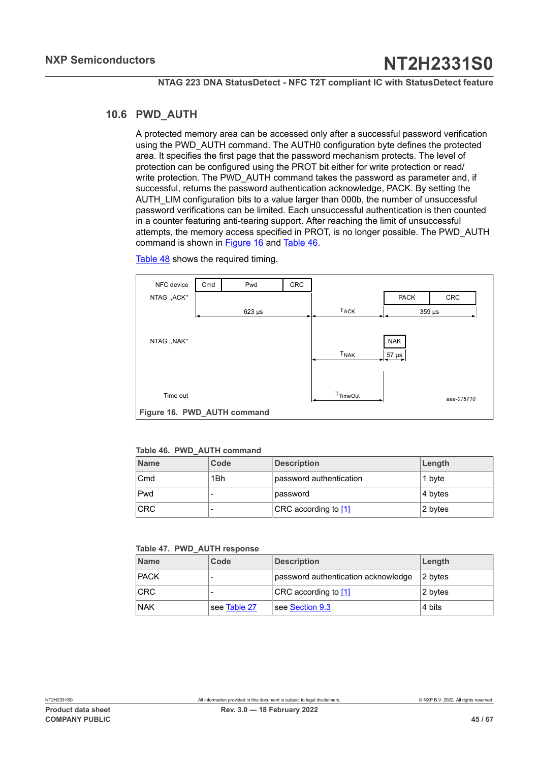## **10.6 PWD\_AUTH**

<span id="page-44-3"></span>A protected memory area can be accessed only after a successful password verification using the PWD\_AUTH command. The AUTH0 configuration byte defines the protected area. It specifies the first page that the password mechanism protects. The level of protection can be configured using the PROT bit either for write protection or read/ write protection. The PWD\_AUTH command takes the password as parameter and, if successful, returns the password authentication acknowledge, PACK. By setting the AUTH\_LIM configuration bits to a value larger than 000b, the number of unsuccessful password verifications can be limited. Each unsuccessful authentication is then counted in a counter featuring anti-tearing support. After reaching the limit of unsuccessful attempts, the memory access specified in PROT, is no longer possible. The PWD\_AUTH command is shown in [Figure 16](#page-44-0) and [Table](#page-44-1) 46.

[Table](#page-45-0) 48 shows the required timing.

<span id="page-44-0"></span>

<span id="page-44-1"></span>

|  |  |  | Table 46. PWD AUTH command |
|--|--|--|----------------------------|
|--|--|--|----------------------------|

| <b>Name</b> | Code | <b>Description</b>      | Length  |
|-------------|------|-------------------------|---------|
| Cmd         | 1Bh  | password authentication | 1 byte  |
| Pwd         |      | password                | 4 bytes |
| <b>CRC</b>  | -    | CRC according to [1]    | 2 bytes |

#### <span id="page-44-2"></span>**Table 47. PWD\_AUTH response**

| <b>Name</b> | Code         | <b>Description</b>                  | Length  |
|-------------|--------------|-------------------------------------|---------|
| <b>PACK</b> |              | password authentication acknowledge | 2 bytes |
| <b>CRC</b>  |              | CRC according to [1]                | 2 bytes |
| <b>NAK</b>  | see Table 27 | see Section 9.3                     | 4 bits  |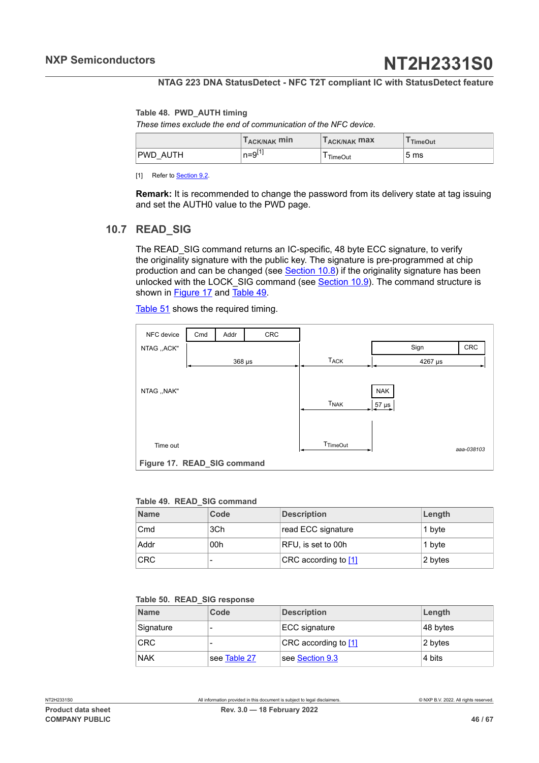#### <span id="page-45-0"></span>**Table 48. PWD\_AUTH timing**

*These times exclude the end of communication of the NFC device.*

|                    | T <sub>ACK/NAK</sub> min | $I_{ACK/NAK}$ max | <b>TimeOut</b>  |
|--------------------|--------------------------|-------------------|-----------------|
| <b>PWD</b><br>AUTH | n=9 <sup>⊔.</sup>        | <b>TimeOut</b>    | 5 <sub>ms</sub> |

[1] Refer to **[Section 9.2.](#page-34-3)** 

**Remark:** It is recommended to change the password from its delivery state at tag issuing and set the AUTH0 value to the PWD page.

### **10.7 READ\_SIG**

<span id="page-45-4"></span>The READ\_SIG command returns an IC-specific, 48 byte ECC signature, to verify the originality signature with the public key. The signature is pre-programmed at chip production and can be changed (see  $Section 10.8$ ) if the originality signature has been unlocked with the LOCK SIG command (see [Section 10.9](#page-47-0)). The command structure is shown in [Figure 17](#page-45-1) and [Table](#page-45-2) 49.

[Table](#page-46-1) 51 shows the required timing.

<span id="page-45-1"></span>

| NFC device                  | Cmd | Addr        | CRC |                        |            |            |
|-----------------------------|-----|-------------|-----|------------------------|------------|------------|
| NTAG ,, ACK"                |     |             |     |                        | Sign       | <b>CRC</b> |
|                             |     | $368 \mu s$ |     | <b>T<sub>ACK</sub></b> | 4267 µs    |            |
|                             |     |             |     |                        |            |            |
| NTAG, , NAK"                |     |             |     |                        | <b>NAK</b> |            |
|                             |     |             |     | <b>T<sub>NAK</sub></b> | $57 \mu s$ |            |
|                             |     |             |     |                        |            |            |
|                             |     |             |     |                        |            |            |
| Time out                    |     |             |     | T <sub>TimeOut</sub>   |            | aaa-038103 |
| Figure 17. READ_SIG command |     |             |     |                        |            |            |

#### <span id="page-45-2"></span>**Table 49. READ\_SIG command**

| <b>Name</b> | Code | <b>Description</b>     | Length  |
|-------------|------|------------------------|---------|
| Cmd         | 3Ch  | read ECC signature     | 1 bvte  |
| . Addr      | 00h  | RFU, is set to 00h     | 1 bvte  |
| <b>CRC</b>  | -    | CRC according to $[1]$ | 2 bytes |

#### <span id="page-45-3"></span>**Table 50. READ\_SIG response**

| <b>Name</b> | Code         | <b>Description</b>     | Length   |
|-------------|--------------|------------------------|----------|
| Signature   |              | ECC signature          | 48 bytes |
| <b>CRC</b>  |              | CRC according to $[1]$ | 2 bytes  |
| <b>NAK</b>  | see Table 27 | see Section 9.3        | 4 bits   |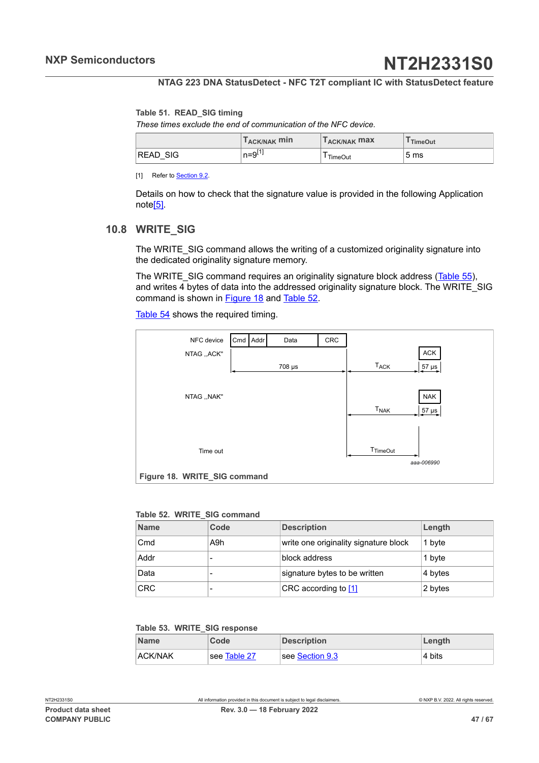#### <span id="page-46-1"></span>**Table 51. READ\_SIG timing**

*These times exclude the end of communication of the NFC device.*

|                 | T <sub>ACK/NAK</sub> min | T <sub>ACK/NAK</sub> max | <b>TimeOut</b>  |
|-----------------|--------------------------|--------------------------|-----------------|
| <b>READ SIG</b> | n=9 '                    | TimeOut                  | 5 <sub>ms</sub> |

[1] Refer to **Section 9.2** 

Details on how to check that the signature value is provided in the following Application not[e\[5\].](#page-60-7)

## **10.8 WRITE\_SIG**

<span id="page-46-0"></span>The WRITE\_SIG command allows the writing of a customized originality signature into the dedicated originality signature memory.

The WRITE\_SIG command requires an originality signature block address ([Table](#page-47-1) 55), and writes 4 bytes of data into the addressed originality signature block. The WRITE\_SIG command is shown in [Figure 18](#page-46-2) and [Table](#page-46-3) 52.

[Table](#page-47-2) 54 shows the required timing.

<span id="page-46-2"></span>

#### <span id="page-46-3"></span>**Table 52. WRITE\_SIG command**

| <b>Name</b> | Code | <b>Description</b>                    | Length  |
|-------------|------|---------------------------------------|---------|
| Cmd         | A9h  | write one originality signature block | 1 byte  |
| Addr        |      | block address                         | 1 byte  |
| Data        |      | signature bytes to be written         | 4 bytes |
| <b>CRC</b>  |      | CRC according to $[1]$                | 2 bytes |

#### <span id="page-46-4"></span>**Table 53. WRITE\_SIG response**

| <b>Name</b>    | Code         | <b>Description</b>       | Length  |
|----------------|--------------|--------------------------|---------|
| <b>ACK/NAK</b> | see Table 27 | $ $ see Section 9.3 $\,$ | ⊩4 bits |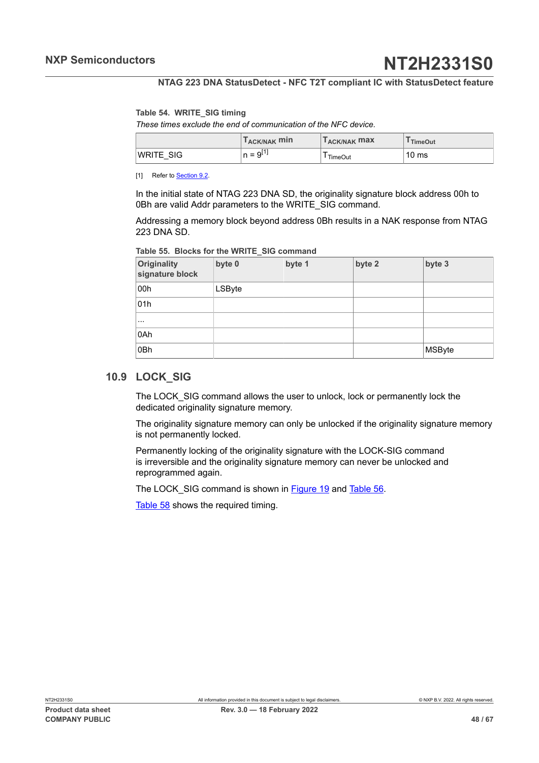#### <span id="page-47-2"></span>**Table 54. WRITE\_SIG timing**

*These times exclude the end of communication of the NFC device.*

|                   | $T_{\sf ACK/NAK}$ min            | T <sub>ACK/NAK</sub> max | <b>TimeOut</b> |
|-------------------|----------------------------------|--------------------------|----------------|
| 'WRITE SIG<br>$-$ | T4 <sup>-</sup><br>$= 9L$<br>. . | TimeOut                  | 10 ms          |

[1] Refer to **[Section 9.2.](#page-34-3)** 

In the initial state of NTAG 223 DNA SD, the originality signature block address 00h to 0Bh are valid Addr parameters to the WRITE\_SIG command.

Addressing a memory block beyond address 0Bh results in a NAK response from NTAG 223 DNA SD.

<span id="page-47-1"></span>

|  |  |  |  |  | Table 55. Blocks for the WRITE SIG command |
|--|--|--|--|--|--------------------------------------------|
|--|--|--|--|--|--------------------------------------------|

| Originality<br>signature block | byte 0 | byte 1 | byte 2 | byte 3        |
|--------------------------------|--------|--------|--------|---------------|
| 00h                            | LSByte |        |        |               |
| 01h                            |        |        |        |               |
| $\cdots$                       |        |        |        |               |
| 0Ah                            |        |        |        |               |
| 0Bh                            |        |        |        | <b>MSByte</b> |

### **10.9 LOCK\_SIG**

<span id="page-47-0"></span>The LOCK\_SIG command allows the user to unlock, lock or permanently lock the dedicated originality signature memory.

The originality signature memory can only be unlocked if the originality signature memory is not permanently locked.

Permanently locking of the originality signature with the LOCK-SIG command is irreversible and the originality signature memory can never be unlocked and reprogrammed again.

The LOCK SIG command is shown in [Figure 19](#page-48-1) and [Table](#page-48-2) 56.

[Table](#page-48-3) 58 shows the required timing.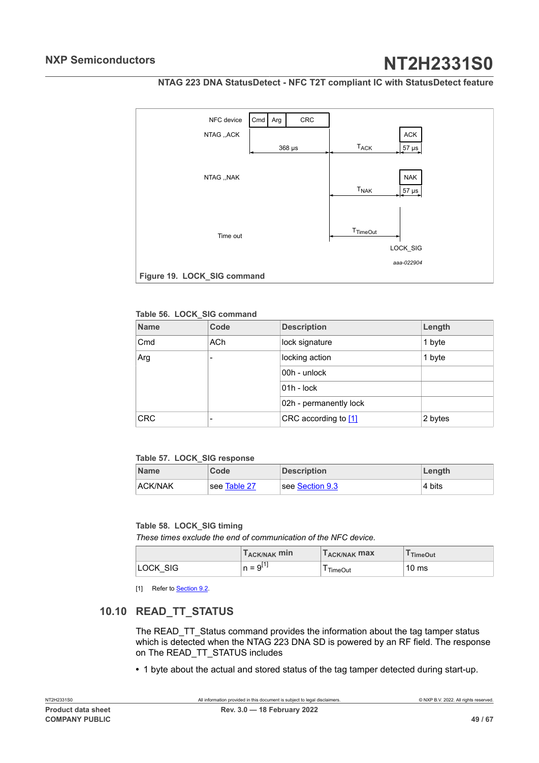

<span id="page-48-4"></span><span id="page-48-1"></span>

#### <span id="page-48-2"></span>**Table 56. LOCK\_SIG command**

| <b>Name</b> | Code            | <b>Description</b>                | Length |
|-------------|-----------------|-----------------------------------|--------|
| Cmd         | AC <sub>h</sub> | lock signature                    | 1 byte |
| Arg         |                 | locking action                    | 1 byte |
|             |                 | 00h - unlock                      |        |
|             |                 | $01h - lock$                      |        |
|             |                 | 02h - permanently lock            |        |
| <b>CRC</b>  |                 | CRC according to $[1]$<br>2 bytes |        |

#### <span id="page-48-5"></span>**Table 57. LOCK\_SIG response**

| <b>Name</b>    | Code         | <b>Description</b> | ∣Length |
|----------------|--------------|--------------------|---------|
| <b>ACK/NAK</b> | see Table 27 | see Section 9.3    | 4 bits  |

#### <span id="page-48-3"></span>**Table 58. LOCK\_SIG timing**

*These times exclude the end of communication of the NFC device.*

|          | T <sub>ACK/NAK</sub> min | <b>LACK/NAK MAX</b> | <sup>I</sup> TimeOut |
|----------|--------------------------|---------------------|----------------------|
| LOCK SIG | $n = 9^{11}$             | <b>TimeOut</b>      | 10 <sub>ms</sub>     |

<span id="page-48-0"></span>[1] Refer to **Section 9.2**.

## **10.10 READ\_TT\_STATUS**

The READ\_TT\_Status command provides the information about the tag tamper status which is detected when the NTAG 223 DNA SD is powered by an RF field. The response on The READ\_TT\_STATUS includes

**•** 1 byte about the actual and stored status of the tag tamper detected during start-up.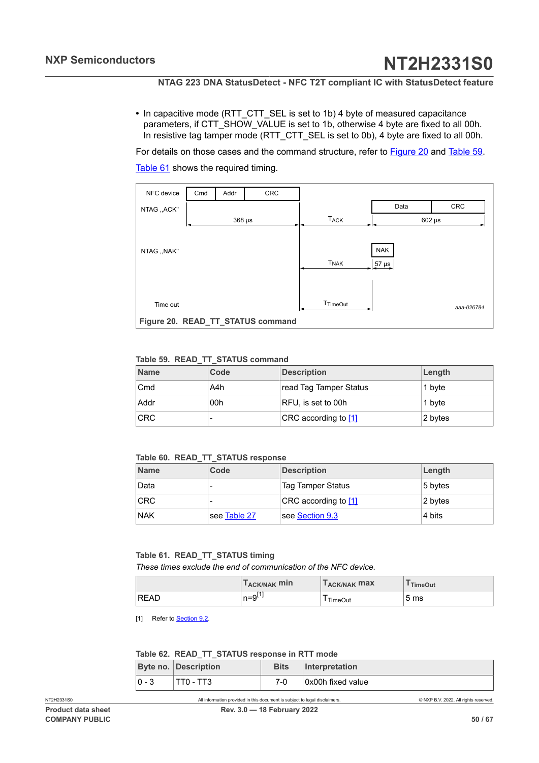<span id="page-49-4"></span>**•** In capacitive mode (RTT\_CTT\_SEL is set to 1b) 4 byte of measured capacitance parameters, if CTT\_SHOW\_VALUE is set to 1b, otherwise 4 byte are fixed to all 00h. In resistive tag tamper mode (RTT\_CTT\_SEL is set to 0b), 4 byte are fixed to all 00h.

For details on those cases and the command structure, refer to **Figure 20 and [Table](#page-49-2) 59.** [Table](#page-49-3) 61 shows the required timing.

<span id="page-49-1"></span>

| NFC device   | Cmd | Addr        | CRC                               |                      |                          |            |
|--------------|-----|-------------|-----------------------------------|----------------------|--------------------------|------------|
| NTAG ,, ACK" |     |             |                                   |                      | Data                     | <b>CRC</b> |
|              |     | $368 \mu s$ |                                   | T <sub>ACK</sub>     | $602 \mu s$              |            |
| NTAG ,, NAK" |     |             |                                   | T <sub>NAK</sub>     | <b>NAK</b><br>$57 \mu s$ |            |
| Time out     |     |             |                                   | T <sub>TimeOut</sub> |                          | aaa-026784 |
|              |     |             | Figure 20. READ_TT_STATUS command |                      |                          |            |

#### <span id="page-49-2"></span>**Table 59. READ\_TT\_STATUS command**

| <b>Name</b> | Code | <b>Description</b>     | Length  |
|-------------|------|------------------------|---------|
| Cmd         | A4h  | read Tag Tamper Status | 1 byte  |
| Addr        | 00h  | RFU, is set to 00h     | 1 byte  |
| <b>CRC</b>  |      | CRC according to $[1]$ | 2 bytes |

#### <span id="page-49-5"></span>**Table 60. READ\_TT\_STATUS response**

| <b>Name</b> | Code         | <b>Description</b>       | Length  |
|-------------|--------------|--------------------------|---------|
| Data        |              | <b>Tag Tamper Status</b> | 5 bytes |
| <b>CRC</b>  |              | CRC according to [1]     | 2 bytes |
| <b>NAK</b>  | see Table 27 | see Section 9.3          | ∣4 bits |

#### <span id="page-49-3"></span>**Table 61. READ\_TT\_STATUS timing**

*These times exclude the end of communication of the NFC device.*

|             | T <sub>ACK/NAK</sub> min | <b>TACK/NAK MAX</b> | <sup>I</sup> TimeOut |
|-------------|--------------------------|---------------------|----------------------|
| <b>READ</b> | $n = 9^{11}$             | TimeOut             | 5 <sub>ms</sub>      |

[1] Refer to **[Section 9.2.](#page-34-3)** 

#### <span id="page-49-0"></span>**Table 62. READ\_TT\_STATUS response in RTT mode**

|         | Byte no. Description | <b>Bits</b> | Interpretation    |
|---------|----------------------|-------------|-------------------|
| $0 - 3$ | TT0 - TT3            | 7-0         | 0x00h fixed value |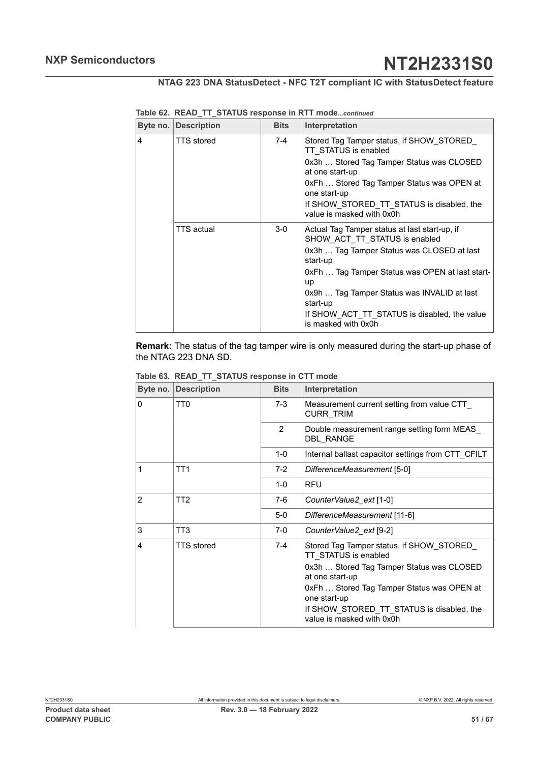|   | <b>Byte no. Description</b> | <b>Bits</b> | Interpretation                                                                                                                                                                                                                                                                                                                      |
|---|-----------------------------|-------------|-------------------------------------------------------------------------------------------------------------------------------------------------------------------------------------------------------------------------------------------------------------------------------------------------------------------------------------|
| 4 | <b>TTS</b> stored           | 7-4         | Stored Tag Tamper status, if SHOW STORED<br>TT STATUS is enabled<br>0x3h  Stored Tag Tamper Status was CLOSED<br>at one start-up<br>0xFh  Stored Tag Tamper Status was OPEN at<br>one start-up<br>If SHOW STORED TT STATUS is disabled, the<br>value is masked with 0x0h                                                            |
|   | <b>TTS</b> actual           | $3-0$       | Actual Tag Tamper status at last start-up, if<br>SHOW ACT TT STATUS is enabled<br>0x3h  Tag Tamper Status was CLOSED at last<br>start-up<br>0xFh  Tag Tamper Status was OPEN at last start-<br>up<br>0x9h  Tag Tamper Status was INVALID at last<br>start-up<br>If SHOW ACT TT STATUS is disabled, the value<br>is masked with 0x0h |

**Table 62. READ\_TT\_STATUS response in RTT mode***...continued*

**Remark:** The status of the tag tamper wire is only measured during the start-up phase of the NTAG 223 DNA SD.

|                | Byte no. Description | <b>Bits</b>   | Interpretation                                                         |
|----------------|----------------------|---------------|------------------------------------------------------------------------|
| $\Omega$       | TT <sub>0</sub>      | $7-3$         | Measurement current setting from value CTT<br><b>CURR TRIM</b>         |
|                |                      | $\mathcal{P}$ | Double measurement range setting form MEAS<br><b>DBL RANGE</b>         |
|                |                      | $1 - 0$       | Internal ballast capacitor settings from CTT CFILT                     |
| 1              | TT1                  | $7-2$         | DifferenceMeasurement [5-0]                                            |
|                |                      | $1 - 0$       | <b>RFU</b>                                                             |
| $\overline{2}$ | TT <sub>2</sub>      | 7-6           | CounterValue2_ext [1-0]                                                |
|                |                      | $5-0$         | DifferenceMeasurement [11-6]                                           |
| 3              | TT3                  | $7-0$         | CounterValue2 ext [9-2]                                                |
| 4              | <b>TTS</b> stored    | $7-4$         | Stored Tag Tamper status, if SHOW STORED<br>TT STATUS is enabled       |
|                |                      |               | 0x3h  Stored Tag Tamper Status was CLOSED<br>at one start-up           |
|                |                      |               | 0xFh  Stored Tag Tamper Status was OPEN at<br>one start-up             |
|                |                      |               | If SHOW STORED TT STATUS is disabled, the<br>value is masked with 0x0h |

<span id="page-50-0"></span>**Table 63. READ\_TT\_STATUS response in CTT mode**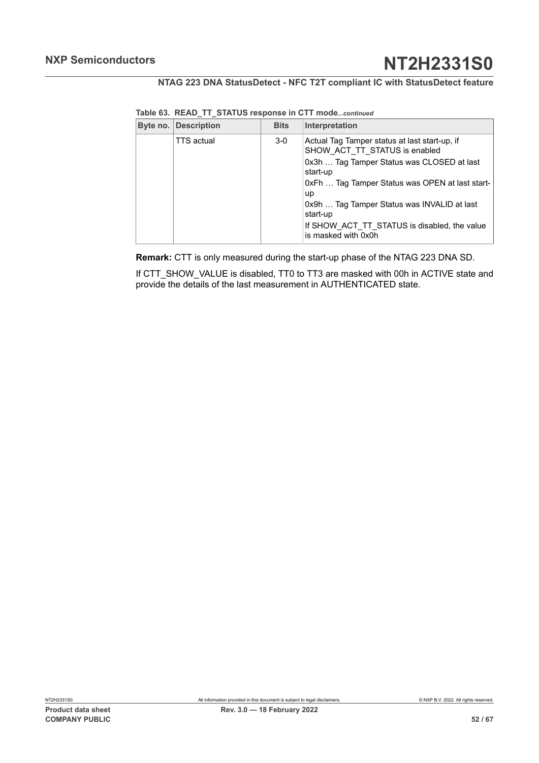| <b>Byte no. Description</b> | <b>Bits</b> | Interpretation                                                                                                                                                                                                                                                                                                                             |
|-----------------------------|-------------|--------------------------------------------------------------------------------------------------------------------------------------------------------------------------------------------------------------------------------------------------------------------------------------------------------------------------------------------|
| <b>TTS</b> actual           | $3-0$       | Actual Tag Tamper status at last start-up, if<br>SHOW ACT TT STATUS is enabled<br>0x3h  Tag Tamper Status was CLOSED at last<br>start-up<br>0xFh  Tag Tamper Status was OPEN at last start-<br><b>up</b><br>0x9h  Tag Tamper Status was INVALID at last<br>start-up<br>If SHOW ACT TT STATUS is disabled, the value<br>is masked with 0x0h |
|                             |             |                                                                                                                                                                                                                                                                                                                                            |

**Table 63. READ\_TT\_STATUS response in CTT mode***...continued*

**Remark:** CTT is only measured during the start-up phase of the NTAG 223 DNA SD.

If CTT\_SHOW\_VALUE is disabled, TT0 to TT3 are masked with 00h in ACTIVE state and provide the details of the last measurement in AUTHENTICATED state.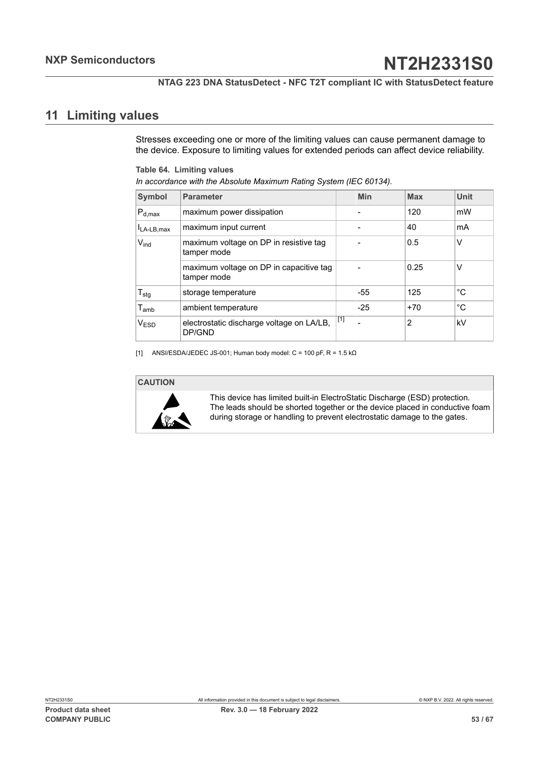**NTAG 223 DNA StatusDetect - NFC T2T compliant IC with StatusDetect feature**

## <span id="page-52-2"></span>**11 Limiting values**

<span id="page-52-0"></span>Stresses exceeding one or more of the limiting values can cause permanent damage to the device. Exposure to limiting values for extended periods can affect device reliability.

<span id="page-52-1"></span>**Table 64. Limiting values**

| In accordance with the Absolute Maximum Rating System (IEC 60134). |                                                        |       |                              |                |              |
|--------------------------------------------------------------------|--------------------------------------------------------|-------|------------------------------|----------------|--------------|
| Symbol                                                             | <b>Parameter</b>                                       |       | Min                          | <b>Max</b>     | <b>Unit</b>  |
| $P_{d,max}$                                                        | maximum power dissipation                              |       | $\overline{\phantom{0}}$     | 120            | mW           |
| LA-LB, max                                                         | maximum input current                                  |       | $\qquad \qquad \blacksquare$ | 40             | mA           |
| V <sub>ind</sub>                                                   | maximum voltage on DP in resistive tag<br>tamper mode  |       |                              | 0.5            | V            |
|                                                                    | maximum voltage on DP in capacitive tag<br>tamper mode |       |                              | 0.25           | V            |
| $T_{\text{stg}}$                                                   | storage temperature                                    |       | -55                          | 125            | °C           |
| $\mathsf{T}_{\mathsf{amb}}$                                        | ambient temperature                                    |       | $-25$                        | $+70$          | $^{\circ}$ C |
| V <sub>ESD</sub>                                                   | electrostatic discharge voltage on LA/LB,<br>DP/GND    | $[1]$ |                              | $\overline{2}$ | kV           |

[1] ANSI/ESDA/JEDEC JS-001; Human body model: C = 100 pF, R = 1.5 k $\Omega$ 

#### **CAUTION**



This device has limited built-in ElectroStatic Discharge (ESD) protection. The leads should be shorted together or the device placed in conductive foam during storage or handling to prevent electrostatic damage to the gates.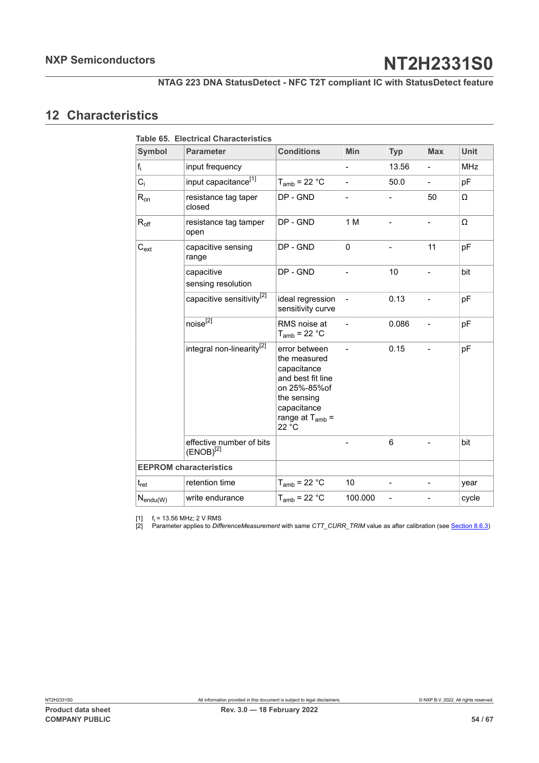## <span id="page-53-0"></span>**12 Characteristics**

<span id="page-53-3"></span><span id="page-53-2"></span><span id="page-53-1"></span>

| Symbol           | <b>Parameter</b>                           | <b>Conditions</b>                                                                                                                                | Min                      | <b>Typ</b>     | <b>Max</b>               | <b>Unit</b> |
|------------------|--------------------------------------------|--------------------------------------------------------------------------------------------------------------------------------------------------|--------------------------|----------------|--------------------------|-------------|
| $f_i$            | input frequency                            |                                                                                                                                                  | $\overline{a}$           | 13.56          | $\overline{a}$           | <b>MHz</b>  |
| $C_i$            | input capacitance <sup>[1]</sup>           | $T_{amb}$ = 22 °C                                                                                                                                | $\overline{a}$           | 50.0           | $\overline{a}$           | pF          |
| $R_{on}$         | resistance tag taper<br>closed             | DP - GND                                                                                                                                         | $\overline{a}$           |                | 50                       | Ω           |
| $R_{\text{off}}$ | resistance tag tamper<br>open              | DP - GND                                                                                                                                         | 1 M                      |                |                          | Ω           |
| $C_{ext}$        | capacitive sensing<br>range                | DP - GND                                                                                                                                         | 0                        |                | 11                       | pF          |
|                  | capacitive<br>sensing resolution           | DP - GND                                                                                                                                         |                          | 10             |                          | bit         |
|                  | capacitive sensitivity <sup>[2]</sup>      | ideal regression<br>sensitivity curve                                                                                                            |                          | 0.13           | $\overline{a}$           | pF          |
|                  | noise $^{\overline{[2]}}$                  | RMS noise at<br>$T_{amb}$ = 22 °C                                                                                                                | $\overline{\phantom{0}}$ | 0.086          | $\overline{\phantom{0}}$ | pF          |
|                  | integral non-linearity <sup>[2]</sup>      | error between<br>the measured<br>capacitance<br>and best fit line<br>on 25%-85%of<br>the sensing<br>capacitance<br>range at $T_{amb}$ =<br>22 °C | $\overline{a}$           | 0.15           | $\overline{a}$           | pF          |
|                  | effective number of bits<br>$(ENOB)^{[2]}$ |                                                                                                                                                  |                          | 6              | $\overline{a}$           | bit         |
|                  | <b>EEPROM characteristics</b>              |                                                                                                                                                  |                          |                |                          |             |
| $t_{\sf ret}$    | retention time                             | $T_{amb}$ = 22 °C                                                                                                                                | 10                       | $\overline{a}$ | $\overline{a}$           | year        |
| $N_{endu(W)}$    | write endurance                            | $T_{amb}$ = 22 °C                                                                                                                                | 100.000                  | $\overline{a}$ |                          | cycle       |

 $[1]$  f<sub>i</sub> = 13.56 MHz; 2 V RMS

[2] Parameter applies to *DifferenceMeasurement* with same *CTT\_CURR\_TRIM* value as after calibration (see [Section 8.6.3](#page-26-1))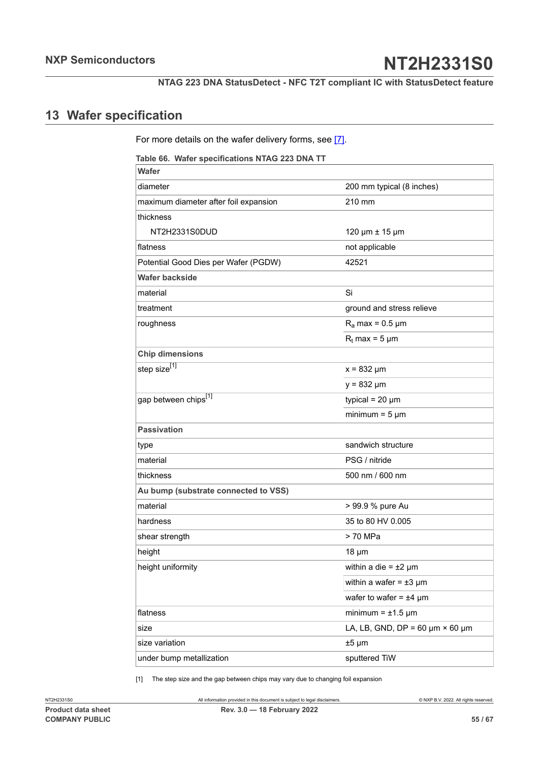## <span id="page-54-2"></span>**13 Wafer specification**

<span id="page-54-0"></span>For more details on the wafer delivery forms, see [\[7\]](#page-60-8).

<span id="page-54-1"></span>**Table 66. Wafer specifications NTAG 223 DNA TT**

| <b>Wafer</b>                          |                                           |
|---------------------------------------|-------------------------------------------|
| diameter                              | 200 mm typical (8 inches)                 |
| maximum diameter after foil expansion | 210 mm                                    |
| thickness                             |                                           |
| NT2H2331S0DUD                         | 120 µm ± 15 µm                            |
| flatness                              | not applicable                            |
| Potential Good Dies per Wafer (PGDW)  | 42521                                     |
| <b>Wafer backside</b>                 |                                           |
| material                              | Si                                        |
| treatment                             | ground and stress relieve                 |
| roughness                             | $R_a$ max = 0.5 µm                        |
|                                       | $R_t$ max = 5 µm                          |
| <b>Chip dimensions</b>                |                                           |
| step size <sup>[1]</sup>              | $x = 832 \mu m$                           |
|                                       | $y = 832 \mu m$                           |
| gap between chips[1]                  | typical = $20 \mu m$                      |
|                                       | minimum = $5 \mu m$                       |
| <b>Passivation</b>                    |                                           |
| type                                  | sandwich structure                        |
| material                              | PSG / nitride                             |
| thickness                             | 500 nm / 600 nm                           |
| Au bump (substrate connected to VSS)  |                                           |
| material                              | > 99.9 % pure Au                          |
| hardness                              | 35 to 80 HV 0.005                         |
| shear strength                        | > 70 MPa                                  |
| height                                | $18 \mu m$                                |
| height uniformity                     | within a die = $\pm 2 \mu m$              |
|                                       | within a wafer = $\pm 3 \mu m$            |
|                                       | wafer to wafer = $±4 \mu m$               |
| flatness                              | minimum = $\pm$ 1.5 µm                    |
| size                                  | LA, LB, GND, DP = 60 $\mu$ m × 60 $\mu$ m |
| size variation                        | $±5 \mu m$                                |
| under bump metallization              | sputtered TiW                             |

[1] The step size and the gap between chips may vary due to changing foil expansion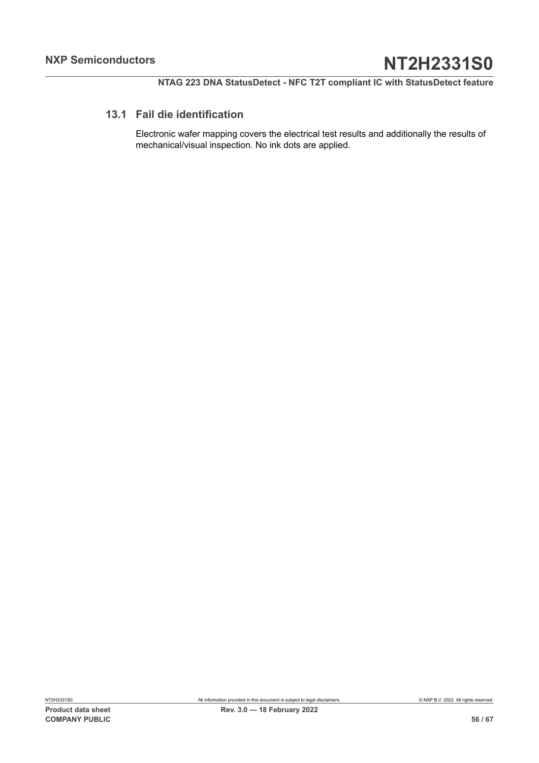## **13.1 Fail die identification**

<span id="page-55-0"></span>Electronic wafer mapping covers the electrical test results and additionally the results of mechanical/visual inspection. No ink dots are applied.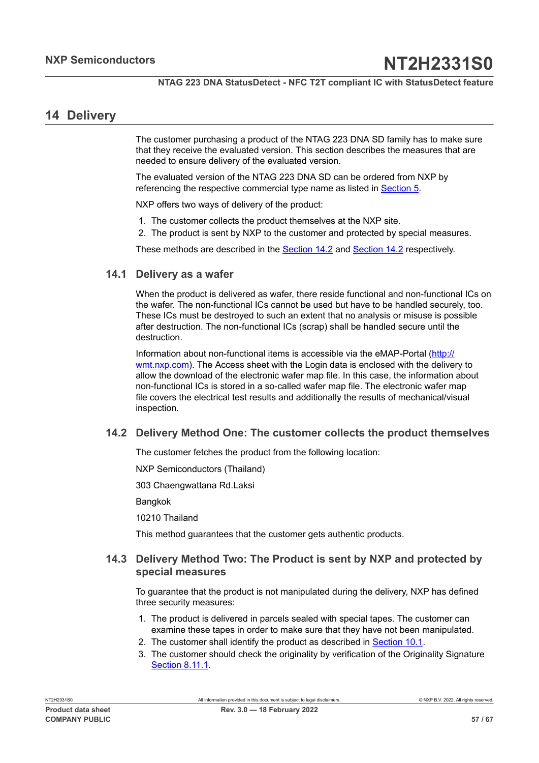## <span id="page-56-1"></span>**14 Delivery**

The customer purchasing a product of the NTAG 223 DNA SD family has to make sure that they receive the evaluated version. This section describes the measures that are needed to ensure delivery of the evaluated version.

The evaluated version of the NTAG 223 DNA SD can be ordered from NXP by referencing the respective commercial type name as listed in [Section 5.](#page-6-0)

NXP offers two ways of delivery of the product:

- 1. The customer collects the product themselves at the NXP site.
- 2. The product is sent by NXP to the customer and protected by special measures.

<span id="page-56-2"></span>These methods are described in the **[Section 14.2](#page-56-0)** and **Section 14.2** respectively.

#### **14.1 Delivery as a wafer**

When the product is delivered as wafer, there reside functional and non-functional ICs on the wafer. The non-functional ICs cannot be used but have to be handled securely, too. These ICs must be destroyed to such an extent that no analysis or misuse is possible after destruction. The non-functional ICs (scrap) shall be handled secure until the destruction.

Information about non-functional items is accessible via the eMAP-Portal [\(http://](http://wmt.nxp.com) [wmt.nxp.com\)](http://wmt.nxp.com). The Access sheet with the Login data is enclosed with the delivery to allow the download of the electronic wafer map file. In this case, the information about non-functional ICs is stored in a so-called wafer map file. The electronic wafer map file covers the electrical test results and additionally the results of mechanical/visual inspection.

#### **14.2 Delivery Method One: The customer collects the product themselves**

<span id="page-56-0"></span>The customer fetches the product from the following location:

NXP Semiconductors (Thailand)

303 Chaengwattana Rd.Laksi

**Bangkok** 

10210 Thailand

<span id="page-56-3"></span>This method guarantees that the customer gets authentic products.

### **14.3 Delivery Method Two: The Product is sent by NXP and protected by special measures**

To guarantee that the product is not manipulated during the delivery, NXP has defined three security measures:

- 1. The product is delivered in parcels sealed with special tapes. The customer can examine these tapes in order to make sure that they have not been manipulated.
- 2. The customer shall identify the product as described in **[Section 10.1](#page-37-2)**.
- 3. The customer should check the originality by verification of the Originality Signature [Section](#page-33-0) 8.11.1.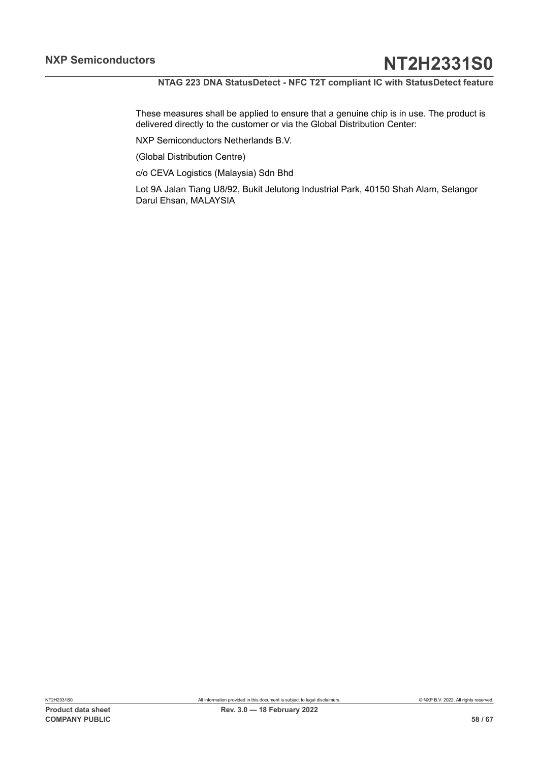These measures shall be applied to ensure that a genuine chip is in use. The product is delivered directly to the customer or via the Global Distribution Center:

NXP Semiconductors Netherlands B.V.

(Global Distribution Centre)

c/o CEVA Logistics (Malaysia) Sdn Bhd

Lot 9A Jalan Tiang U8/92, Bukit Jelutong Industrial Park, 40150 Shah Alam, Selangor Darul Ehsan, MALAYSIA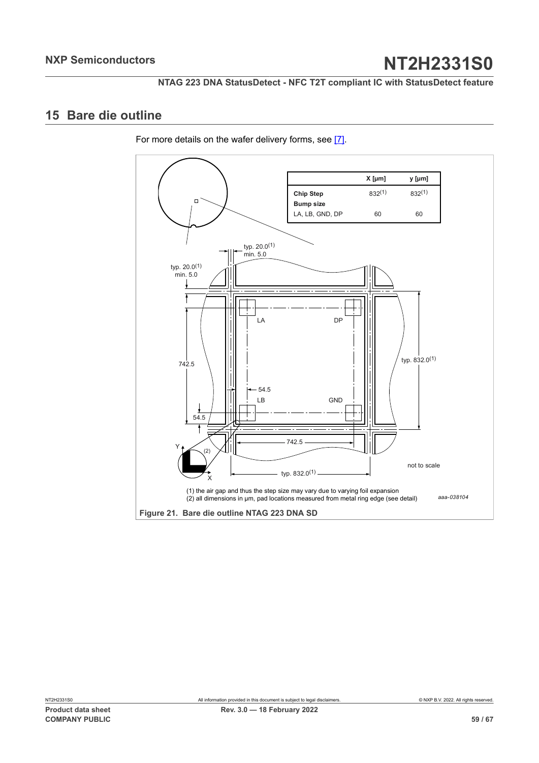## <span id="page-58-2"></span><span id="page-58-0"></span>**15 Bare die outline**

For more details on the wafer delivery forms, see [\[7\]](#page-60-8).

<span id="page-58-1"></span>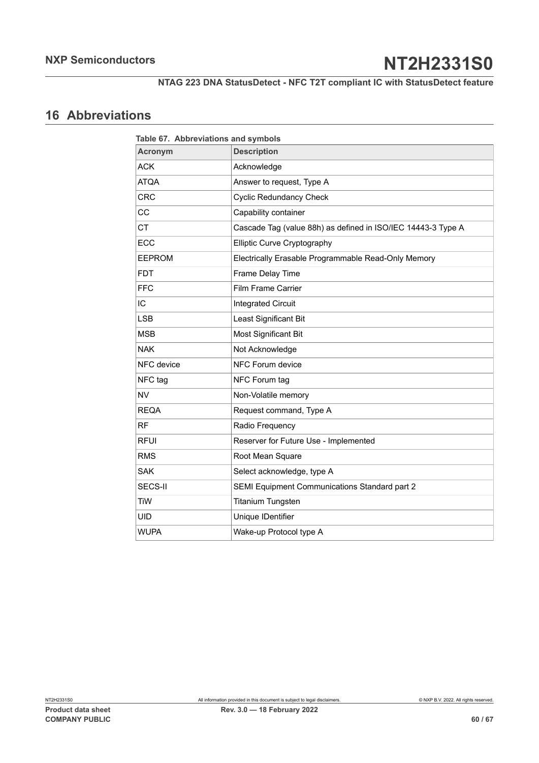## <span id="page-59-1"></span>**16 Abbreviations**

<span id="page-59-0"></span>

| Table 67. Abbreviations and symbols |                                                              |  |  |
|-------------------------------------|--------------------------------------------------------------|--|--|
| <b>Acronym</b>                      | <b>Description</b>                                           |  |  |
| <b>ACK</b>                          | Acknowledge                                                  |  |  |
| <b>ATQA</b>                         | Answer to request, Type A                                    |  |  |
| <b>CRC</b>                          | <b>Cyclic Redundancy Check</b>                               |  |  |
| CC                                  | Capability container                                         |  |  |
| <b>CT</b>                           | Cascade Tag (value 88h) as defined in ISO/IEC 14443-3 Type A |  |  |
| ECC                                 | Elliptic Curve Cryptography                                  |  |  |
| <b>EEPROM</b>                       | Electrically Erasable Programmable Read-Only Memory          |  |  |
| <b>FDT</b>                          | Frame Delay Time                                             |  |  |
| <b>FFC</b>                          | <b>Film Frame Carrier</b>                                    |  |  |
| IC                                  | <b>Integrated Circuit</b>                                    |  |  |
| <b>LSB</b>                          | Least Significant Bit                                        |  |  |
| <b>MSB</b>                          | Most Significant Bit                                         |  |  |
| <b>NAK</b>                          | Not Acknowledge                                              |  |  |
| NFC device                          | NFC Forum device                                             |  |  |
| NFC tag                             | NFC Forum tag                                                |  |  |
| <b>NV</b>                           | Non-Volatile memory                                          |  |  |
| <b>REQA</b>                         | Request command, Type A                                      |  |  |
| <b>RF</b>                           | Radio Frequency                                              |  |  |
| <b>RFUI</b>                         | Reserver for Future Use - Implemented                        |  |  |
| <b>RMS</b>                          | Root Mean Square                                             |  |  |
| <b>SAK</b>                          | Select acknowledge, type A                                   |  |  |
| SECS-II                             | SEMI Equipment Communications Standard part 2                |  |  |
| <b>TiW</b>                          | <b>Titanium Tungsten</b>                                     |  |  |
| <b>UID</b>                          | Unique IDentifier                                            |  |  |
| <b>WUPA</b>                         | Wake-up Protocol type A                                      |  |  |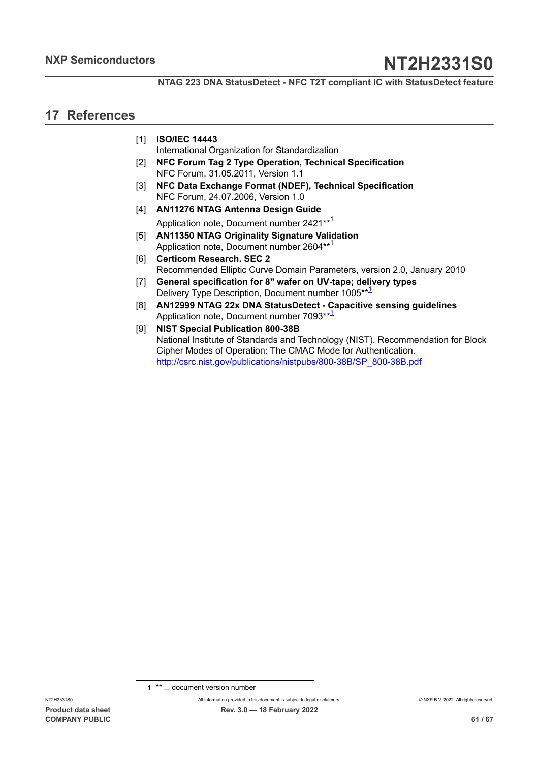## <span id="page-60-10"></span>**17 References**

- <span id="page-60-0"></span>[1] **ISO/IEC 14443**
	- International Organization for Standardization
- <span id="page-60-1"></span>[2] **NFC Forum Tag 2 Type Operation, Technical Specification** NFC Forum, 31.05.2011, Version 1.1
- <span id="page-60-3"></span>[3] **NFC Data Exchange Format (NDEF), Technical Specification** NFC Forum, 24.07.2006, Version 1.0
- <span id="page-60-2"></span>[4] **AN11276 NTAG Antenna Design Guide** Application note, Document number 2421\*\*[1](#page-60-9)
- <span id="page-60-7"></span>[5] **AN11350 NTAG Originality Signature Validation** Application note, Document number 2604\*\*<sup>1</sup>
- <span id="page-60-6"></span>[6] **Certicom Research. SEC 2** Recommended Elliptic Curve Domain Parameters, version 2.0, January 2010
- <span id="page-60-8"></span>[7] **General specification for 8" wafer on UV-tape; delivery types** Delivery Type Description, Document number 1005\*\*1
- <span id="page-60-4"></span>[8] **AN12999 NTAG 22x DNA StatusDetect - Capacitive sensing guidelines** Application note, Document number 7093\*\*1
- <span id="page-60-5"></span>[9] **NIST Special Publication 800-38B** National Institute of Standards and Technology (NIST). Recommendation for Block Cipher Modes of Operation: The CMAC Mode for Authentication. [http://csrc.nist.gov/publications/nistpubs/800-38B/SP\\_800-38B.pdf](http://csrc.nist.gov/publications/nistpubs/800-38B/SP_800-38B.pdf)

<span id="page-60-9"></span><sup>1</sup> \*\* ... document version number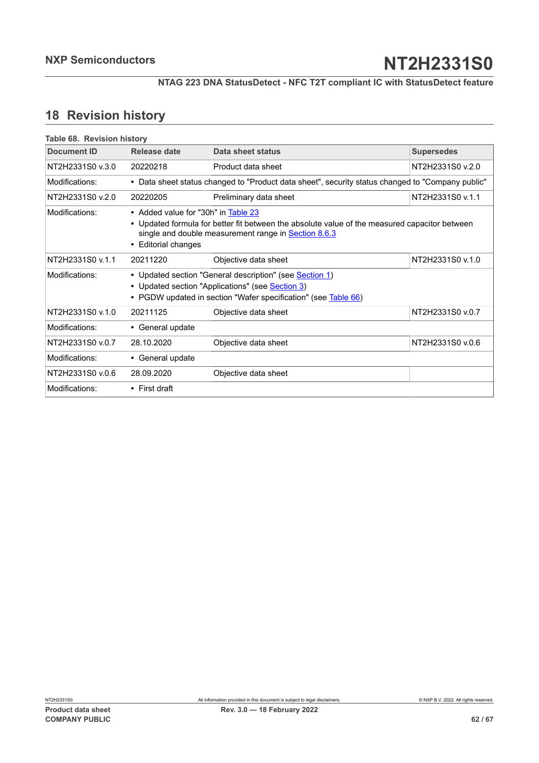## <span id="page-61-1"></span>**18 Revision history**

<span id="page-61-0"></span>

| Table 68. Revision history |                                                                                                                                                                                                                               |                                                                                                  |                   |  |  |  |
|----------------------------|-------------------------------------------------------------------------------------------------------------------------------------------------------------------------------------------------------------------------------|--------------------------------------------------------------------------------------------------|-------------------|--|--|--|
| Document ID                | Release date                                                                                                                                                                                                                  | Data sheet status                                                                                | <b>Supersedes</b> |  |  |  |
| NT2H2331S0 v.3.0           | 20220218                                                                                                                                                                                                                      | Product data sheet                                                                               | NT2H2331S0 v.2.0  |  |  |  |
| Modifications:             |                                                                                                                                                                                                                               | • Data sheet status changed to "Product data sheet", security status changed to "Company public" |                   |  |  |  |
| NT2H2331S0 v.2.0           | 20220205                                                                                                                                                                                                                      | NT2H2331S0 v.1.1<br>Preliminary data sheet                                                       |                   |  |  |  |
| Modifications:             | • Added value for "30h" in Table 23<br>Updated formula for better fit between the absolute value of the measured capacitor between<br>single and double measurement range in <b>Section 8.6.3</b><br><b>Editorial changes</b> |                                                                                                  |                   |  |  |  |
| NT2H2331S0 v.1.1           | 20211220                                                                                                                                                                                                                      | Objective data sheet                                                                             | NT2H2331S0 v.1.0  |  |  |  |
| Modifications:             | • Updated section "General description" (see Section 1)<br>• Updated section "Applications" (see <b>Section 3)</b><br>• PGDW updated in section "Wafer specification" (see Table 66)                                          |                                                                                                  |                   |  |  |  |
| NT2H2331S0 v.1.0           | 20211125                                                                                                                                                                                                                      | Objective data sheet                                                                             | NT2H2331S0 v.0.7  |  |  |  |
| Modifications:             | • General update                                                                                                                                                                                                              |                                                                                                  |                   |  |  |  |
| NT2H2331S0 v.0.7           | 28.10.2020                                                                                                                                                                                                                    | Objective data sheet                                                                             | NT2H2331S0 v.0.6  |  |  |  |
| Modifications:             | • General update                                                                                                                                                                                                              |                                                                                                  |                   |  |  |  |
| NT2H2331S0 v.0.6           | 28.09.2020                                                                                                                                                                                                                    | Objective data sheet                                                                             |                   |  |  |  |
| Modifications:             | $\cdot$ First draft                                                                                                                                                                                                           |                                                                                                  |                   |  |  |  |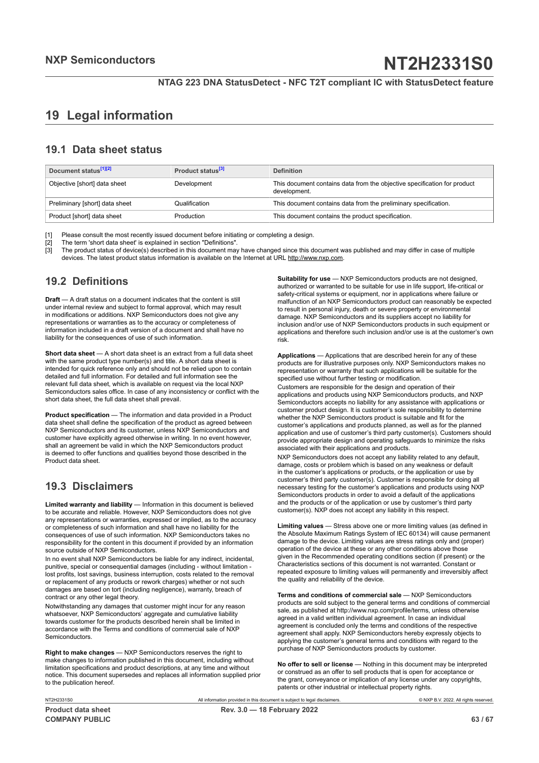## <span id="page-62-0"></span>**19 Legal information**

## **19.1 Data sheet status**

| Document status <sup>[1][2]</sup> | Product status <sup>[3]</sup> | <b>Definition</b>                                                                        |
|-----------------------------------|-------------------------------|------------------------------------------------------------------------------------------|
| Objective [short] data sheet      | Development                   | This document contains data from the objective specification for product<br>development. |
| Preliminary [short] data sheet    | Qualification                 | This document contains data from the preliminary specification.                          |
| Product [short] data sheet        | Production                    | This document contains the product specification.                                        |

[1] Please consult the most recently issued document before initiating or completing a design.<br>[2] The term 'short data sheet' is explained in section "Definitions".

[2] The term 'short data sheet' is explained in section "Definitions".<br>[2] The term 'short data sheet' is explained in section "Definitions".

[3] The product status of device(s) described in this document may have changed since this document was published and may differ in case of multiple devices. The latest product status information is available on the Internet at URL http://www.nxp.com.

## **19.2 Definitions**

**Draft** — A draft status on a document indicates that the content is still under internal review and subject to formal approval, which may result in modifications or additions. NXP Semiconductors does not give any representations or warranties as to the accuracy or completeness of information included in a draft version of a document and shall have no liability for the consequences of use of such information.

**Short data sheet** — A short data sheet is an extract from a full data sheet with the same product type number(s) and title. A short data sheet is intended for quick reference only and should not be relied upon to contain detailed and full information. For detailed and full information see the relevant full data sheet, which is available on request via the local NXP Semiconductors sales office. In case of any inconsistency or conflict with the short data sheet, the full data sheet shall prevail.

**Product specification** — The information and data provided in a Product data sheet shall define the specification of the product as agreed between NXP Semiconductors and its customer, unless NXP Semiconductors and customer have explicitly agreed otherwise in writing. In no event however, shall an agreement be valid in which the NXP Semiconductors product is deemed to offer functions and qualities beyond those described in the Product data sheet.

## **19.3 Disclaimers**

**Limited warranty and liability** — Information in this document is believed to be accurate and reliable. However, NXP Semiconductors does not give any representations or warranties, expressed or implied, as to the accuracy or completeness of such information and shall have no liability for the consequences of use of such information. NXP Semiconductors takes no responsibility for the content in this document if provided by an information source outside of NXP Semiconductors.

In no event shall NXP Semiconductors be liable for any indirect, incidental, punitive, special or consequential damages (including - without limitation lost profits, lost savings, business interruption, costs related to the removal or replacement of any products or rework charges) whether or not such damages are based on tort (including negligence), warranty, breach of contract or any other legal theory.

Notwithstanding any damages that customer might incur for any reason whatsoever, NXP Semiconductors' aggregate and cumulative liability towards customer for the products described herein shall be limited in accordance with the Terms and conditions of commercial sale of NXP Semiconductors.

**Right to make changes** — NXP Semiconductors reserves the right to make changes to information published in this document, including without limitation specifications and product descriptions, at any time and without notice. This document supersedes and replaces all information supplied prior to the publication hereof.

**Suitability for use** — NXP Semiconductors products are not designed, authorized or warranted to be suitable for use in life support, life-critical or safety-critical systems or equipment, nor in applications where failure or malfunction of an NXP Semiconductors product can reasonably be expected to result in personal injury, death or severe property or environmental damage. NXP Semiconductors and its suppliers accept no liability for inclusion and/or use of NXP Semiconductors products in such equipment or applications and therefore such inclusion and/or use is at the customer's own risk.

**Applications** — Applications that are described herein for any of these products are for illustrative purposes only. NXP Semiconductors makes no representation or warranty that such applications will be suitable for the specified use without further testing or modification.

Customers are responsible for the design and operation of their applications and products using NXP Semiconductors products, and NXP Semiconductors accepts no liability for any assistance with applications or customer product design. It is customer's sole responsibility to determine whether the NXP Semiconductors product is suitable and fit for the customer's applications and products planned, as well as for the planned application and use of customer's third party customer(s). Customers should provide appropriate design and operating safeguards to minimize the risks associated with their applications and products.

NXP Semiconductors does not accept any liability related to any default, damage, costs or problem which is based on any weakness or default in the customer's applications or products, or the application or use by customer's third party customer(s). Customer is responsible for doing all necessary testing for the customer's applications and products using NXP Semiconductors products in order to avoid a default of the applications and the products or of the application or use by customer's third party customer(s). NXP does not accept any liability in this respect.

**Limiting values** — Stress above one or more limiting values (as defined in the Absolute Maximum Ratings System of IEC 60134) will cause permanent damage to the device. Limiting values are stress ratings only and (proper) operation of the device at these or any other conditions above those given in the Recommended operating conditions section (if present) or the Characteristics sections of this document is not warranted. Constant or repeated exposure to limiting values will permanently and irreversibly affect the quality and reliability of the device.

**Terms and conditions of commercial sale** — NXP Semiconductors products are sold subject to the general terms and conditions of commercial sale, as published at http://www.nxp.com/profile/terms, unless otherwise agreed in a valid written individual agreement. In case an individual agreement is concluded only the terms and conditions of the respective agreement shall apply. NXP Semiconductors hereby expressly objects to applying the customer's general terms and conditions with regard to the purchase of NXP Semiconductors products by customer.

**No offer to sell or license** — Nothing in this document may be interpreted or construed as an offer to sell products that is open for acceptance or the grant, conveyance or implication of any license under any copyrights, patents or other industrial or intellectual property rights.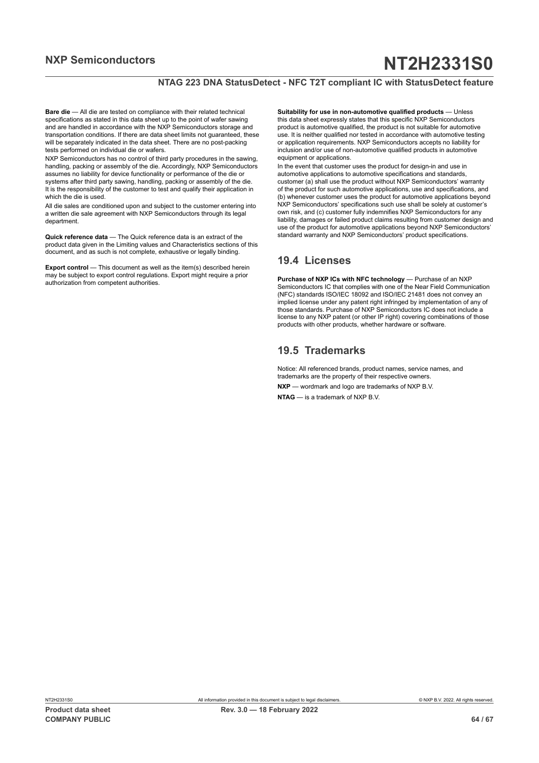#### **NTAG 223 DNA StatusDetect - NFC T2T compliant IC with StatusDetect feature**

**Bare die** — All die are tested on compliance with their related technical specifications as stated in this data sheet up to the point of wafer sawing and are handled in accordance with the NXP Semiconductors storage and transportation conditions. If there are data sheet limits not guaranteed, these will be separately indicated in the data sheet. There are no post-packing tests performed on individual die or wafers.

NXP Semiconductors has no control of third party procedures in the sawing, handling, packing or assembly of the die. Accordingly, NXP Semiconductors assumes no liability for device functionality or performance of the die or systems after third party sawing, handling, packing or assembly of the die. It is the responsibility of the customer to test and qualify their application in which the die is used.

All die sales are conditioned upon and subject to the customer entering into a written die sale agreement with NXP Semiconductors through its legal department.

**Quick reference data** — The Quick reference data is an extract of the product data given in the Limiting values and Characteristics sections of this document, and as such is not complete, exhaustive or legally binding.

**Export control** — This document as well as the item(s) described herein may be subject to export control regulations. Export might require a prior authorization from competent authorities.

**Suitability for use in non-automotive qualified products** — Unless this data sheet expressly states that this specific NXP Semiconductors product is automotive qualified, the product is not suitable for automotive use. It is neither qualified nor tested in accordance with automotive testing or application requirements. NXP Semiconductors accepts no liability for inclusion and/or use of non-automotive qualified products in automotive equipment or applications.

In the event that customer uses the product for design-in and use in automotive applications to automotive specifications and standards, customer (a) shall use the product without NXP Semiconductors' warranty of the product for such automotive applications, use and specifications, and (b) whenever customer uses the product for automotive applications beyond NXP Semiconductors' specifications such use shall be solely at customer's own risk, and (c) customer fully indemnifies NXP Semiconductors for any liability, damages or failed product claims resulting from customer design and use of the product for automotive applications beyond NXP Semiconductors' standard warranty and NXP Semiconductors' product specifications.

## **19.4 Licenses**

**Purchase of NXP ICs with NFC technology** — Purchase of an NXP Semiconductors IC that complies with one of the Near Field Communication (NFC) standards ISO/IEC 18092 and ISO/IEC 21481 does not convey an implied license under any patent right infringed by implementation of any of those standards. Purchase of NXP Semiconductors IC does not include a license to any NXP patent (or other IP right) covering combinations of those products with other products, whether hardware or software.

## **19.5 Trademarks**

Notice: All referenced brands, product names, service names, and trademarks are the property of their respective owners. **NXP** — wordmark and logo are trademarks of NXP B.V.

**NTAG** — is a trademark of NXP B.V.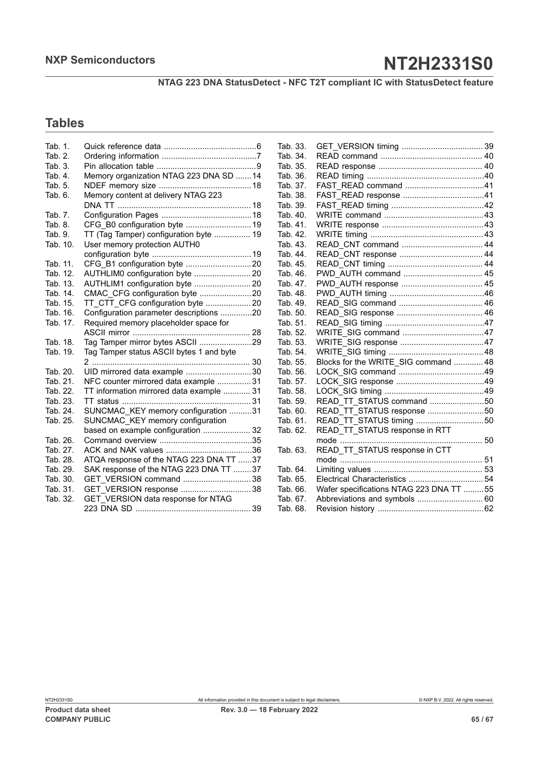**NTAG 223 DNA StatusDetect - NFC T2T compliant IC with StatusDetect feature**

## **Tables**

| Tab. 1.  |                                          |
|----------|------------------------------------------|
| Tab. 2.  |                                          |
| Tab. 3.  |                                          |
| Tab. 4.  | Memory organization NTAG 223 DNA SD 14   |
| Tab. 5.  |                                          |
| Tab. 6.  | Memory content at delivery NTAG 223      |
|          |                                          |
| Tab. 7.  |                                          |
| Tab. 8.  | CFG B0 configuration byte  19            |
| Tab. 9.  | TT (Tag Tamper) configuration byte  19   |
| Tab. 10. | User memory protection AUTH0             |
|          |                                          |
| Tab. 11. |                                          |
| Tab. 12. | AUTHLIM0 configuration byte  20          |
| Tab. 13. | AUTHLIM1 configuration byte  20          |
| Tab. 14. |                                          |
| Tab. 15. | TT CTT CFG configuration byte  20        |
| Tab. 16. | Configuration parameter descriptions 20  |
| Tab. 17. | Required memory placeholder space for    |
|          |                                          |
| Tab. 18. | Tag Tamper mirror bytes ASCII 29         |
| Tab. 19. | Tag Tamper status ASCII bytes 1 and byte |
|          |                                          |
| Tab. 20. | UID mirrored data example 30             |
| Tab. 21. | NFC counter mirrored data example  31    |
| Tab. 22. | TT information mirrored data example  31 |
| Tab. 23. |                                          |
| Tab. 24. | SUNCMAC KEY memory configuration 31      |
| Tab. 25. | SUNCMAC KEY memory configuration         |
|          | based on example configuration  32       |
| Tab. 26. |                                          |
| Tab. 27. |                                          |
| Tab. 28. | ATQA response of the NTAG 223 DNA TT 37  |
| Tab. 29. | SAK response of the NTAG 223 DNA TT 37   |
| Tab. 30. |                                          |
| Tab. 31. | GET VERSION response  38                 |
| Tab. 32. | GET VERSION data response for NTAG       |
|          |                                          |

| Tab. 33. |                                         |  |
|----------|-----------------------------------------|--|
| Tab. 34. |                                         |  |
| Tab. 35. |                                         |  |
| Tab. 36. |                                         |  |
| Tab. 37. |                                         |  |
| Tab. 38. |                                         |  |
| Tab. 39. |                                         |  |
| Tab. 40. |                                         |  |
| Tab. 41. |                                         |  |
| Tab. 42. |                                         |  |
| Tab. 43. |                                         |  |
| Tab. 44. |                                         |  |
| Tab. 45. |                                         |  |
| Tab. 46. | PWD AUTH command  45                    |  |
| Tab. 47. |                                         |  |
| Tab. 48. |                                         |  |
| Tab. 49. |                                         |  |
| Tab. 50. |                                         |  |
| Tab. 51. |                                         |  |
| Tab. 52. |                                         |  |
| Tab. 53. |                                         |  |
| Tab. 54. |                                         |  |
| Tab. 55. | Blocks for the WRITE_SIG command  48    |  |
| Tab. 56. |                                         |  |
| Tab. 57. |                                         |  |
| Tab. 58. |                                         |  |
| Tab. 59. | READ TT STATUS command 50               |  |
| Tab. 60. | READ TT STATUS response 50              |  |
| Tab. 61. | READ_TT_STATUS timing 50                |  |
| Tab. 62. | READ_TT_STATUS response in RTT          |  |
|          |                                         |  |
| Tab. 63. | READ_TT_STATUS response in CTT          |  |
|          |                                         |  |
| Tab. 64. |                                         |  |
| Tab. 65. |                                         |  |
| Tab. 66. | Wafer specifications NTAG 223 DNA TT 55 |  |
| Tab. 67. | Abbreviations and symbols  60           |  |
| Tab. 68. |                                         |  |
|          |                                         |  |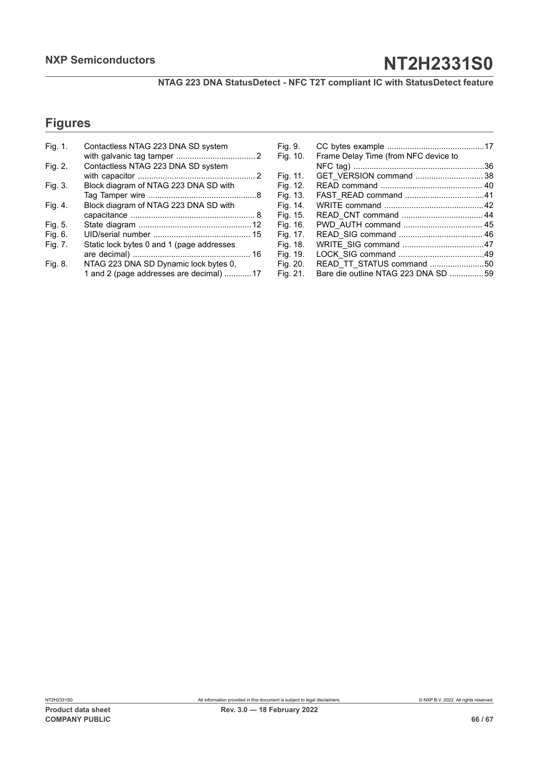**NTAG 223 DNA StatusDetect - NFC T2T compliant IC with StatusDetect feature**

## **Figures**

| Fig. 1. | Contactless NTAG 223 DNA SD system        |
|---------|-------------------------------------------|
|         |                                           |
| Fig. 2. | Contactless NTAG 223 DNA SD system        |
|         |                                           |
| Fig. 3. | Block diagram of NTAG 223 DNA SD with     |
|         |                                           |
| Fig. 4. | Block diagram of NTAG 223 DNA SD with     |
|         |                                           |
| Fig. 5. |                                           |
| Fig. 6. |                                           |
| Fig. 7. | Static lock bytes 0 and 1 (page addresses |
|         |                                           |
| Fig. 8. | NTAG 223 DNA SD Dynamic lock bytes 0,     |
|         | 1 and 2 (page addresses are decimal) 17   |

| Fig. 9.  |                                      |  |
|----------|--------------------------------------|--|
| Fig. 10. | Frame Delay Time (from NFC device to |  |
|          |                                      |  |
| Fig. 11. |                                      |  |
| Fig. 12. |                                      |  |
| Fig. 13. |                                      |  |
| Fig. 14. |                                      |  |
| Fig. 15. |                                      |  |
| Fig. 16. |                                      |  |
| Fig. 17. |                                      |  |
| Fig. 18. |                                      |  |
| Fig. 19. |                                      |  |
| Fig. 20. | READ_TT_STATUS command 50            |  |
| Fig. 21. | Bare die outline NTAG 223 DNA SD 59  |  |
|          |                                      |  |